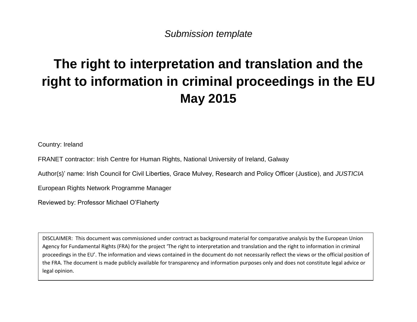*Submission template*

# **The right to interpretation and translation and the right to information in criminal proceedings in the EU May 2015**

Country: Ireland

FRANET contractor: Irish Centre for Human Rights, National University of Ireland, Galway

Author(s)' name: Irish Council for Civil Liberties, Grace Mulvey, Research and Policy Officer (Justice), and *JUSTICIA* 

European Rights Network Programme Manager

Reviewed by: Professor Michael O'Flaherty

DISCLAIMER: This document was commissioned under contract as background material for comparative analysis by the European Union Agency for Fundamental Rights (FRA) for the project 'The right to interpretation and translation and the right to information in criminal proceedings in the EU'. The information and views contained in the document do not necessarily reflect the views or the official position of the FRA. The document is made publicly available for transparency and information purposes only and does not constitute legal advice or legal opinion.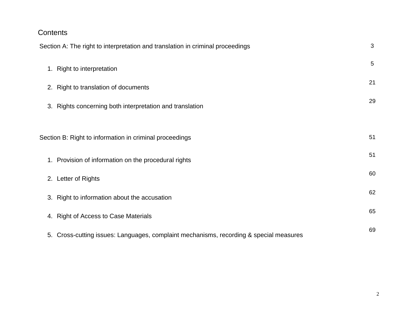## **Contents**

|                                                               | $\mathfrak{B}$<br>Section A: The right to interpretation and translation in criminal proceedings |    |  |
|---------------------------------------------------------------|--------------------------------------------------------------------------------------------------|----|--|
|                                                               | 1. Right to interpretation                                                                       | 5  |  |
|                                                               | 2. Right to translation of documents                                                             | 21 |  |
|                                                               | 3. Rights concerning both interpretation and translation                                         | 29 |  |
|                                                               |                                                                                                  |    |  |
| 51<br>Section B: Right to information in criminal proceedings |                                                                                                  |    |  |
|                                                               | 1. Provision of information on the procedural rights                                             | 51 |  |
|                                                               | 2. Letter of Rights                                                                              | 60 |  |
|                                                               | 3. Right to information about the accusation                                                     | 62 |  |
|                                                               | 4. Right of Access to Case Materials                                                             | 65 |  |
|                                                               | 5. Cross-cutting issues: Languages, complaint mechanisms, recording & special measures           | 69 |  |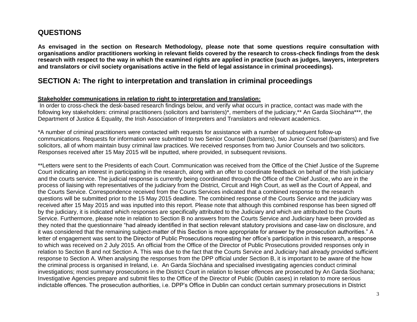## **QUESTIONS**

**As envisaged in the section on Research Methodology, please note that some questions require consultation with organisations and/or practitioners working in relevant fields covered by the research to cross-check findings from the desk research with respect to the way in which the examined rights are applied in practice (such as judges, lawyers, interpreters and translators or civil society organisations active in the field of legal assistance in criminal proceedings).**

### **SECTION A: The right to interpretation and translation in criminal proceedings**

#### **Stakeholder communications in relation to right to interpretation and translation:**

In order to cross-check the desk-based research findings below, and verify what occurs in practice, contact was made with the following key stakeholders: criminal practitioners (solicitors and barristers)\*, members of the judiciary,\*\* An Garda Síochána\*\*\*, the Department of Justice & Equality, the Irish Association of Interpreters and Translators and relevant academics.

\*A number of criminal practitioners were contacted with requests for assistance with a number of subsequent follow-up communications. Requests for information were submitted to two Senior Counsel (barristers), two Junior Counsel (barristers) and five solicitors, all of whom maintain busy criminal law practices. We received responses from two Junior Counsels and two solicitors. Responses received after 15 May 2015 will be inputted, where provided, in subsequent revisions.

\*\*Letters were sent to the Presidents of each Court. Communication was received from the Office of the Chief Justice of the Supreme Court indicating an interest in participating in the research, along with an offer to coordinate feedback on behalf of the Irish judiciary and the courts service. The judicial response is currently being coordinated through the Office of the Chief Justice, who are in the process of liaising with representatives of the judiciary from the District, Circuit and High Court, as well as the Court of Appeal, and the Courts Service. Correspondence received from the Courts Services indicated that a combined response to the research questions will be submitted prior to the 15 May 2015 deadline. The combined response of the Courts Service and the judiciary was received after 15 May 2015 and was inputted into this report. Please note that although this combined response has been signed off by the judiciary, it is indicated which responses are specifically attributed to the Judiciary and which are attributed to the Courts Service. Furthermore, please note in relation to Section B no answers from the Courts Service and Judiciary have been provided as they noted that the questionnaire "had already identified in that section relevant statutory provisions and case-law on disclosure, and it was considered that the remaining subject-matter of this Section is more appropriate for answer by the prosecution authorities." A letter of engagement was sent to the Director of Public Prosecutions requesting her office's participation in this research, a response to which was received on 2 July 2015. An official from the Office of the Director of Public Prosecutions provided responses only in relation to Section B and not Section A. This was due to the fact that the Courts Service and Judiciary had already provided sufficient response to Section A. When analysing the responses from the DPP official under Section B, it is important to be aware of the how the criminal process is organised in Ireland, i.e. An Garda Síochána and specialised investigating agencies conduct criminal investigations; most summary prosecutions in the District Court in relation to lesser offences are prosecuted by An Garda Siochana; Investigative Agencies prepare and submit files to the Office of the Director of Public (Dublin cases) in relation to more serious indictable offences. The prosecution authorities, i.e. DPP's Office in Dublin can conduct certain summary prosecutions in District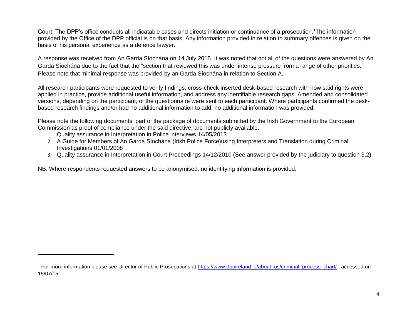Court, The DPP's office conducts all indicatable cases and directs initiation or continuance of a prosecution.<sup>1</sup>The information provided by the Office of the DPP official is on that basis. Any information provided in relation to summary offences is given on the basis of his personal experience as a defence lawyer.

A response was received from An Garda Síochána on 14 July 2015. It was noted that not all of the questions were answered by An Garda Síochána due to the fact that the "section that reviewed this was under intense pressure from a range of other priorities." Please note that minimal response was provided by an Garda Síochána in relation to Section A.

All research participants were requested to verify findings, cross-check inserted desk-based research with how said rights were applied in practice, provide additional useful information, and address any identifiable research gaps. Amended and consolidated versions, depending on the participant, of the questionnaire were sent to each participant. Where participants confirmed the deskbased research findings and/or had no additional information to add, no additional information was provided.

Please note the following documents, part of the package of documents submitted by the Irish Government to the European Commission as proof of compliance under the said directive, are not publicly available.

1. Quality assurance in Interpretation in Police interviews 14/05/2013

 $\overline{\phantom{a}}$ 

- 2. A Guide for Members of An Garda Síochána (Irish Police Force)using Interpreters and Translation during Criminal Investigations 01/01/2008
- 3. Quality assurance in Interpretation in Court Proceedings 14/12/2010 (See answer provided by the judiciary to question 3.2).

NB: Where respondents requested answers to be anonymised, no identifying information is provided.

<sup>&</sup>lt;sup>1</sup> For more information please see Director of Public Prosecutions at [https://www.dppireland.ie/about\\_us/criminal\\_process\\_chart/](https://www.dppireland.ie/about_us/criminal_process_chart/), accessed on 15/07/15.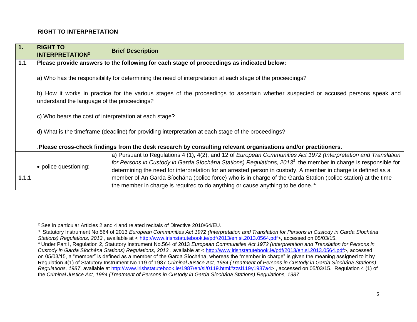#### **RIGHT TO INTERPRETATION**

| b) How it works in practice for the various stages of the proceedings to ascertain whether suspected or accused persons speak and |
|-----------------------------------------------------------------------------------------------------------------------------------|
|                                                                                                                                   |
|                                                                                                                                   |
|                                                                                                                                   |
| a) Pursuant to Regulations 4 (1), 4(2), and 12 of European Communities Act 1972 (Interpretation and Translation                   |
| for Persons in Custody in Garda Síochána Stations) Regulations, 2013 <sup>3</sup> the member in charge is responsible for         |
| determining the need for interpretation for an arrested person in custody. A member in charge is defined as a                     |
| member of An Garda Síochána (police force) who is in charge of the Garda Station (police station) at the time                     |
|                                                                                                                                   |

<sup>2</sup> See in particular Articles 2 and 4 and related recitals of Directive 2010/64/EU.

<sup>3</sup> Statutory Instrument No.564 of 2013 *European Communities Act 1972 (Interpretation and Translation for Persons in Custody in Garda Síochána Stations) Regulations, 2013* , available at < [http://www.irishstatutebook.ie/pdf/2013/en.si.2013.0564.pdf>](http://www.irishstatutebook.ie/pdf/2013/en.si.2013.0564.pdf), accessed on 05/03/15.

<sup>4</sup> Under Part I, Regulation 2, Statutory Instrument No.564 of 2013 *European Communities Act 1972 (Interpretation and Translation for Persons in Custody in Garda Síochána Stations) Regulations, 2013* , available at < [http://www.irishstatutebook.ie/pdf/2013/en.si.2013.0564.pdf>](http://www.irishstatutebook.ie/pdf/2013/en.si.2013.0564.pdf), accessed on 05/03/15, a "member" is defined as a member of the Garda Síochána, whereas the "member in charge" is given the meaning assigned to it by Regulation 4(1) of Statutory Instrument No.119 of 1987 *Criminal Justice Act, 1984 (Treatment of Persons in Custody in Garda Síochána Stations) Regulations, 1987*, available at [http://www.irishstatutebook.ie/1987/en/si/0119.html#zzsi119y1987a4>](http://www.irishstatutebook.ie/1987/en/si/0119.html#zzsi119y1987a4) , accessed on 05/03/15. Regulation 4 (1) of the *Criminal Justice Act, 1984 (Treatment of Persons in Custody in Garda Síochána Stations) Regulations, 1987*.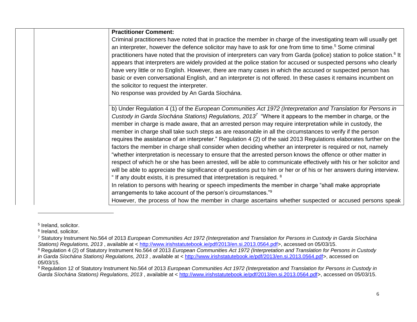| <b>Practitioner Comment:</b>                                                                                                        |
|-------------------------------------------------------------------------------------------------------------------------------------|
| Criminal practitioners have noted that in practice the member in charge of the investigating team will usually get                  |
| an interpreter, however the defence solicitor may have to ask for one from time to time. <sup>5</sup> Some criminal                 |
| practitioners have noted that the provision of interpreters can vary from Garda (police) station to police station. <sup>6</sup> It |
| appears that interpreters are widely provided at the police station for accused or suspected persons who clearly                    |
| have very little or no English. However, there are many cases in which the accused or suspected person has                          |
| basic or even conversational English, and an interpreter is not offered. In these cases it remains incumbent on                     |
| the solicitor to request the interpreter.                                                                                           |
| No response was provided by An Garda Síochána.                                                                                      |
|                                                                                                                                     |
| b) Under Regulation 4 (1) of the European Communities Act 1972 (Interpretation and Translation for Persons in                       |
| Custody in Garda Síochána Stations) Regulations, 2013 <sup>7</sup> "Where it appears to the member in charge, or the                |
| member in charge is made aware, that an arrested person may require interpretation while in custody, the                            |
| member in charge shall take such steps as are reasonable in all the circumstances to verify if the person                           |
| requires the assistance of an interpreter." Regulation 4 (2) of the said 2013 Regulations elaborates further on the                 |
| factors the member in charge shall consider when deciding whether an interpreter is required or not, namely                         |
| "whether interpretation is necessary to ensure that the arrested person knows the offence or other matter in                        |
| respect of which he or she has been arrested, will be able to communicate effectively with his or her solicitor and                 |
| will be able to appreciate the significance of questions put to him or her or of his or her answers during interview.               |
| " If any doubt exists, it is presumed that interpretation is required. <sup>8</sup>                                                 |
| In relation to persons with hearing or speech impediments the member in charge "shall make appropriate"                             |
| arrangements to take account of the person's circumstances." <sup>9</sup>                                                           |
| However, the process of how the member in charge ascertains whether suspected or accused persons speak                              |

<sup>5</sup> Ireland, solicitor.

<sup>&</sup>lt;sup>6</sup> Ireland, solicitor.

<sup>7</sup> Statutory Instrument No.564 of 2013 *European Communities Act 1972 (Interpretation and Translation for Persons in Custody in Garda Síochána Stations) Regulations, 2013* , available at < [http://www.irishstatutebook.ie/pdf/2013/en.si.2013.0564.pdf>](http://www.irishstatutebook.ie/pdf/2013/en.si.2013.0564.pdf), accessed on 05/03/15.

<sup>8</sup> Regulation 4 (2) of Statutory Instrument No.564 of 2013 *European Communities Act 1972 (Interpretation and Translation for Persons in Custody in Garda Síochána Stations) Regulations, 2013* , available at < [http://www.irishstatutebook.ie/pdf/2013/en.si.2013.0564.pdf>](http://www.irishstatutebook.ie/pdf/2013/en.si.2013.0564.pdf), accessed on 05/03/15.

<sup>9</sup> Regulation 12 of Statutory Instrument No.564 of 2013 *European Communities Act 1972 (Interpretation and Translation for Persons in Custody in Garda Síochána Stations) Regulations, 2013* , available at < [http://www.irishstatutebook.ie/pdf/2013/en.si.2013.0564.pdf>](http://www.irishstatutebook.ie/pdf/2013/en.si.2013.0564.pdf), accessed on 05/03/15.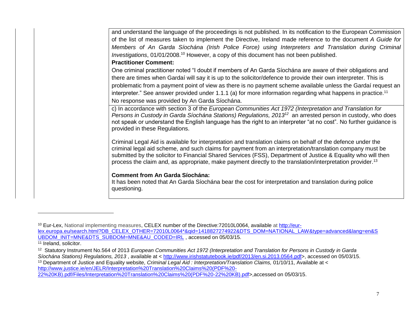and understand the language of the proceedings is not published. In its notification to the European Commission of the list of measures taken to implement the Directive, Ireland made reference to the document *A Guide for Members of An Garda Síochána (Irish Police Force) using Interpreters and Translation during Criminal*  Investigations, 01/01/2008.<sup>10</sup> However, a copy of this document has not been published.

#### **Practitioner Comment:**

One criminal practitioner noted "I doubt if members of An Garda Síochána are aware of their obligations and there are times when Gardaí will say it is up to the solicitor/defence to provide their own interpreter. This is problematic from a payment point of view as there is no payment scheme available unless the Gardaí request an interpreter." See answer provided under 1.1.1 (a) for more information regarding what happens in practice.<sup>11</sup> No response was provided by An Garda Síochána.

c) In accordance with section 3 of the *European Communities Act 1972 (Interpretation and Translation for Persons in Custody in Garda Síochána Stations) Regulations, 2013<sup>12</sup>* an arrested person in custody, who does not speak or understand the English language has the right to an interpreter "at no cost". No further guidance is provided in these Regulations.

Criminal Legal Aid is available for interpretation and translation claims on behalf of the defence under the criminal legal aid scheme, and such claims for payment from an interpretation/translation company must be submitted by the solicitor to Financial Shared Services (FSS), Department of Justice & Equality who will then process the claim and, as appropriate, make payment directly to the translation/interpretation provider.<sup>13</sup>

#### **Comment from An Garda Síochána:**

It has been noted that An Garda Síochána bear the cost for interpretation and translation during police questioning.

<sup>10</sup> Eur-Lex, National implementing measures, CELEX number of the Directive:72010L0064, available at [http://eur](http://eur-lex.europa.eu/search.html?DB_CELEX_OTHER=72010L0064*&qid=1418827274922&DTS_DOM=NATIONAL_LAW&type=advanced&lang=en&SUBDOM_INIT=MNE&DTS_SUBDOM=MNE&AU_CODED=IRL)[lex.europa.eu/search.html?DB\\_CELEX\\_OTHER=72010L0064\\*&qid=1418827274922&DTS\\_DOM=NATIONAL\\_LAW&type=advanced&lang=en&S](http://eur-lex.europa.eu/search.html?DB_CELEX_OTHER=72010L0064*&qid=1418827274922&DTS_DOM=NATIONAL_LAW&type=advanced&lang=en&SUBDOM_INIT=MNE&DTS_SUBDOM=MNE&AU_CODED=IRL) [UBDOM\\_INIT=MNE&DTS\\_SUBDOM=MNE&AU\\_CODED=IRL](http://eur-lex.europa.eu/search.html?DB_CELEX_OTHER=72010L0064*&qid=1418827274922&DTS_DOM=NATIONAL_LAW&type=advanced&lang=en&SUBDOM_INIT=MNE&DTS_SUBDOM=MNE&AU_CODED=IRL) , accessed on 05/03/15.

<sup>&</sup>lt;sup>11</sup> Ireland, solicitor.

<sup>&</sup>lt;sup>12</sup> Statutory Instrument No.564 of 2013 *European Communities Act 1972 (Interpretation and Translation for Persons in Custody in Garda Síochána Stations) Regulations, 2013* , available at < [http://www.irishstatutebook.ie/pdf/2013/en.si.2013.0564.pdf>](http://www.irishstatutebook.ie/pdf/2013/en.si.2013.0564.pdf), accessed on 05/03/15.

<sup>13</sup> Department of Justice and Equality website, *Criminal Legal Aid : Interpretation/Translation Claims*, 01/10/11, Available at < [http://www.justice.ie/en/JELR/Interpretation%20Translation%20Claims%20\(PDF%20-](http://www.justice.ie/en/JELR/Interpretation%20Translation%20Claims%20(PDF%20-22%20KB).pdf/Files/Interpretation%20Translation%20Claims%20(PDF%20-22%20KB).pdf)

[<sup>22%20</sup>KB\).pdf/Files/Interpretation%20Translation%20Claims%20\(PDF%20-22%20KB\).pdf>](http://www.justice.ie/en/JELR/Interpretation%20Translation%20Claims%20(PDF%20-22%20KB).pdf/Files/Interpretation%20Translation%20Claims%20(PDF%20-22%20KB).pdf),accessed on 05/03/15.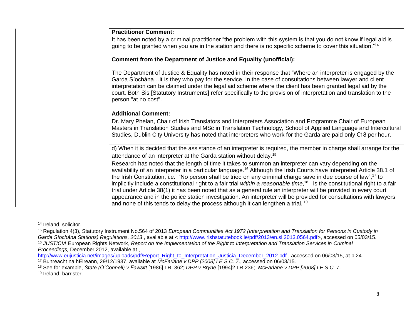| <b>Practitioner Comment:</b>                                                                                                                                                                                                                                                                                                                                                                                                                                                                                                                                                                                                                                                                                                                                                                                                                        |
|-----------------------------------------------------------------------------------------------------------------------------------------------------------------------------------------------------------------------------------------------------------------------------------------------------------------------------------------------------------------------------------------------------------------------------------------------------------------------------------------------------------------------------------------------------------------------------------------------------------------------------------------------------------------------------------------------------------------------------------------------------------------------------------------------------------------------------------------------------|
| It has been noted by a criminal practitioner "the problem with this system is that you do not know if legal aid is<br>going to be granted when you are in the station and there is no specific scheme to cover this situation." <sup>14</sup>                                                                                                                                                                                                                                                                                                                                                                                                                                                                                                                                                                                                       |
|                                                                                                                                                                                                                                                                                                                                                                                                                                                                                                                                                                                                                                                                                                                                                                                                                                                     |
| Comment from the Department of Justice and Equality (unofficial):                                                                                                                                                                                                                                                                                                                                                                                                                                                                                                                                                                                                                                                                                                                                                                                   |
| The Department of Justice & Equality has noted in their response that "Where an interpreter is engaged by the<br>Garda Síochánait is they who pay for the service. In the case of consultations between lawyer and client<br>interpretation can be claimed under the legal aid scheme where the client has been granted legal aid by the<br>court. Both Sis [Statutory Instruments] refer specifically to the provision of interpretation and translation to the<br>person "at no cost".                                                                                                                                                                                                                                                                                                                                                            |
| <b>Additional Comment:</b>                                                                                                                                                                                                                                                                                                                                                                                                                                                                                                                                                                                                                                                                                                                                                                                                                          |
| Dr. Mary Phelan, Chair of Irish Translators and Interpreters Association and Programme Chair of European<br>Masters in Translation Studies and MSc in Translation Technology, School of Applied Language and Intercultural<br>Studies, Dublin City University has noted that interpreters who work for the Garda are paid only €18 per hour.                                                                                                                                                                                                                                                                                                                                                                                                                                                                                                        |
| d) When it is decided that the assistance of an interpreter is required, the member in charge shall arrange for the<br>attendance of an interpreter at the Garda station without delay. <sup>15</sup>                                                                                                                                                                                                                                                                                                                                                                                                                                                                                                                                                                                                                                               |
| Research has noted that the length of time it takes to summon an interpreter can vary depending on the<br>availability of an interpreter in a particular language. <sup>16</sup> Although the Irish Courts have interpreted Article 38.1 of<br>the Irish Constitution, i.e. "No person shall be tried on any criminal charge save in due course of law", <sup>17</sup> to<br>implicitly include a constitutional right to a fair trial within a reasonable time, <sup>18</sup> is the constitutional right to a fair<br>trial under Article 38(1) it has been noted that as a general rule an interpreter will be provided in every court<br>appearance and in the police station investigation. An interpreter will be provided for consultations with lawyers<br>and none of this tends to delay the process although it can lengthen a trial. 19 |
|                                                                                                                                                                                                                                                                                                                                                                                                                                                                                                                                                                                                                                                                                                                                                                                                                                                     |

<sup>14</sup> Ireland, solicitor.

<sup>19</sup> Ireland, barrister.

<sup>15</sup> Regulation 4(3), Statutory Instrument No.564 of 2013 *European Communities Act 1972 (Interpretation and Translation for Persons in Custody in Garda Síochána Stations) Regulations, 2013* , available at < [http://www.irishstatutebook.ie/pdf/2013/en.si.2013.0564.pdf>](http://www.irishstatutebook.ie/pdf/2013/en.si.2013.0564.pdf), accessed on 05/03/15. <sup>16</sup> *JUSTICIA* European Rights Network, *Report on the Implementation of the Right to Interpretation and Translation Services in Criminal Proceedings,* December 2012, available at ,

[http://www.eujusticia.net/images/uploads/pdf/Report\\_Right\\_to\\_Interpretation\\_Justicia\\_December\\_2012.pdf](http://www.eujusticia.net/images/uploads/pdf/Report_Right_to_Interpretation_Justicia_December_2012.pdf) , accessed on 06/03/15, at p.24.

<sup>17</sup> Bunreacht na hÉireann, 29/12/1937, available at *McFarlane v DPP [2008] I.E.S.C. 7*., accessed on 06/03/15.

<sup>18</sup> See for example, *State (O'Connell) v Fawsitt* [1986] I.R. 362; *DPP v Bryne* [1994]2 I.R.236; *McFarlane v DPP [2008] I.E.S.C. 7*.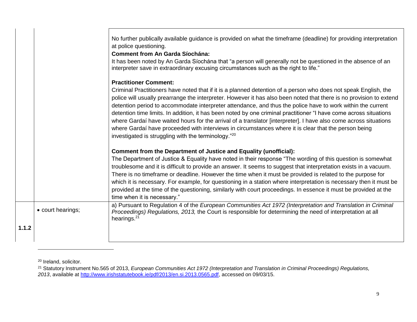|       |                   | No further publically available guidance is provided on what the timeframe (deadline) for providing interpretation<br>at police questioning.<br><b>Comment from An Garda Síochána:</b><br>It has been noted by An Garda Síochána that "a person will generally not be questioned in the absence of an                                                                                                                                                                                                                                                                                                                                                                                                                                                                                         |
|-------|-------------------|-----------------------------------------------------------------------------------------------------------------------------------------------------------------------------------------------------------------------------------------------------------------------------------------------------------------------------------------------------------------------------------------------------------------------------------------------------------------------------------------------------------------------------------------------------------------------------------------------------------------------------------------------------------------------------------------------------------------------------------------------------------------------------------------------|
|       |                   | interpreter save in extraordinary excusing circumstances such as the right to life."                                                                                                                                                                                                                                                                                                                                                                                                                                                                                                                                                                                                                                                                                                          |
|       |                   | <b>Practitioner Comment:</b><br>Criminal Practitioners have noted that if it is a planned detention of a person who does not speak English, the<br>police will usually prearrange the interpreter. However it has also been noted that there is no provision to extend<br>detention period to accommodate interpreter attendance, and thus the police have to work within the current<br>detention time limits. In addition, it has been noted by one criminal practitioner "I have come across situations<br>where Gardaí have waited hours for the arrival of a translator [interpreter]. I have also come across situations<br>where Gardaí have proceeded with interviews in circumstances where it is clear that the person being<br>investigated is struggling with the terminology."20 |
|       |                   | Comment from the Department of Justice and Equality (unofficial):<br>The Department of Justice & Equality have noted in their response "The wording of this question is somewhat<br>troublesome and it is difficult to provide an answer. It seems to suggest that interpretation exists in a vacuum.<br>There is no timeframe or deadline. However the time when it must be provided is related to the purpose for<br>which it is necessary. For example, for questioning in a station where interpretation is necessary then it must be<br>provided at the time of the questioning, similarly with court proceedings. In essence it must be provided at the<br>time when it is necessary."                                                                                                  |
|       | • court hearings; | a) Pursuant to Regulation 4 of the European Communities Act 1972 (Interpretation and Translation in Criminal<br>Proceedings) Regulations, 2013, the Court is responsible for determining the need of interpretation at all<br>hearings. <sup>21</sup>                                                                                                                                                                                                                                                                                                                                                                                                                                                                                                                                         |
| 1.1.2 |                   |                                                                                                                                                                                                                                                                                                                                                                                                                                                                                                                                                                                                                                                                                                                                                                                               |

<sup>20</sup> Ireland, solicitor.

<sup>21</sup> Statutory Instrument No.565 of 2013, *European Communities Act 1972 (Interpretation and Translation in Criminal Proceedings) Regulations, 2013*, available at [http://www.irishstatutebook.ie/pdf/2013/en.si.2013.0565.pdf,](http://www.irishstatutebook.ie/pdf/2013/en.si.2013.0565.pdf) accessed on 09/03/15.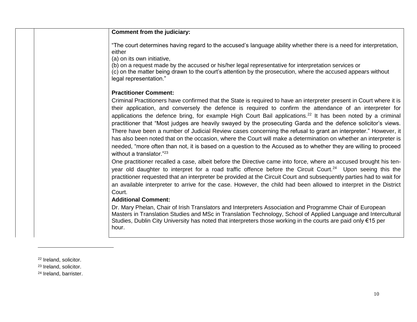| Comment from the judiciary:                                                                                                                                                                                                                                                                                                                                                                                                                                                                                                                                                                                                                                                                                                                                                                                                                                         |
|---------------------------------------------------------------------------------------------------------------------------------------------------------------------------------------------------------------------------------------------------------------------------------------------------------------------------------------------------------------------------------------------------------------------------------------------------------------------------------------------------------------------------------------------------------------------------------------------------------------------------------------------------------------------------------------------------------------------------------------------------------------------------------------------------------------------------------------------------------------------|
| "The court determines having regard to the accused's language ability whether there is a need for interpretation,<br>either<br>(a) on its own initiative,                                                                                                                                                                                                                                                                                                                                                                                                                                                                                                                                                                                                                                                                                                           |
| (b) on a request made by the accused or his/her legal representative for interpretation services or<br>(c) on the matter being drawn to the court's attention by the prosecution, where the accused appears without<br>legal representation."                                                                                                                                                                                                                                                                                                                                                                                                                                                                                                                                                                                                                       |
| <b>Practitioner Comment:</b>                                                                                                                                                                                                                                                                                                                                                                                                                                                                                                                                                                                                                                                                                                                                                                                                                                        |
| Criminal Practitioners have confirmed that the State is required to have an interpreter present in Court where it is<br>their application, and conversely the defence is required to confirm the attendance of an interpreter for<br>applications the defence bring, for example High Court Bail applications. <sup>22</sup> It has been noted by a criminal<br>practitioner that "Most judges are heavily swayed by the prosecuting Garda and the defence solicitor's views.<br>There have been a number of Judicial Review cases concerning the refusal to grant an interpreter." However, it<br>has also been noted that on the occasion, where the Court will make a determination on whether an interpreter is<br>needed, "more often than not, it is based on a question to the Accused as to whether they are willing to proceed<br>without a translator."23 |
| One practitioner recalled a case, albeit before the Directive came into force, where an accused brought his ten-<br>year old daughter to interpret for a road traffic offence before the Circuit Court. <sup>24</sup> Upon seeing this the<br>practitioner requested that an interpreter be provided at the Circuit Court and subsequently parties had to wait for<br>an available interpreter to arrive for the case. However, the child had been allowed to interpret in the District                                                                                                                                                                                                                                                                                                                                                                             |
| Court.                                                                                                                                                                                                                                                                                                                                                                                                                                                                                                                                                                                                                                                                                                                                                                                                                                                              |
| <b>Additional Comment:</b>                                                                                                                                                                                                                                                                                                                                                                                                                                                                                                                                                                                                                                                                                                                                                                                                                                          |
| Dr. Mary Phelan, Chair of Irish Translators and Interpreters Association and Programme Chair of European<br>Masters in Translation Studies and MSc in Translation Technology, School of Applied Language and Intercultural<br>Studies, Dublin City University has noted that interpreters those working in the courts are paid only €15 per<br>hour.                                                                                                                                                                                                                                                                                                                                                                                                                                                                                                                |

- <sup>22</sup> Ireland, solicitor.
- <sup>23</sup> Ireland, solicitor.
- <sup>24</sup> Ireland, barrister.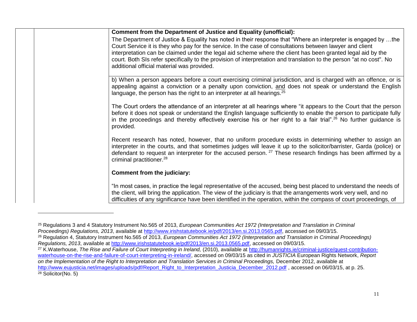<sup>25</sup> Regulations 3 and 4 Statutory Instrument No.565 of 2013, *European Communities Act 1972 (Interpretation and Translation in Criminal Proceedings) Regulations, 2013*, available at [http://www.irishstatutebook.ie/pdf/2013/en.si.2013.0565.pdf,](http://www.irishstatutebook.ie/pdf/2013/en.si.2013.0565.pdf) accessed on 09/03/15.

<sup>&</sup>lt;sup>26</sup> Regulation 4, Statutory Instrument No.565 of 2013, *European Communities Act 1972 (Interpretation and Translation in Criminal Proceedings) Regulations, 2013*, available at [http://www.irishstatutebook.ie/pdf/2013/en.si.2013.0565.pdf,](http://www.irishstatutebook.ie/pdf/2013/en.si.2013.0565.pdf) accessed on 09/03/15.

<sup>&</sup>lt;sup>27</sup> K.Waterhouse, *The Rise and Failure of Court Interpreting in Ireland,* (2010), available at [http://humanrights.ie/criminal-justice/guest-contribution](http://humanrights.ie/criminal-justice/guest-contribution-waterhouse-on-the-rise-and-failure-of-court-interpreting-in-ireland/)[waterhouse-on-the-rise-and-failure-of-court-interpreting-in-ireland/,](http://humanrights.ie/criminal-justice/guest-contribution-waterhouse-on-the-rise-and-failure-of-court-interpreting-in-ireland/) accessed on 09/03/15 as cited in *JUSTICIA* European Rights Network, *Report on the Implementation of the Right to Interpretation and Translation Services in Criminal Proceedings,* December 2012, available at [http://www.eujusticia.net/images/uploads/pdf/Report\\_Right\\_to\\_Interpretation\\_Justicia\\_December\\_2012.pdf](http://www.eujusticia.net/images/uploads/pdf/Report_Right_to_Interpretation_Justicia_December_2012.pdf) , accessed on 06/03/15, at p. 25.  $28$  Solicitor(No. 5)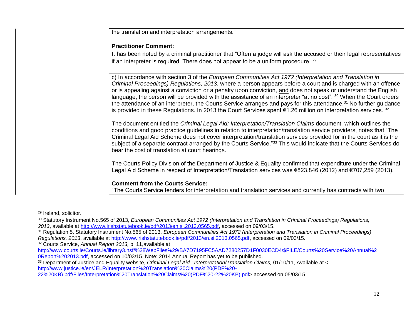| the translation and interpretation arrangements."                                                                                                                                                                                                   |
|-----------------------------------------------------------------------------------------------------------------------------------------------------------------------------------------------------------------------------------------------------|
| <b>Practitioner Comment:</b>                                                                                                                                                                                                                        |
| It has been noted by a criminal practitioner that "Often a judge will ask the accused or their legal representatives                                                                                                                                |
| if an interpreter is required. There does not appear to be a uniform procedure."29                                                                                                                                                                  |
| c) In accordance with section 3 of the European Communities Act 1972 (Interpretation and Translation in                                                                                                                                             |
| Criminal Proceedings) Regulations, 2013, where a person appears before a court and is charged with an offence                                                                                                                                       |
| or is appealing against a conviction or a penalty upon conviction, and does not speak or understand the English                                                                                                                                     |
| language, the person will be provided with the assistance of an interpreter "at no cost". 30 When the Court orders<br>the attendance of an interpreter, the Courts Service arranges and pays for this attendance. <sup>31</sup> No further guidance |
| is provided in these Regulations. In 2013 the Court Services spent $\epsilon$ 1.26 million on interpretation services. 32                                                                                                                           |
|                                                                                                                                                                                                                                                     |
| The document entitled the Criminal Legal Aid: Interpretation/Translation Claims document, which outlines the<br>conditions and good practice guidelines in relation to interpretation/translation service providers, notes that "The                |
| Criminal Legal Aid Scheme does not cover interpretation/translation services provided for in the court as it is the                                                                                                                                 |
| subject of a separate contract arranged by the Courts Service."33 This would indicate that the Courts Services do<br>bear the cost of translation at court hearings.                                                                                |
|                                                                                                                                                                                                                                                     |
| The Courts Policy Division of the Department of Justice & Equality confirmed that expenditure under the Criminal                                                                                                                                    |
| Legal Aid Scheme in respect of Interpretation/Translation services was €823,846 (2012) and €707,259 (2013).                                                                                                                                         |
| <b>Comment from the Courts Service:</b>                                                                                                                                                                                                             |
| "The Courts Service tenders for interpretation and translation services and currently has contracts with two                                                                                                                                        |

<sup>29</sup> Ireland, solicitor.

<sup>32</sup> Courts Service, *Annual Report 2013,* p. 11,available at

[22%20KB\).pdf/Files/Interpretation%20Translation%20Claims%20\(PDF%20-22%20KB\).pdf>](http://www.justice.ie/en/JELR/Interpretation%20Translation%20Claims%20(PDF%20-22%20KB).pdf/Files/Interpretation%20Translation%20Claims%20(PDF%20-22%20KB).pdf),accessed on 05/03/15.

<sup>30</sup> Statutory Instrument No.565 of 2013, *European Communities Act 1972 (Interpretation and Translation in Criminal Proceedings) Regulations, 2013*, available at [http://www.irishstatutebook.ie/pdf/2013/en.si.2013.0565.pdf,](http://www.irishstatutebook.ie/pdf/2013/en.si.2013.0565.pdf) accessed on 09/03/15.

<sup>31</sup> Regulation 5, Statutory Instrument No.565 of 2013, *European Communities Act 1972 (Interpretation and Translation in Criminal Proceedings) Regulations, 2013*, available at [http://www.irishstatutebook.ie/pdf/2013/en.si.2013.0565.pdf,](http://www.irishstatutebook.ie/pdf/2013/en.si.2013.0565.pdf) accessed on 09/03/15.

[http://www.courts.ie/Courts.ie/library3.nsf/%28WebFiles%29/BA7D7195FC5AAD7280257D1F0030ECD4/\\$FILE/Courts%20Service%20Annual%2](http://www.courts.ie/Courts.ie/library3.nsf/%28WebFiles%29/BA7D7195FC5AAD7280257D1F0030ECD4/$FILE/Courts%20Service%20Annual%20Report%202013.pdf) [0Report%202013.pdf,](http://www.courts.ie/Courts.ie/library3.nsf/%28WebFiles%29/BA7D7195FC5AAD7280257D1F0030ECD4/$FILE/Courts%20Service%20Annual%20Report%202013.pdf) accessed on 10/03/15. Note: 2014 Annual Report has yet to be published.

<sup>33</sup> Department of Justice and Equality website, *Criminal Legal Aid : Interpretation/Translation Claims*, 01/10/11, Available at < [http://www.justice.ie/en/JELR/Interpretation%20Translation%20Claims%20\(PDF%20-](http://www.justice.ie/en/JELR/Interpretation%20Translation%20Claims%20(PDF%20-22%20KB).pdf/Files/Interpretation%20Translation%20Claims%20(PDF%20-22%20KB).pdf)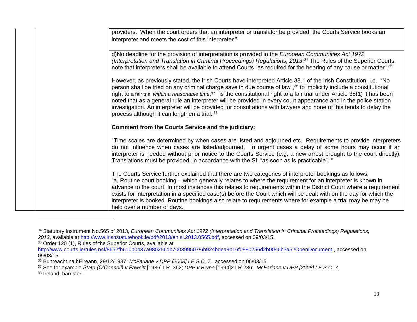| providers. When the court orders that an interpreter or translator be provided, the Courts Service books an<br>interpreter and meets the cost of this interpreter."                                                                                                                                                                                                                                                                                                                                                                                                                                                                                                             |
|---------------------------------------------------------------------------------------------------------------------------------------------------------------------------------------------------------------------------------------------------------------------------------------------------------------------------------------------------------------------------------------------------------------------------------------------------------------------------------------------------------------------------------------------------------------------------------------------------------------------------------------------------------------------------------|
|                                                                                                                                                                                                                                                                                                                                                                                                                                                                                                                                                                                                                                                                                 |
| d)No deadline for the provision of interpretation is provided in the European Communities Act 1972<br>(Interpretation and Translation in Criminal Proceedings) Regulations, 2013. <sup>34</sup> The Rules of the Superior Courts<br>note that interpreters shall be available to attend Courts "as required for the hearing of any cause or matter". <sup>35</sup>                                                                                                                                                                                                                                                                                                              |
| However, as previously stated, the Irish Courts have interpreted Article 38.1 of the Irish Constitution, i.e. "No<br>person shall be tried on any criminal charge save in due course of law", <sup>36</sup> to implicitly include a constitutional<br>right to a fair trial within a reasonable time, $37$ is the constitutional right to a fair trial under Article 38(1) it has been<br>noted that as a general rule an interpreter will be provided in every court appearance and in the police station<br>investigation. An interpreter will be provided for consultations with lawyers and none of this tends to delay the<br>process although it can lengthen a trial. 38 |
| <b>Comment from the Courts Service and the judiciary:</b>                                                                                                                                                                                                                                                                                                                                                                                                                                                                                                                                                                                                                       |
| "Time scales are determined by when cases are listed and adjourned etc. Requirements to provide interpreters<br>do not influence when cases are listed/adjourned. In urgent cases a delay of some hours may occur if an<br>interpreter is needed without prior notice to the Courts Service (e.g. a new arrest brought to the court directly).<br>Translations must be provided, in accordance with the SI, "as soon as is practicable". "                                                                                                                                                                                                                                      |
| The Courts Service further explained that there are two categories of interpreter bookings as follows:<br>a. Routine court booking – which generally relates to where the requirement for an interpreter is known in<br>advance to the court. In most instances this relates to requirements within the District Court where a requirement<br>exists for interpretation in a specified case(s) before the Court which will be dealt with on the day for which the<br>interpreter is booked. Routine bookings also relate to requirements where for example a trial may be may be<br>held over a number of days.                                                                 |

<sup>35</sup> Order 120 (1), Rules of the Superior Courts, available at

<http://www.courts.ie/rules.nsf/8652fb610b0b37a980256db700399507/6b924bdea9b16f0880256d2b0046b3a5?OpenDocument> , accessed on 09/03/15.

<sup>37</sup> See for example *State (O'Connell) v Fawsitt* [1986] I.R. 362; *DPP v Bryne* [1994]2 I.R.236; *McFarlane v DPP [2008] I.E.S.C. 7*.

<sup>38</sup> Ireland, barrister.

l

<sup>34</sup> Statutory Instrument No.565 of 2013, *European Communities Act 1972 (Interpretation and Translation in Criminal Proceedings) Regulations, 2013*, available at [http://www.irishstatutebook.ie/pdf/2013/en.si.2013.0565.pdf,](http://www.irishstatutebook.ie/pdf/2013/en.si.2013.0565.pdf) accessed on 09/03/15.

<sup>36</sup> Bunreacht na hÉireann, 29/12/1937; *McFarlane v DPP [2008] I.E.S.C. 7*., accessed on 06/03/15.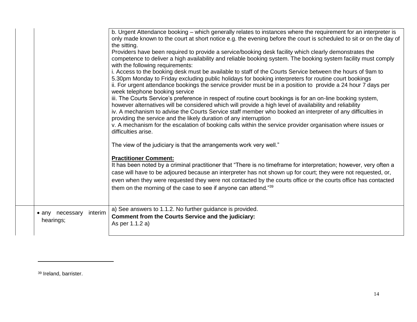|                                         | b. Urgent Attendance booking – which generally relates to instances where the requirement for an interpreter is<br>only made known to the court at short notice e.g. the evening before the court is scheduled to sit or on the day of<br>the sitting.<br>Providers have been required to provide a service/booking desk facility which clearly demonstrates the<br>competence to deliver a high availability and reliable booking system. The booking system facility must comply<br>with the following requirements:<br>i. Access to the booking desk must be available to staff of the Courts Service between the hours of 9am to<br>5.30pm Monday to Friday excluding public holidays for booking interpreters for routine court bookings<br>ii. For urgent attendance bookings the service provider must be in a position to provide a 24 hour 7 days per<br>week telephone booking service<br>iii. The Courts Service's preference in respect of routine court bookings is for an on-line booking system,<br>however alternatives will be considered which will provide a high level of availability and reliability<br>iv. A mechanism to advise the Courts Service staff member who booked an interpreter of any difficulties in<br>providing the service and the likely duration of any interruption<br>v. A mechanism for the escalation of booking calls within the service provider organisation where issues or<br>difficulties arise.<br>The view of the judiciary is that the arrangements work very well."<br><b>Practitioner Comment:</b><br>It has been noted by a criminal practitioner that "There is no timeframe for interpretation; however, very often a<br>case will have to be adjoured because an interpreter has not shown up for court; they were not requested, or,<br>even when they were requested they were not contacted by the courts office or the courts office has contacted<br>them on the morning of the case to see if anyone can attend."39 |
|-----------------------------------------|---------------------------------------------------------------------------------------------------------------------------------------------------------------------------------------------------------------------------------------------------------------------------------------------------------------------------------------------------------------------------------------------------------------------------------------------------------------------------------------------------------------------------------------------------------------------------------------------------------------------------------------------------------------------------------------------------------------------------------------------------------------------------------------------------------------------------------------------------------------------------------------------------------------------------------------------------------------------------------------------------------------------------------------------------------------------------------------------------------------------------------------------------------------------------------------------------------------------------------------------------------------------------------------------------------------------------------------------------------------------------------------------------------------------------------------------------------------------------------------------------------------------------------------------------------------------------------------------------------------------------------------------------------------------------------------------------------------------------------------------------------------------------------------------------------------------------------------------------------------------------------------------------------------------------------------------------------------------------------------|
| interim<br>• any necessary<br>hearings; | a) See answers to 1.1.2. No further guidance is provided.<br>Comment from the Courts Service and the judiciary:<br>As per 1.1.2 a)                                                                                                                                                                                                                                                                                                                                                                                                                                                                                                                                                                                                                                                                                                                                                                                                                                                                                                                                                                                                                                                                                                                                                                                                                                                                                                                                                                                                                                                                                                                                                                                                                                                                                                                                                                                                                                                    |
|                                         |                                                                                                                                                                                                                                                                                                                                                                                                                                                                                                                                                                                                                                                                                                                                                                                                                                                                                                                                                                                                                                                                                                                                                                                                                                                                                                                                                                                                                                                                                                                                                                                                                                                                                                                                                                                                                                                                                                                                                                                       |

<sup>39</sup> Ireland, barrister.

 $\overline{a}$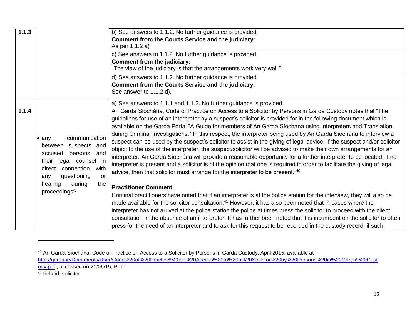| 1.1.3 |                                                                                                                                                                                                                                 | b) See answers to 1.1.2. No further guidance is provided.<br><b>Comment from the Courts Service and the judiciary:</b><br>As per 1.1.2 a)<br>c) See answers to 1.1.2. No further guidance is provided.<br><b>Comment from the judiciary:</b><br>"The view of the judiciary is that the arrangements work very well."<br>d) See answers to 1.1.2. No further guidance is provided.<br>Comment from the Courts Service and the judiciary:<br>See answer to 1.1.2 d).                                                                                                                                                                                                                                                                                                                                                                                                                                                                                                                                                                                                                                                                                                                                                                                                                   |
|-------|---------------------------------------------------------------------------------------------------------------------------------------------------------------------------------------------------------------------------------|--------------------------------------------------------------------------------------------------------------------------------------------------------------------------------------------------------------------------------------------------------------------------------------------------------------------------------------------------------------------------------------------------------------------------------------------------------------------------------------------------------------------------------------------------------------------------------------------------------------------------------------------------------------------------------------------------------------------------------------------------------------------------------------------------------------------------------------------------------------------------------------------------------------------------------------------------------------------------------------------------------------------------------------------------------------------------------------------------------------------------------------------------------------------------------------------------------------------------------------------------------------------------------------|
| 1.1.4 | communication<br>$\bullet$ any<br>suspects and<br>between<br>accused<br>persons<br>and<br>their legal counsel in<br>connection<br>with<br>direct<br>questioning<br>any<br><b>or</b><br>the<br>hearing<br>during<br>proceedings? | a) See answers to 1.1.1 and 1.1.2. No further guidance is provided.<br>An Garda Síochána, Code of Practice on Access to a Solicitor by Persons in Garda Custody notes that "The<br>guidelines for use of an interpreter by a suspect's solicitor is provided for in the following document which is<br>available on the Garda Portal "A Guide for members of An Garda Síochána using Interpreters and Translation<br>during Criminal Investigations." In this respect, the interpreter being used by An Garda Síochána to interview a<br>suspect can be used by the suspect's solicitor to assist in the giving of legal advice. If the suspect and/or solicitor<br>object to the use of the interpreter, the suspect/solicitor will be advised to make their own arrangements for an<br>interpreter. An Garda Síochána will provide a reasonable opportunity for a further interpreter to be located. If no<br>interpreter is present and a solicitor is of the opinion that one is required in order to facilitate the giving of legal<br>advice, then that solicitor must arrange for the interpreter to be present."40<br><b>Practitioner Comment:</b><br>Criminal practitioners have noted that if an interpreter is at the police station for the interview, they will also be |
|       |                                                                                                                                                                                                                                 | made available for the solicitor consultation. <sup>41</sup> However, it has also been noted that in cases where the<br>interpreter has not arrived at the police station the police at times press the solicitor to proceed with the client<br>consultation in the absence of an interpreter. It has further been noted that it is incumbent on the solicitor to often<br>press for the need of an interpreter and to ask for this request to be recorded in the custody record, if such                                                                                                                                                                                                                                                                                                                                                                                                                                                                                                                                                                                                                                                                                                                                                                                            |

<sup>40</sup> An Garda Síochána, Code of Practice on Access to a Solicitor by Persons in Garda Custody, April 2015, available at [http://garda.ie/Documents/User/Code%20of%20Practice%20on%20Access%20to%20a%20Solicitor%20by%20Persons%20in%20Garda%20Cust](http://garda.ie/Documents/User/Code%20of%20Practice%20on%20Access%20to%20a%20Solicitor%20by%20Persons%20in%20Garda%20Custody.pdf) [ody.pdf](http://garda.ie/Documents/User/Code%20of%20Practice%20on%20Access%20to%20a%20Solicitor%20by%20Persons%20in%20Garda%20Custody.pdf) , accessed on 21/06/15, P. 11

 $\overline{a}$ 

<sup>&</sup>lt;sup>41</sup> Ireland, solicitor.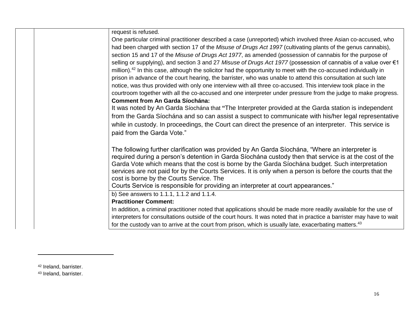|  | request is refused.                                                                                                                                      |
|--|----------------------------------------------------------------------------------------------------------------------------------------------------------|
|  | One particular criminal practitioner described a case (unreported) which involved three Asian co-accused, who                                            |
|  | had been charged with section 17 of the Misuse of Drugs Act 1997 (cultivating plants of the genus cannabis),                                             |
|  | section 15 and 17 of the Misuse of Drugs Act 1977, as amended (possession of cannabis for the purpose of                                                 |
|  | selling or supplying), and section 3 and 27 Misuse of Drugs Act 1977 (possession of cannabis of a value over €1                                          |
|  | million). <sup>42</sup> In this case, although the solicitor had the opportunity to meet with the co-accused individually in                             |
|  | prison in advance of the court hearing, the barrister, who was unable to attend this consultation at such late                                           |
|  | notice, was thus provided with only one interview with all three co-accused. This interview took place in the                                            |
|  | courtroom together with all the co-accused and one interpreter under pressure from the judge to make progress.<br><b>Comment from An Garda Síochána:</b> |
|  | It was noted by An Garda Síochána that "The Interpreter provided at the Garda station is independent                                                     |
|  | from the Garda Síochána and so can assist a suspect to communicate with his/her legal representative                                                     |
|  | while in custody. In proceedings, the Court can direct the presence of an interpreter. This service is                                                   |
|  | paid from the Garda Vote."                                                                                                                               |
|  |                                                                                                                                                          |
|  | The following further clarification was provided by An Garda Siochána, "Where an interpreter is                                                          |
|  | required during a person's detention in Garda Síochána custody then that service is at the cost of the                                                   |
|  | Garda Vote which means that the cost is borne by the Garda Siochána budget. Such interpretation                                                          |
|  | services are not paid for by the Courts Services. It is only when a person is before the courts that the                                                 |
|  | cost is borne by the Courts Service. The                                                                                                                 |
|  | Courts Service is responsible for providing an interpreter at court appearances."<br>b) See answers to 1.1.1, 1.1.2 and 1.1.4.                           |
|  | <b>Practitioner Comment:</b>                                                                                                                             |
|  |                                                                                                                                                          |
|  | In addition, a criminal practitioner noted that applications should be made more readily available for the use of                                        |
|  | interpreters for consultations outside of the court hours. It was noted that in practice a barrister may have to wait                                    |
|  | for the custody van to arrive at the court from prison, which is usually late, exacerbating matters. <sup>43</sup>                                       |

<sup>43</sup> Ireland, barrister.

<sup>42</sup> Ireland, barrister.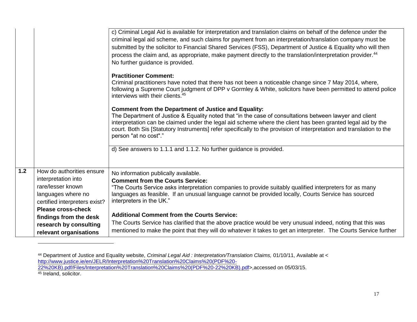|     |                                                                                                                                                    | c) Criminal Legal Aid is available for interpretation and translation claims on behalf of the defence under the<br>criminal legal aid scheme, and such claims for payment from an interpretation/translation company must be<br>submitted by the solicitor to Financial Shared Services (FSS), Department of Justice & Equality who will then<br>process the claim and, as appropriate, make payment directly to the translation/interpretation provider. <sup>44</sup><br>No further guidance is provided. |
|-----|----------------------------------------------------------------------------------------------------------------------------------------------------|-------------------------------------------------------------------------------------------------------------------------------------------------------------------------------------------------------------------------------------------------------------------------------------------------------------------------------------------------------------------------------------------------------------------------------------------------------------------------------------------------------------|
|     |                                                                                                                                                    | <b>Practitioner Comment:</b><br>Criminal practitioners have noted that there has not been a noticeable change since 7 May 2014, where,<br>following a Supreme Court judgment of DPP v Gormley & White, solicitors have been permitted to attend police<br>interviews with their clients. <sup>45</sup>                                                                                                                                                                                                      |
|     |                                                                                                                                                    | <b>Comment from the Department of Justice and Equality:</b><br>The Department of Justice & Equality noted that "in the case of consultations between lawyer and client<br>interpretation can be claimed under the legal aid scheme where the client has been granted legal aid by the<br>court. Both Sis [Statutory Instruments] refer specifically to the provision of interpretation and translation to the<br>person "at no cost"."                                                                      |
|     |                                                                                                                                                    | d) See answers to 1.1.1 and 1.1.2. No further guidance is provided.                                                                                                                                                                                                                                                                                                                                                                                                                                         |
| 1.2 | How do authorities ensure<br>interpretation into<br>rare/lesser known<br>languages where no<br>certified interpreters exist?<br>Please cross-check | No information publically available.<br><b>Comment from the Courts Service:</b><br>"The Courts Service asks interpretation companies to provide suitably qualified interpreters for as many<br>languages as feasible. If an unusual language cannot be provided locally, Courts Service has sourced<br>interpreters in the UK."                                                                                                                                                                             |
|     | findings from the desk<br>research by consulting<br>relevant organisations                                                                         | <b>Additional Comment from the Courts Service:</b><br>The Courts Service has clarified that the above practice would be very unusual indeed, noting that this was<br>mentioned to make the point that they will do whatever it takes to get an interpreter. The Courts Service further                                                                                                                                                                                                                      |

<sup>44</sup> Department of Justice and Equality website, *Criminal Legal Aid : Interpretation/Translation Claims,* 01/10/11, Available at < [http://www.justice.ie/en/JELR/Interpretation%20Translation%20Claims%20\(PDF%20-](http://www.justice.ie/en/JELR/Interpretation%20Translation%20Claims%20(PDF%20-22%20KB).pdf/Files/Interpretation%20Translation%20Claims%20(PDF%20-22%20KB).pdf) [22%20KB\).pdf/Files/Interpretation%20Translation%20Claims%20\(PDF%20-22%20KB\).pdf>](http://www.justice.ie/en/JELR/Interpretation%20Translation%20Claims%20(PDF%20-22%20KB).pdf/Files/Interpretation%20Translation%20Claims%20(PDF%20-22%20KB).pdf),accessed on 05/03/15.

<sup>45</sup> Ireland, solicitor.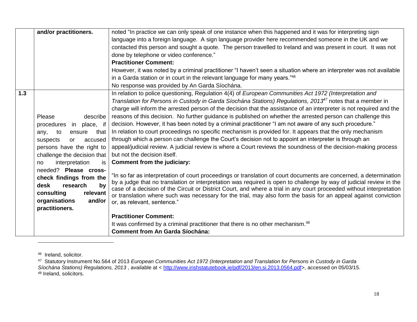|     | and/or practitioners.        | noted "In practice we can only speak of one instance when this happened and it was for interpreting sign                                                                                                                                    |
|-----|------------------------------|---------------------------------------------------------------------------------------------------------------------------------------------------------------------------------------------------------------------------------------------|
|     |                              | language into a foreign language. A sign language provider here recommended someone in the UK and we                                                                                                                                        |
|     |                              | contacted this person and sought a quote. The person travelled to Ireland and was present in court. It was not                                                                                                                              |
|     |                              | done by telephone or video conference."                                                                                                                                                                                                     |
|     |                              | <b>Practitioner Comment:</b>                                                                                                                                                                                                                |
|     |                              | However, it was noted by a criminal practitioner "I haven't seen a situation where an interpreter was not available                                                                                                                         |
|     |                              | in a Garda station or in court in the relevant language for many years."46                                                                                                                                                                  |
|     |                              | No response was provided by An Garda Síochána.                                                                                                                                                                                              |
| 1.3 |                              | In relation to police questioning, Regulation 4(4) of European Communities Act 1972 (Interpretation and                                                                                                                                     |
|     |                              | Translation for Persons in Custody in Garda Síochána Stations) Regulations, 2013 <sup>47</sup> notes that a member in                                                                                                                       |
|     |                              | charge will inform the arrested person of the decision that the assistance of an interpreter is not required and the                                                                                                                        |
|     | Please<br>describe           | reasons of this decision. No further guidance is published on whether the arrested person can challenge this                                                                                                                                |
|     | in place, if<br>procedures   | decision. However, it has been noted by a criminal practitioner "I am not aware of any such procedure."                                                                                                                                     |
|     | that<br>to<br>any,<br>ensure | In relation to court proceedings no specific mechanism is provided for. It appears that the only mechanism                                                                                                                                  |
|     | suspects<br>accused<br>or    | through which a person can challenge the Court's decision not to appoint an interpreter is through an                                                                                                                                       |
|     | persons have the right to    | appeal/judicial review. A judicial review is where a Court reviews the soundness of the decision-making process                                                                                                                             |
|     | challenge the decision that  | but not the decision itself.                                                                                                                                                                                                                |
|     | interpretation<br>is.<br>no  | Comment from the judiciary:                                                                                                                                                                                                                 |
|     | needed? Please cross-        |                                                                                                                                                                                                                                             |
|     | check findings from the      | "In so far as interpretation of court proceedings or translation of court documents are concerned, a determination                                                                                                                          |
|     | desk<br>research<br>by       | by a judge that no translation or interpretation was required is open to challenge by way of judicial review in the<br>case of a decision of the Circuit or District Court, and where a trial in any court proceeded without interpretation |
|     | relevant<br>consulting       | or translation where such was necessary for the trial, may also form the basis for an appeal against conviction                                                                                                                             |
|     | organisations<br>and/or      | or, as relevant, sentence."                                                                                                                                                                                                                 |
|     | practitioners.               |                                                                                                                                                                                                                                             |
|     |                              | <b>Practitioner Comment:</b>                                                                                                                                                                                                                |
|     |                              | It was confirmed by a criminal practitioner that there is no other mechanism. <sup>48</sup>                                                                                                                                                 |
|     |                              | <b>Comment from An Garda Síochána:</b>                                                                                                                                                                                                      |

<sup>46</sup> Ireland, solicitor.

l

<sup>47</sup> Statutory Instrument No.564 of 2013 *European Communities Act 1972 (Interpretation and Translation for Persons in Custody in Garda*  Síochána Stations) Regulations, 2013, available at < [http://www.irishstatutebook.ie/pdf/2013/en.si.2013.0564.pdf>](http://www.irishstatutebook.ie/pdf/2013/en.si.2013.0564.pdf), accessed on 05/03/15. 48 Ireland, solicitors.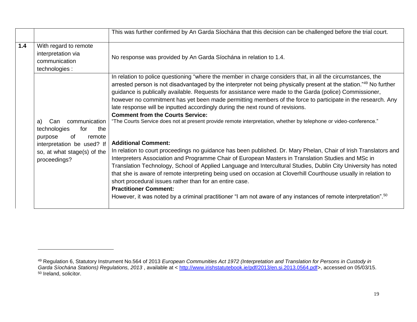|       | This was further confirmed by An Garda Síochána that this decision can be challenged before the trial court. |                                                                                                                                                                                                                                                                                                                                                                                                                                                                                                                                                                                                                                                                                                                    |  |  |  |
|-------|--------------------------------------------------------------------------------------------------------------|--------------------------------------------------------------------------------------------------------------------------------------------------------------------------------------------------------------------------------------------------------------------------------------------------------------------------------------------------------------------------------------------------------------------------------------------------------------------------------------------------------------------------------------------------------------------------------------------------------------------------------------------------------------------------------------------------------------------|--|--|--|
| $1.4$ | With regard to remote<br>interpretation via<br>communication<br>technologies :                               | No response was provided by An Garda Síochána in relation to 1.4.                                                                                                                                                                                                                                                                                                                                                                                                                                                                                                                                                                                                                                                  |  |  |  |
|       | communication<br>a)<br>Can<br>technologies<br>for<br>the<br>of<br>purpose<br>remote                          | In relation to police questioning "where the member in charge considers that, in all the circumstances, the<br>arrested person is not disadvantaged by the interpreter not being physically present at the station."49 No further<br>guidance is publically available. Requests for assistance were made to the Garda (police) Commissioner,<br>however no commitment has yet been made permitting members of the force to participate in the research. Any<br>late response will be inputted accordingly during the next round of revisions.<br><b>Comment from the Courts Service:</b><br>"The Courts Service does not at present provide remote interpretation, whether by telephone or video-conference."      |  |  |  |
|       | interpretation be used? If<br>so, at what stage(s) of the<br>proceedings?                                    | <b>Additional Comment:</b><br>In relation to court proceedings no guidance has been published. Dr. Mary Phelan, Chair of Irish Translators and<br>Interpreters Association and Programme Chair of European Masters in Translation Studies and MSc in<br>Translation Technology, School of Applied Language and Intercultural Studies, Dublin City University has noted<br>that she is aware of remote interpreting being used on occasion at Cloverhill Courthouse usually in relation to<br>short procedural issues rather than for an entire case.<br><b>Practitioner Comment:</b><br>However, it was noted by a criminal practitioner "I am not aware of any instances of remote interpretation". <sup>50</sup> |  |  |  |

<sup>49</sup> Regulation 6, Statutory Instrument No.564 of 2013 *European Communities Act 1972 (Interpretation and Translation for Persons in Custody in*  Garda Síochána Stations) Regulations, 2013, available at < [http://www.irishstatutebook.ie/pdf/2013/en.si.2013.0564.pdf>](http://www.irishstatutebook.ie/pdf/2013/en.si.2013.0564.pdf), accessed on 05/03/15. <sup>50</sup> Ireland, solicitor.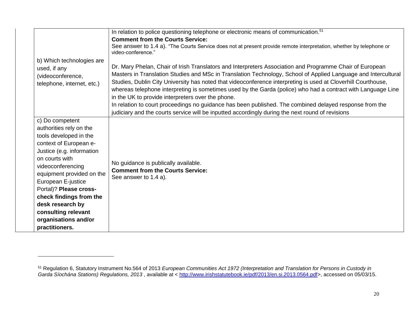| b) Which technologies are<br>used, if any<br>(videoconference,<br>telephone, internet, etc.)                                                                                                                                                                                                                                                                    | In relation to police questioning telephone or electronic means of communication. <sup>51</sup><br><b>Comment from the Courts Service:</b><br>See answer to 1.4 a). "The Courts Service does not at present provide remote interpretation, whether by telephone or<br>video-conference."<br>Dr. Mary Phelan, Chair of Irish Translators and Interpreters Association and Programme Chair of European<br>Masters in Translation Studies and MSc in Translation Technology, School of Applied Language and Intercultural<br>Studies, Dublin City University has noted that videoconference interpreting is used at Cloverhill Courthouse,<br>whereas telephone interpreting is sometimes used by the Garda (police) who had a contract with Language Line<br>in the UK to provide interpreters over the phone.<br>In relation to court proceedings no guidance has been published. The combined delayed response from the<br>judiciary and the courts service will be inputted accordingly during the next round of revisions |
|-----------------------------------------------------------------------------------------------------------------------------------------------------------------------------------------------------------------------------------------------------------------------------------------------------------------------------------------------------------------|-----------------------------------------------------------------------------------------------------------------------------------------------------------------------------------------------------------------------------------------------------------------------------------------------------------------------------------------------------------------------------------------------------------------------------------------------------------------------------------------------------------------------------------------------------------------------------------------------------------------------------------------------------------------------------------------------------------------------------------------------------------------------------------------------------------------------------------------------------------------------------------------------------------------------------------------------------------------------------------------------------------------------------|
| c) Do competent<br>authorities rely on the<br>tools developed in the<br>context of European e-<br>Justice (e.g. information<br>on courts with<br>videoconferencing<br>equipment provided on the<br>European E-justice<br>Portal)? Please cross-<br>check findings from the<br>desk research by<br>consulting relevant<br>organisations and/or<br>practitioners. | No guidance is publically available.<br><b>Comment from the Courts Service:</b><br>See answer to 1.4 a).                                                                                                                                                                                                                                                                                                                                                                                                                                                                                                                                                                                                                                                                                                                                                                                                                                                                                                                    |

<sup>51</sup> Regulation 6, Statutory Instrument No.564 of 2013 *European Communities Act 1972 (Interpretation and Translation for Persons in Custody in*  Garda Síochána Stations) Regulations, 2013, available at < [http://www.irishstatutebook.ie/pdf/2013/en.si.2013.0564.pdf>](http://www.irishstatutebook.ie/pdf/2013/en.si.2013.0564.pdf), accessed on 05/03/15.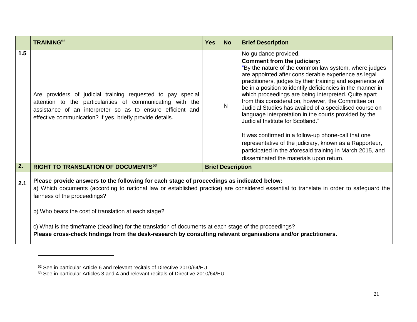|     | <b>TRAINING52</b>                                                                                                                                                                                                                                                                                                                                                                                                                                                                                                                                     | <b>Yes</b> | <b>No</b>                | <b>Brief Description</b>                                                                                                                                                                                                                                                                                                                                                                                                                                                                                                                                                                                                                                                                                                                                                                            |
|-----|-------------------------------------------------------------------------------------------------------------------------------------------------------------------------------------------------------------------------------------------------------------------------------------------------------------------------------------------------------------------------------------------------------------------------------------------------------------------------------------------------------------------------------------------------------|------------|--------------------------|-----------------------------------------------------------------------------------------------------------------------------------------------------------------------------------------------------------------------------------------------------------------------------------------------------------------------------------------------------------------------------------------------------------------------------------------------------------------------------------------------------------------------------------------------------------------------------------------------------------------------------------------------------------------------------------------------------------------------------------------------------------------------------------------------------|
| 1.5 | Are providers of judicial training requested to pay special<br>attention to the particularities of communicating with the<br>assistance of an interpreter so as to ensure efficient and<br>effective communication? If yes, briefly provide details.                                                                                                                                                                                                                                                                                                  |            | N                        | No guidance provided.<br>Comment from the judiciary:<br>"By the nature of the common law system, where judges<br>are appointed after considerable experience as legal<br>practitioners, judges by their training and experience will<br>be in a position to identify deficiencies in the manner in<br>which proceedings are being interpreted. Quite apart<br>from this consideration, however, the Committee on<br>Judicial Studies has availed of a specialised course on<br>language interpretation in the courts provided by the<br>Judicial Institute for Scotland."<br>It was confirmed in a follow-up phone-call that one<br>representative of the judiciary, known as a Rapporteur,<br>participated in the aforesaid training in March 2015, and<br>disseminated the materials upon return. |
| 2.  | <b>RIGHT TO TRANSLATION OF DOCUMENTS53</b>                                                                                                                                                                                                                                                                                                                                                                                                                                                                                                            |            | <b>Brief Description</b> |                                                                                                                                                                                                                                                                                                                                                                                                                                                                                                                                                                                                                                                                                                                                                                                                     |
| 2.1 | Please provide answers to the following for each stage of proceedings as indicated below:<br>a) Which documents (according to national law or established practice) are considered essential to translate in order to safeguard the<br>fairness of the proceedings?<br>b) Who bears the cost of translation at each stage?<br>c) What is the timeframe (deadline) for the translation of documents at each stage of the proceedings?<br>Please cross-check findings from the desk-research by consulting relevant organisations and/or practitioners. |            |                          |                                                                                                                                                                                                                                                                                                                                                                                                                                                                                                                                                                                                                                                                                                                                                                                                     |

l

<sup>52</sup> See in particular Article 6 and relevant recitals of Directive 2010/64/EU.

<sup>53</sup> See in particular Articles 3 and 4 and relevant recitals of Directive 2010/64/EU.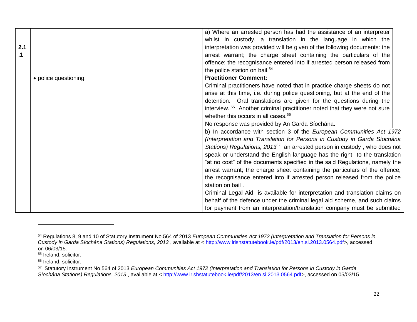| 2.1<br>.1 |                       | a) Where an arrested person has had the assistance of an interpreter<br>whilst in custody, a translation in the language in which the<br>interpretation was provided will be given of the following documents: the<br>arrest warrant; the charge sheet containing the particulars of the<br>offence; the recognisance entered into if arrested person released from<br>the police station on bail. <sup>54</sup>                                                                                                                                                                                                                                                                                                                                                                                                                                                                  |
|-----------|-----------------------|-----------------------------------------------------------------------------------------------------------------------------------------------------------------------------------------------------------------------------------------------------------------------------------------------------------------------------------------------------------------------------------------------------------------------------------------------------------------------------------------------------------------------------------------------------------------------------------------------------------------------------------------------------------------------------------------------------------------------------------------------------------------------------------------------------------------------------------------------------------------------------------|
|           | • police questioning; | <b>Practitioner Comment:</b><br>Criminal practitioners have noted that in practice charge sheets do not<br>arise at this time, i.e. during police questioning, but at the end of the<br>detention. Oral translations are given for the questions during the<br>interview. <sup>55</sup> Another criminal practitioner noted that they were not sure<br>whether this occurs in all cases. <sup>56</sup>                                                                                                                                                                                                                                                                                                                                                                                                                                                                            |
|           |                       | No response was provided by An Garda Síochána.<br>b) In accordance with section 3 of the European Communities Act 1972<br>(Interpretation and Translation for Persons in Custody in Garda Síochána<br>Stations) Regulations, 2013 <sup>57</sup> an arrested person in custody, who does not<br>speak or understand the English language has the right to the translation<br>"at no cost" of the documents specified in the said Regulations, namely the<br>arrest warrant; the charge sheet containing the particulars of the offence;<br>the recognisance entered into if arrested person released from the police<br>station on bail.<br>Criminal Legal Aid is available for interpretation and translation claims on<br>behalf of the defence under the criminal legal aid scheme, and such claims<br>for payment from an interpretation/translation company must be submitted |

 $\overline{a}$ 

<sup>54</sup> Regulations 8, 9 and 10 of Statutory Instrument No.564 of 2013 *European Communities Act 1972 (Interpretation and Translation for Persons in Custody in Garda Síochána Stations) Regulations, 2013* , available at < [http://www.irishstatutebook.ie/pdf/2013/en.si.2013.0564.pdf>](http://www.irishstatutebook.ie/pdf/2013/en.si.2013.0564.pdf), accessed on 06/03/15.

<sup>55</sup> Ireland, solicitor.

<sup>56</sup> Ireland, solicitor.

<sup>57</sup> Statutory Instrument No.564 of 2013 *European Communities Act 1972 (Interpretation and Translation for Persons in Custody in Garda Síochána Stations) Regulations, 2013* , available at < [http://www.irishstatutebook.ie/pdf/2013/en.si.2013.0564.pdf>](http://www.irishstatutebook.ie/pdf/2013/en.si.2013.0564.pdf), accessed on 05/03/15.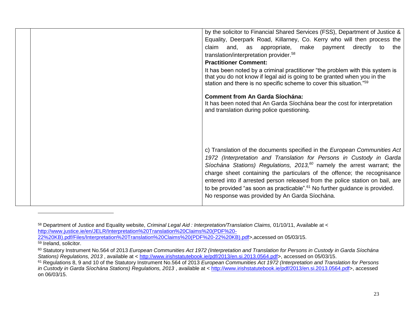| by the solicitor to Financial Shared Services (FSS), Department of Justice &                                                                                                                                                                                                                                                                                                                                                                                                                    |
|-------------------------------------------------------------------------------------------------------------------------------------------------------------------------------------------------------------------------------------------------------------------------------------------------------------------------------------------------------------------------------------------------------------------------------------------------------------------------------------------------|
| Equality, Deerpark Road, Killarney, Co. Kerry who will then process the                                                                                                                                                                                                                                                                                                                                                                                                                         |
| and, as appropriate, make payment directly to<br>claim<br>the                                                                                                                                                                                                                                                                                                                                                                                                                                   |
| translation/interpretation provider. <sup>58</sup>                                                                                                                                                                                                                                                                                                                                                                                                                                              |
| <b>Practitioner Comment:</b>                                                                                                                                                                                                                                                                                                                                                                                                                                                                    |
| It has been noted by a criminal practitioner "the problem with this system is<br>that you do not know if legal aid is going to be granted when you in the<br>station and there is no specific scheme to cover this situation."59                                                                                                                                                                                                                                                                |
| <b>Comment from An Garda Síochána:</b>                                                                                                                                                                                                                                                                                                                                                                                                                                                          |
| It has been noted that An Garda Siochana bear the cost for interpretation<br>and translation during police questioning.                                                                                                                                                                                                                                                                                                                                                                         |
|                                                                                                                                                                                                                                                                                                                                                                                                                                                                                                 |
|                                                                                                                                                                                                                                                                                                                                                                                                                                                                                                 |
|                                                                                                                                                                                                                                                                                                                                                                                                                                                                                                 |
|                                                                                                                                                                                                                                                                                                                                                                                                                                                                                                 |
| c) Translation of the documents specified in the European Communities Act<br>1972 (Interpretation and Translation for Persons in Custody in Garda<br>Síochána Stations) Regulations, 2013, <sup>60</sup> namely the arrest warrant; the<br>charge sheet containing the particulars of the offence; the recognisance<br>entered into if arrested person released from the police station on bail, are<br>to be provided "as soon as practicable". <sup>61</sup> No further guidance is provided. |
| No response was provided by An Garda Síochána.                                                                                                                                                                                                                                                                                                                                                                                                                                                  |

<sup>58</sup> Department of Justice and Equality website, *Criminal Legal Aid : Interpretation/Translation Claims,* 01/10/11, Available at < [http://www.justice.ie/en/JELR/Interpretation%20Translation%20Claims%20\(PDF%20-](http://www.justice.ie/en/JELR/Interpretation%20Translation%20Claims%20(PDF%20-22%20KB).pdf/Files/Interpretation%20Translation%20Claims%20(PDF%20-22%20KB).pdf) [22%20KB\).pdf/Files/Interpretation%20Translation%20Claims%20\(PDF%20-22%20KB\).pdf>](http://www.justice.ie/en/JELR/Interpretation%20Translation%20Claims%20(PDF%20-22%20KB).pdf/Files/Interpretation%20Translation%20Claims%20(PDF%20-22%20KB).pdf),accessed on 05/03/15. 59 Ireland, solicitor.

<sup>60</sup> Statutory Instrument No.564 of 2013 *European Communities Act 1972 (Interpretation and Translation for Persons in Custody in Garda Síochána Stations) Regulations, 2013* , available at < [http://www.irishstatutebook.ie/pdf/2013/en.si.2013.0564.pdf>](http://www.irishstatutebook.ie/pdf/2013/en.si.2013.0564.pdf), accessed on 05/03/15.

<sup>61</sup> Regulations 8, 9 and 10 of the Statutory Instrument No.564 of 2013 *European Communities Act 1972 (Interpretation and Translation for Persons in Custody in Garda Síochána Stations) Regulations, 2013* , available at < [http://www.irishstatutebook.ie/pdf/2013/en.si.2013.0564.pdf>](http://www.irishstatutebook.ie/pdf/2013/en.si.2013.0564.pdf), accessed on 06/03/15.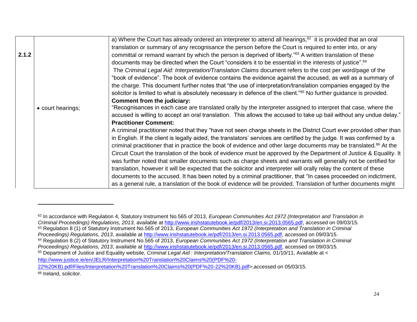|       |                   | a) Where the Court has already ordered an interpreter to attend all hearings, <sup>62</sup> it is provided that an oral        |
|-------|-------------------|--------------------------------------------------------------------------------------------------------------------------------|
|       |                   | translation or summary of any recognisance the person before the Court is required to enter into, or any                       |
| 2.1.2 |                   | committal or remand warrant by which the person is deprived of liberty." <sup>63</sup> A written translation of these          |
|       |                   | documents may be directed when the Court "considers it to be essential in the interests of justice". <sup>64</sup>             |
|       |                   | The Criminal Legal Aid: Interpretation/Translation Claims document refers to the cost per word/page of the                     |
|       |                   | "book of evidence". The book of evidence contains the evidence against the accused, as well as a summary of                    |
|       |                   | the charge. This document further notes that "the use of interpretation/translation companies engaged by the                   |
|       |                   | solicitor is limited to what is absolutely necessary in defence of the client." <sup>65</sup> No further guidance is provided. |
|       |                   | Comment from the judiciary:                                                                                                    |
|       | • court hearings; | "Recognisances in each case are translated orally by the interpreter assigned to interpret that case, where the                |
|       |                   | accused is willing to accept an oral translation. This allows the accused to take up bail without any undue delay."            |
|       |                   | <b>Practitioner Comment:</b>                                                                                                   |
|       |                   | A criminal practitioner noted that they "have not seen charge sheets in the District Court ever provided other than            |
|       |                   | in English. If the client is legally aided, the translators' services are certified by the judge. It was confirmed by a        |
|       |                   | criminal practitioner that in practice the book of evidence and other large documents may be translated. <sup>66</sup> At the  |
|       |                   | Circuit Court the translation of the book of evidence must be approved by the Department of Justice & Equality. It             |
|       |                   | was further noted that smaller documents such as charge sheets and warrants will generally not be certified for                |
|       |                   | translation, however it will be expected that the solicitor and interpreter will orally relay the content of these             |
|       |                   | documents to the accused. It has been noted by a criminal practitioner, that "In cases proceeded on indictment,                |
|       |                   | as a general rule, a translation of the book of evidence will be provided. Translation of further documents might              |

<sup>66</sup> Ireland, solicitor.

 $\overline{a}$ 

<sup>62</sup> In accordance with Regulation 4, Statutory Instrument No.565 of 2013, *European Communities Act 1972 (Interpretation and Translation in Criminal Proceedings) Regulations, 2013*, available at [http://www.irishstatutebook.ie/pdf/2013/en.si.2013.0565.pdf,](http://www.irishstatutebook.ie/pdf/2013/en.si.2013.0565.pdf) accessed on 09/03/15. <sup>63</sup> Regulation 8 (1) of Statutory Instrument No.565 of 2013, *European Communities Act 1972 (Interpretation and Translation in Criminal Proceedings) Regulations, 2013*, available at [http://www.irishstatutebook.ie/pdf/2013/en.si.2013.0565.pdf,](http://www.irishstatutebook.ie/pdf/2013/en.si.2013.0565.pdf) accessed on 09/03/15. <sup>64</sup> Regulation 8 (2) of Statutory Instrument No.565 of 2013, *European Communities Act 1972 (Interpretation and Translation in Criminal Proceedings) Regulations, 2013*, available at [http://www.irishstatutebook.ie/pdf/2013/en.si.2013.0565.pdf,](http://www.irishstatutebook.ie/pdf/2013/en.si.2013.0565.pdf) accessed on 09/03/15. <sup>65</sup> Department of Justice and Equality website, *Criminal Legal Aid : Interpretation/Translation Claims,* 01/10/11, Available at < [http://www.justice.ie/en/JELR/Interpretation%20Translation%20Claims%20\(PDF%20-](http://www.justice.ie/en/JELR/Interpretation%20Translation%20Claims%20(PDF%20-22%20KB).pdf/Files/Interpretation%20Translation%20Claims%20(PDF%20-22%20KB).pdf)

[<sup>22%20</sup>KB\).pdf/Files/Interpretation%20Translation%20Claims%20\(PDF%20-22%20KB\).pdf>](http://www.justice.ie/en/JELR/Interpretation%20Translation%20Claims%20(PDF%20-22%20KB).pdf/Files/Interpretation%20Translation%20Claims%20(PDF%20-22%20KB).pdf),accessed on 05/03/15.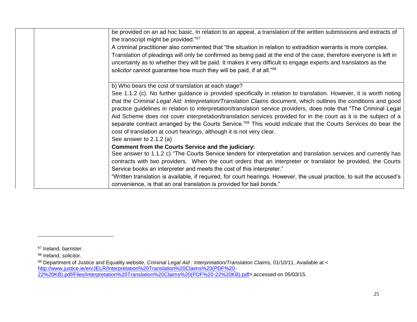| be provided on an ad hoc basic. In relation to an appeal, a translation of the written submissions and extracts of<br>the transcript might be provided." <sup>67</sup> |
|------------------------------------------------------------------------------------------------------------------------------------------------------------------------|
| A criminal practitioner also commented that "the situation in relation to extradition warrants is more complex.                                                        |
| Translation of pleadings will only be confirmed as being paid at the end of the case; therefore everyone is left in                                                    |
| uncertainty as to whether they will be paid. It makes it very difficult to engage experts and translators as the                                                       |
| solicitor cannot guarantee how much they will be paid, if at all." <sup>68</sup>                                                                                       |
| b) Who bears the cost of translation at each stage?                                                                                                                    |
| See 1.1.2 (c). No further guidance is provided specifically in relation to translation. However, it is worth noting                                                    |
| that the Criminal Legal Aid: Interpretation/Translation Claims document, which outlines the conditions and good                                                        |
| practice guidelines in relation to interpretation/translation service providers, does note that "The Criminal Legal                                                    |
| Aid Scheme does not cover interpretation/translation services provided for in the court as it is the subject of a                                                      |
| separate contract arranged by the Courts Service." <sup>69</sup> This would indicate that the Courts Services do bear the                                              |
| cost of translation at court hearings, although it is not very clear.                                                                                                  |
| See answer to $2.1.2$ (a)                                                                                                                                              |
| <b>Comment from the Courts Service and the judiciary:</b>                                                                                                              |
| See answer to 1.1.2 c) "The Courts Service tenders for interpretation and translation services and currently has                                                       |
| contracts with two providers. When the court orders that an interpreter or translator be provided, the Courts                                                          |
| Service books an interpreter and meets the cost of this interpreter."                                                                                                  |
| "Written translation is available, if required, for court hearings. However, the usual practice, to suit the accused's                                                 |
| convenience, is that an oral translation is provided for bail bonds."                                                                                                  |
|                                                                                                                                                                        |

<sup>&</sup>lt;sup>67</sup> Ireland, barrister.

<sup>&</sup>lt;sup>68</sup> Ireland, solicitor.

<sup>&</sup>lt;sup>69</sup> Department of Justice and Equality website, *Criminal Legal Aid : Interpretation/Translation Claims,* 01/10/11, Available at < [http://www.justice.ie/en/JELR/Interpretation%20Translation%20Claims%20\(PDF%20-](http://www.justice.ie/en/JELR/Interpretation%20Translation%20Claims%20(PDF%20-22%20KB).pdf/Files/Interpretation%20Translation%20Claims%20(PDF%20-22%20KB).pdf) [22%20KB\).pdf/Files/Interpretation%20Translation%20Claims%20\(PDF%20-22%20KB\).pdf>](http://www.justice.ie/en/JELR/Interpretation%20Translation%20Claims%20(PDF%20-22%20KB).pdf/Files/Interpretation%20Translation%20Claims%20(PDF%20-22%20KB).pdf),accessed on 05/03/15.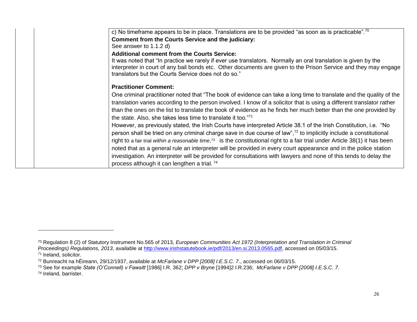| interpreter in court of any bail bonds etc. Other documents are given to the Prison Service and they may engage                           |
|-------------------------------------------------------------------------------------------------------------------------------------------|
|                                                                                                                                           |
| One criminal practitioner noted that "The book of evidence can take a long time to translate and the quality of the                       |
| translation varies according to the person involved. I know of a solicitor that is using a different translator rather                    |
| than the ones on the list to translate the book of evidence as he finds her much better than the one provided by                          |
|                                                                                                                                           |
| However, as previously stated, the Irish Courts have interpreted Article 38.1 of the Irish Constitution, i.e. "No                         |
| person shall be tried on any criminal charge save in due course of law", <sup>72</sup> to implicitly include a constitutional             |
| right to a fair trial within a reasonable time, <sup>73</sup> is the constitutional right to a fair trial under Article 38(1) it has been |
| noted that as a general rule an interpreter will be provided in every court appearance and in the police station                          |
| investigation. An interpreter will be provided for consultations with lawyers and none of this tends to delay the                         |
|                                                                                                                                           |
|                                                                                                                                           |

<sup>70</sup> Regulation 8 (2) of Statutory Instrument No.565 of 2013, *European Communities Act 1972 (Interpretation and Translation in Criminal Proceedings) Regulations, 2013*, available at [http://www.irishstatutebook.ie/pdf/2013/en.si.2013.0565.pdf,](http://www.irishstatutebook.ie/pdf/2013/en.si.2013.0565.pdf) accessed on 05/03/15. <sup>71</sup> Ireland, solicitor.

<sup>72</sup> Bunreacht na hÉireann, 29/12/1937, available at *McFarlane v DPP [2008] I.E.S.C. 7*., accessed on 06/03/15.

<sup>73</sup> See for example *State (O'Connell) v Fawsitt* [1986] I.R. 362; *DPP v Bryne* [1994]2 I.R.236; *McFarlane v DPP [2008] I.E.S.C. 7*.

<sup>74</sup> Ireland, barrister.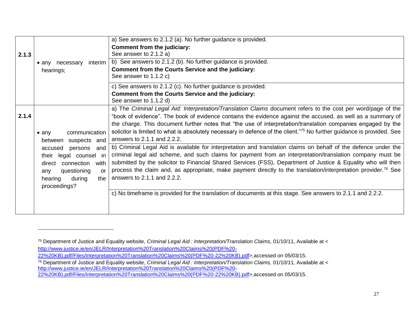|       |                                | a) See answers to 2.1.2 (a). No further guidance is provided.                                                              |
|-------|--------------------------------|----------------------------------------------------------------------------------------------------------------------------|
|       |                                | Comment from the judiciary:                                                                                                |
| 2.1.3 |                                | See answer to 2.1.2 a)                                                                                                     |
|       | interim<br>• any necessary     | b) See answers to 2.1.2 (b). No further guidance is provided.                                                              |
|       | hearings;                      | <b>Comment from the Courts Service and the judiciary:</b>                                                                  |
|       |                                | See answer to 1.1.2 c)                                                                                                     |
|       |                                | c) See answers to 2.1.2 (c). No further guidance is provided.                                                              |
|       |                                | <b>Comment from the Courts Service and the judiciary:</b>                                                                  |
|       |                                | See answer to 1.1.2 d)                                                                                                     |
|       |                                | a) The Criminal Legal Aid: Interpretation/Translation Claims document refers to the cost per word/page of the              |
| 2.1.4 |                                | "book of evidence". The book of evidence contains the evidence against the accused, as well as a summary of                |
|       |                                | the charge. This document further notes that "the use of interpretation/translation companies engaged by the               |
|       | communication<br>$\bullet$ any | solicitor is limited to what is absolutely necessary in defence of the client."75 No further guidance is provided. See     |
|       | between suspects and           | answers to 2.1.1 and 2.2.2.                                                                                                |
|       | accused<br>persons<br>and      | b) Criminal Legal Aid is available for interpretation and translation claims on behalf of the defence under the            |
|       | legal counsel in<br>their      | criminal legal aid scheme, and such claims for payment from an interpretation/translation company must be                  |
|       | connection<br>with<br>direct   | submitted by the solicitor to Financial Shared Services (FSS), Department of Justice & Equality who will then              |
|       | questioning<br><b>or</b>       | process the claim and, as appropriate, make payment directly to the translation/interpretation provider. <sup>76</sup> See |
|       | any<br>during<br>the           | answers to 2.1.1 and 2.2.2.                                                                                                |
|       | hearing                        |                                                                                                                            |
|       | proceedings?                   |                                                                                                                            |
|       |                                | c) No timeframe is provided for the translation of documents at this stage. See answers to 2.1.1 and 2.2.2.                |
|       |                                |                                                                                                                            |
|       |                                |                                                                                                                            |

<sup>75</sup> Department of Justice and Equality website, *Criminal Legal Aid : Interpretation/Translation Claims,* 01/10/11, Available at < [http://www.justice.ie/en/JELR/Interpretation%20Translation%20Claims%20\(PDF%20-](http://www.justice.ie/en/JELR/Interpretation%20Translation%20Claims%20(PDF%20-22%20KB).pdf/Files/Interpretation%20Translation%20Claims%20(PDF%20-22%20KB).pdf) [22%20KB\).pdf/Files/Interpretation%20Translation%20Claims%20\(PDF%20-22%20KB\).pdf>](http://www.justice.ie/en/JELR/Interpretation%20Translation%20Claims%20(PDF%20-22%20KB).pdf/Files/Interpretation%20Translation%20Claims%20(PDF%20-22%20KB).pdf),accessed on 05/03/15.

<sup>76</sup> Department of Justice and Equality website, *Criminal Legal Aid : Interpretation/Translation Claims,* 01/10/11, Available at < [http://www.justice.ie/en/JELR/Interpretation%20Translation%20Claims%20\(PDF%20-](http://www.justice.ie/en/JELR/Interpretation%20Translation%20Claims%20(PDF%20-22%20KB).pdf/Files/Interpretation%20Translation%20Claims%20(PDF%20-22%20KB).pdf) [22%20KB\).pdf/Files/Interpretation%20Translation%20Claims%20\(PDF%20-22%20KB\).pdf>](http://www.justice.ie/en/JELR/Interpretation%20Translation%20Claims%20(PDF%20-22%20KB).pdf/Files/Interpretation%20Translation%20Claims%20(PDF%20-22%20KB).pdf),accessed on 05/03/15.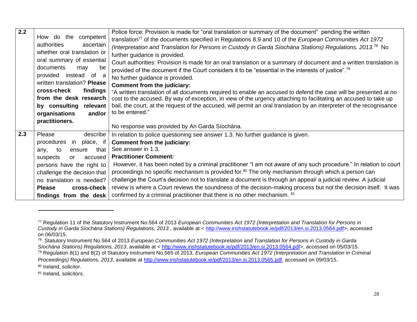| 2.2 |                               | Police force: Provision is made for "oral translation or summary of the document" pending the written                  |
|-----|-------------------------------|------------------------------------------------------------------------------------------------------------------------|
|     | How do the competent          | translation <sup>77</sup> of the documents specified in Regulations 8,9 and 10 of the European Communities Act 1972    |
|     | authorities<br>ascertain      | (Interpretation and Translation for Persons in Custody in Garda Síochána Stations) Regulations, 2013. <sup>78</sup> No |
|     | whether oral translation or   | further guidance is provided.                                                                                          |
|     | oral summary of essential     | Court authorities: Provision is made for an oral translation or a summary of document and a written translation is     |
|     | documents<br>be<br>may        |                                                                                                                        |
|     | provided<br>instead of a      | provided of the document if the Court considers it to be "essential in the interests of justice". <sup>79</sup>        |
|     | written translation? Please   | No further guidance is provided.                                                                                       |
|     |                               | Comment from the judiciary:                                                                                            |
|     | cross-check<br>findings       | "A written translation of all documents required to enable an accused to defend the case will be presented at no       |
|     | from the desk research        | cost to the accused. By way of exception, in view of the urgency attaching to facilitating an accused to take up       |
|     | by consulting<br>relevant     | bail, the court, at the request of the accused, will permit an oral translation by an interpreter of the recognisance  |
|     | organisations<br>and/or       | to be entered."                                                                                                        |
|     | practitioners.                |                                                                                                                        |
|     |                               | No response was provided by An Garda Síochána.                                                                         |
| 2.3 | describe<br>Please            | In relation to police questioning see answer 1.3. No further guidance is given.                                        |
|     | procedures<br>place, if<br>in | Comment from the judiciary:                                                                                            |
|     | that<br>to<br>ensure<br>any,  | See answer in 1.3.                                                                                                     |
|     | accused<br>suspects<br>or     | <b>Practitioner Comment:</b>                                                                                           |
|     | persons have the right to     | However, it has been noted by a criminal practitioner "I am not aware of any such procedure." In relation to court     |
|     | challenge the decision that   | proceedings no specific mechanism is provided for. <sup>80</sup> The only mechanism through which a person can         |
|     | no translation is needed?     | challenge the Court's decision not to translate a document is through an appeal/ a judicial review. A judicial         |
|     | <b>Please</b><br>cross-check  | review is where a Court reviews the soundness of the decision-making process but not the decision itself. It was       |
|     | findings from the desk        | confirmed by a criminal practitioner that there is no other mechanism. <sup>81</sup>                                   |

81 Ireland, solicitors.

<sup>77</sup> Regulation 11 of the Statutory Instrument No.564 of 2013 *European Communities Act 1972 (Interpretation and Translation for Persons in Custody in Garda Síochána Stations) Regulations, 2013* , available at < [http://www.irishstatutebook.ie/pdf/2013/en.si.2013.0564.pdf>](http://www.irishstatutebook.ie/pdf/2013/en.si.2013.0564.pdf), accessed on 06/03/15.

<sup>78</sup> Statutory Instrument No.564 of 2013 *European Communities Act 1972 (Interpretation and Translation for Persons in Custody in Garda Síochána Stations) Regulations, 2013*, available at < [http://www.irishstatutebook.ie/pdf/2013/en.si.2013.0564.pdf>](http://www.irishstatutebook.ie/pdf/2013/en.si.2013.0564.pdf), accessed on 05/03/15. <sup>79</sup> Regulation 8(1) and 8(2) of Statutory Instrument No.565 of 2013, *European Communities Act 1972 (Interpretation and Translation in Criminal* 

*Proceedings) Regulations, 2013*, available at [http://www.irishstatutebook.ie/pdf/2013/en.si.2013.0565.pdf,](http://www.irishstatutebook.ie/pdf/2013/en.si.2013.0565.pdf) accessed on 09/03/15. 80 Ireland, solicitor.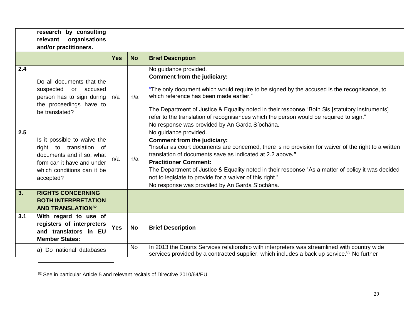|     | research by consulting<br>organisations<br>relevant<br>and/or practitioners.                                                                                 |            |           |                                                                                                                                                                                                                                                                                                                                                                                                                                                                                |
|-----|--------------------------------------------------------------------------------------------------------------------------------------------------------------|------------|-----------|--------------------------------------------------------------------------------------------------------------------------------------------------------------------------------------------------------------------------------------------------------------------------------------------------------------------------------------------------------------------------------------------------------------------------------------------------------------------------------|
|     |                                                                                                                                                              | <b>Yes</b> | <b>No</b> | <b>Brief Description</b>                                                                                                                                                                                                                                                                                                                                                                                                                                                       |
| 2.4 | Do all documents that the<br>suspected<br>or accused<br>person has to sign during<br>the proceedings have to<br>be translated?                               | n/a        | n/a       | No guidance provided.<br>Comment from the judiciary:<br>"The only document which would require to be signed by the accused is the recognisance, to<br>which reference has been made earlier."<br>The Department of Justice & Equality noted in their response "Both Sis [statutory instruments]<br>refer to the translation of recognisances which the person would be required to sign."<br>No response was provided by An Garda Síochána.                                    |
| 2.5 | Is it possible to waive the<br>right to translation of<br>documents and if so, what<br>form can it have and under<br>which conditions can it be<br>accepted? | n/a        | n/a       | No guidance provided.<br>Comment from the judiciary:<br>"Insofar as court documents are concerned, there is no provision for waiver of the right to a written<br>translation of documents save as indicated at 2.2 above."<br><b>Practitioner Comment:</b><br>The Department of Justice & Equality noted in their response "As a matter of policy it was decided<br>not to legislate to provide for a waiver of this right."<br>No response was provided by An Garda Síochána. |
| 3.  | <b>RIGHTS CONCERNING</b><br><b>BOTH INTERPRETATION</b><br><b>AND TRANSLATION82</b>                                                                           |            |           |                                                                                                                                                                                                                                                                                                                                                                                                                                                                                |
| 3.1 | With regard to use of<br>registers of interpreters<br>and translators in EU<br><b>Member States:</b>                                                         | <b>Yes</b> | <b>No</b> | <b>Brief Description</b>                                                                                                                                                                                                                                                                                                                                                                                                                                                       |
|     | a) Do national databases                                                                                                                                     |            | <b>No</b> | In 2013 the Courts Services relationship with interpreters was streamlined with country wide<br>services provided by a contracted supplier, which includes a back up service. <sup>83</sup> No further                                                                                                                                                                                                                                                                         |

<sup>82</sup> See in particular Article 5 and relevant recitals of Directive 2010/64/EU.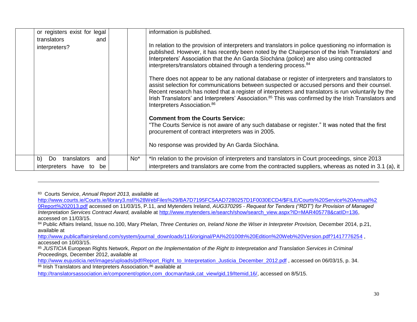| or registers exist for legal   |                 | information is published.                                                                                                                                                                                                                                                                                                                                                                                                                                            |
|--------------------------------|-----------------|----------------------------------------------------------------------------------------------------------------------------------------------------------------------------------------------------------------------------------------------------------------------------------------------------------------------------------------------------------------------------------------------------------------------------------------------------------------------|
| translators<br>and             |                 |                                                                                                                                                                                                                                                                                                                                                                                                                                                                      |
| interpreters?                  |                 | In relation to the provision of interpreters and translators in police questioning no information is<br>published. However, it has recently been noted by the Chairperson of the Irish Translators' and<br>Interpreters' Association that the An Garda Síochána (police) are also using contracted<br>interpreters/translators obtained through a tendering process. <sup>84</sup>                                                                                   |
|                                |                 | There does not appear to be any national database or register of interpreters and translators to<br>assist selection for communications between suspected or accused persons and their counsel.<br>Recent research has noted that a register of interpreters and translators is run voluntarily by the<br>Irish Translators' and Interpreters' Association. <sup>85</sup> This was confirmed by the Irish Translators and<br>Interpreters Association. <sup>86</sup> |
|                                |                 | <b>Comment from the Courts Service:</b>                                                                                                                                                                                                                                                                                                                                                                                                                              |
|                                |                 | "The Courts Service is not aware of any such database or register." It was noted that the first<br>procurement of contract interpreters was in 2005.                                                                                                                                                                                                                                                                                                                 |
|                                |                 | No response was provided by An Garda Síochána.                                                                                                                                                                                                                                                                                                                                                                                                                       |
| b)<br>Do<br>translators<br>and | No <sup>*</sup> | *In relation to the provision of interpreters and translators in Court proceedings, since 2013                                                                                                                                                                                                                                                                                                                                                                       |
| interpreters have<br>be<br>to  |                 | interpreters and translators are come from the contracted suppliers, whereas as noted in 3.1 (a), it                                                                                                                                                                                                                                                                                                                                                                 |

83 Courts Service, *Annual Report 2013,* available at

 $\overline{\phantom{a}}$ 

[http://www.courts.ie/Courts.ie/library3.nsf/%28WebFiles%29/BA7D7195FC5AAD7280257D1F0030ECD4/\\$FILE/Courts%20Service%20Annual%2](http://www.courts.ie/Courts.ie/library3.nsf/%28WebFiles%29/BA7D7195FC5AAD7280257D1F0030ECD4/$FILE/Courts%20Service%20Annual%20Report%202013.pdf) [0Report%202013.pdf](http://www.courts.ie/Courts.ie/library3.nsf/%28WebFiles%29/BA7D7195FC5AAD7280257D1F0030ECD4/$FILE/Courts%20Service%20Annual%20Report%202013.pdf) accessed on 11/03/15, P.11, and Mytenders Ireland, *AUG370295 - Request for Tenders ("RDT") for Provision of Managed Interpretation Services Contract Award, available at [http://www.mytenders.ie/search/show/search\\_view.aspx?ID=MAR405778&catID=136,](http://www.mytenders.ie/search/show/search_view.aspx?ID=MAR405778&catID=136)* accessed on 11/03/15.

84 Public Affairs Ireland, Issue no.100, Mary Phelan, *Three Centuries on, Ireland None the Wiser in Interpreter Provision*, December 2014, p.21, available at

[http://www.publicaffairsireland.com/system/journal\\_downloads/116/original/PAI%20100th%20Edition%20Web%20Version.pdf?1417776254](http://www.publicaffairsireland.com/system/journal_downloads/116/original/PAI%20100th%20Edition%20Web%20Version.pdf?1417776254) accessed on 10/03/15.

85 *JUSTICIA* European Rights Network, *Report on the Implementation of the Right to Interpretation and Translation Services in Criminal Proceedings,* December 2012, available at

[http://www.eujusticia.net/images/uploads/pdf/Report\\_Right\\_to\\_Interpretation\\_Justicia\\_December\\_2012.pdf](http://www.eujusticia.net/images/uploads/pdf/Report_Right_to_Interpretation_Justicia_December_2012.pdf) , accessed on 06/03/15, p. 34. 86 Irish Translators and Interpreters Association.<sup>86</sup> available at

[http://translatorsassociation.ie/component/option,com\\_docman/task,cat\\_view/gid,19/Itemid,16/,](http://translatorsassociation.ie/component/option,com_docman/task,cat_view/gid,19/Itemid,16/) accessed on 8/5/15.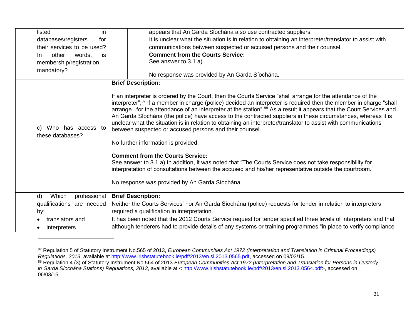| listed<br>in                                | appears that An Garda Síochána also use contracted suppliers.                                                                                                                                                                                                                                                                                                                                                                                                                                                                                                                                                                                                                                                                                                                                                                                                                                                                                                                                                                         |
|---------------------------------------------|---------------------------------------------------------------------------------------------------------------------------------------------------------------------------------------------------------------------------------------------------------------------------------------------------------------------------------------------------------------------------------------------------------------------------------------------------------------------------------------------------------------------------------------------------------------------------------------------------------------------------------------------------------------------------------------------------------------------------------------------------------------------------------------------------------------------------------------------------------------------------------------------------------------------------------------------------------------------------------------------------------------------------------------|
| databases/registers<br>for                  | It is unclear what the situation is in relation to obtaining an interpreter/translator to assist with                                                                                                                                                                                                                                                                                                                                                                                                                                                                                                                                                                                                                                                                                                                                                                                                                                                                                                                                 |
| their services to be used?                  | communications between suspected or accused persons and their counsel.                                                                                                                                                                                                                                                                                                                                                                                                                                                                                                                                                                                                                                                                                                                                                                                                                                                                                                                                                                |
| other<br>words,<br>is.<br>In.               | <b>Comment from the Courts Service:</b>                                                                                                                                                                                                                                                                                                                                                                                                                                                                                                                                                                                                                                                                                                                                                                                                                                                                                                                                                                                               |
| membership/registration                     | See answer to 3.1 a)                                                                                                                                                                                                                                                                                                                                                                                                                                                                                                                                                                                                                                                                                                                                                                                                                                                                                                                                                                                                                  |
| mandatory?                                  |                                                                                                                                                                                                                                                                                                                                                                                                                                                                                                                                                                                                                                                                                                                                                                                                                                                                                                                                                                                                                                       |
|                                             | No response was provided by An Garda Síochána.                                                                                                                                                                                                                                                                                                                                                                                                                                                                                                                                                                                                                                                                                                                                                                                                                                                                                                                                                                                        |
|                                             | <b>Brief Description:</b>                                                                                                                                                                                                                                                                                                                                                                                                                                                                                                                                                                                                                                                                                                                                                                                                                                                                                                                                                                                                             |
| Who has access to<br>C)<br>these databases? | If an interpreter is ordered by the Court, then the Courts Service "shall arrange for the attendance of the<br>interpreter", <sup>87</sup> if a member in charge (police) decided an interpreter is required then the member in charge "shall<br>arrangefor the attendance of an interpreter at the station". <sup>88</sup> As a result it appears that the Court Services and<br>An Garda Síochána (the police) have access to the contracted suppliers in these circumstances, whereas it is<br>unclear what the situation is in relation to obtaining an interpreter/translator to assist with communications<br>between suspected or accused persons and their counsel.<br>No further information is provided.<br><b>Comment from the Courts Service:</b><br>See answer to 3.1 a) In addition, it was noted that "The Courts Service does not take responsibility for<br>interpretation of consultations between the accused and his/her representative outside the courtroom."<br>No response was provided by An Garda Síochána. |
| $\mathsf{d}$<br>Which<br>professional       | <b>Brief Description:</b>                                                                                                                                                                                                                                                                                                                                                                                                                                                                                                                                                                                                                                                                                                                                                                                                                                                                                                                                                                                                             |
| qualifications are needed                   | Neither the Courts Services' nor An Garda Síochána (police) requests for tender in relation to interpreters                                                                                                                                                                                                                                                                                                                                                                                                                                                                                                                                                                                                                                                                                                                                                                                                                                                                                                                           |
| by:                                         | required a qualification in interpretation.                                                                                                                                                                                                                                                                                                                                                                                                                                                                                                                                                                                                                                                                                                                                                                                                                                                                                                                                                                                           |
| translators and                             | It has been noted that the 2012 Courts Service request for tender specified three levels of interpreters and that                                                                                                                                                                                                                                                                                                                                                                                                                                                                                                                                                                                                                                                                                                                                                                                                                                                                                                                     |
| interpreters                                | although tenderers had to provide details of any systems or training programmes "in place to verify compliance                                                                                                                                                                                                                                                                                                                                                                                                                                                                                                                                                                                                                                                                                                                                                                                                                                                                                                                        |

<sup>87</sup> Regulation 5 of Statutory Instrument No.565 of 2013, *European Communities Act 1972 (Interpretation and Translation in Criminal Proceedings) Regulations, 2013*, available at [http://www.irishstatutebook.ie/pdf/2013/en.si.2013.0565.pdf,](http://www.irishstatutebook.ie/pdf/2013/en.si.2013.0565.pdf) accessed on 09/03/15.

<sup>88</sup> Regulation 4 (3) of Statutory Instrument No.564 of 2013 *European Communities Act 1972 (Interpretation and Translation for Persons in Custody in Garda Síochána Stations) Regulations, 2013*, available at < [http://www.irishstatutebook.ie/pdf/2013/en.si.2013.0564.pdf>](http://www.irishstatutebook.ie/pdf/2013/en.si.2013.0564.pdf), accessed on 06/03/15.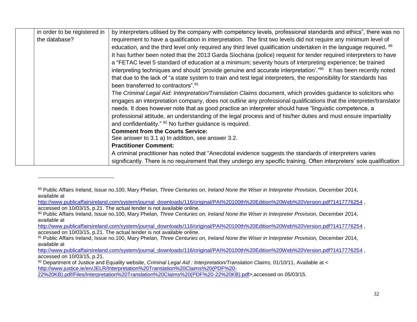| in order to be registered in | by interpreters utilised by the company with competency levels, professional standards and ethics", there was no            |
|------------------------------|-----------------------------------------------------------------------------------------------------------------------------|
| the database?                | requirement to have a qualification in interpretation. The first two levels did not require any minimum level of            |
|                              | education, and the third level only required any third level qualification undertaken in the language required. 89          |
|                              | It has further been noted that the 2013 Garda Síochána (police) request for tender required interpreters to have            |
|                              | a "FETAC level 5 standard of education at a minimum; seventy hours of interpreting experience; be trained                   |
|                              | interpreting techniques and should 'provide genuine and accurate interpretation'." <sup>90</sup> It has been recently noted |
|                              | that due to the lack of "a state system to train and test legal interpreters, the responsibility for standards has          |
|                              | been transferred to contractors". <sup>91</sup>                                                                             |
|                              | The Criminal Legal Aid: Interpretation/Translation Claims document, which provides guidance to solicitors who               |
|                              | engages an interpretation company, does not outline any professional qualifications that the interpreter/translator         |
|                              | needs. It does however note that as good practice an interpreter should have "linguistic competence, a                      |
|                              | professional attitude, an understanding of the legal process and of his/her duties and must ensure impartiality             |
|                              | and confidentiality." <sup>92</sup> No further guidance is required.                                                        |
|                              | <b>Comment from the Courts Service:</b>                                                                                     |
|                              | See answer to 3.1 a) In addition, see answer 3.2.                                                                           |
|                              | <b>Practitioner Comment:</b>                                                                                                |
|                              | A criminal practitioner has noted that "Anecdotal evidence suggests the standards of interpreters varies                    |
|                              | significantly. There is no requirement that they undergo any specific training. Often interpreters' sole qualification      |

[http://www.publicaffairsireland.com/system/journal\\_downloads/116/original/PAI%20100th%20Edition%20Web%20Version.pdf?1417776254](http://www.publicaffairsireland.com/system/journal_downloads/116/original/PAI%20100th%20Edition%20Web%20Version.pdf?1417776254), accessed on 10/03/15, p.21. The actual tender is not available online.

[http://www.publicaffairsireland.com/system/journal\\_downloads/116/original/PAI%20100th%20Edition%20Web%20Version.pdf?1417776254](http://www.publicaffairsireland.com/system/journal_downloads/116/original/PAI%20100th%20Edition%20Web%20Version.pdf?1417776254) , accessed on 10/03/15, p.21. The actual tender is not available online.

[http://www.publicaffairsireland.com/system/journal\\_downloads/116/original/PAI%20100th%20Edition%20Web%20Version.pdf?1417776254](http://www.publicaffairsireland.com/system/journal_downloads/116/original/PAI%20100th%20Edition%20Web%20Version.pdf?1417776254) , accessed on 10/03/15, p.21.

[22%20KB\).pdf/Files/Interpretation%20Translation%20Claims%20\(PDF%20-22%20KB\).pdf>](http://www.justice.ie/en/JELR/Interpretation%20Translation%20Claims%20(PDF%20-22%20KB).pdf/Files/Interpretation%20Translation%20Claims%20(PDF%20-22%20KB).pdf),accessed on 05/03/15.

l

<sup>89</sup> Public Affairs Ireland, Issue no.100, Mary Phelan, *Three Centuries on, Ireland None the Wiser in Interpreter Provision*, December 2014, available at

<sup>90</sup> Public Affairs Ireland, Issue no.100, Mary Phelan, *Three Centuries on, Ireland None the Wiser in Interpreter Provision,* December 2014, available at

<sup>91</sup> Public Affairs Ireland, Issue no.100, Mary Phelan, *Three Centuries on, Ireland None the Wiser in Interpreter Provision*, December 2014, available at

<sup>92</sup> Department of Justice and Equality website, *Criminal Legal Aid : Interpretation/Translation Claims*, 01/10/11, Available at < [http://www.justice.ie/en/JELR/Interpretation%20Translation%20Claims%20\(PDF%20-](http://www.justice.ie/en/JELR/Interpretation%20Translation%20Claims%20(PDF%20-22%20KB).pdf/Files/Interpretation%20Translation%20Claims%20(PDF%20-22%20KB).pdf)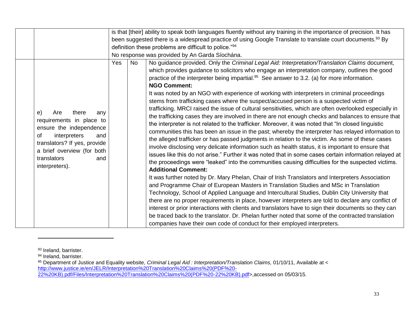|                                                                                                                                                                                                                     |                                                                                                                        | is that [their] ability to speak both languages fluently without any training in the importance of precision. It has |                                                                                                                                                                                                                                                                                                                                                                                                                                                                                                                                                                                                                                                                                                                                                                                                                                                                                                                                                                                                                                                                                                                                                                                                                                                                                                                                                                                                                                                                                                                                                                                                                                                                                                                                                                                                                                                                                                                                                                                                                                                                                                                 |  |  |  |
|---------------------------------------------------------------------------------------------------------------------------------------------------------------------------------------------------------------------|------------------------------------------------------------------------------------------------------------------------|----------------------------------------------------------------------------------------------------------------------|-----------------------------------------------------------------------------------------------------------------------------------------------------------------------------------------------------------------------------------------------------------------------------------------------------------------------------------------------------------------------------------------------------------------------------------------------------------------------------------------------------------------------------------------------------------------------------------------------------------------------------------------------------------------------------------------------------------------------------------------------------------------------------------------------------------------------------------------------------------------------------------------------------------------------------------------------------------------------------------------------------------------------------------------------------------------------------------------------------------------------------------------------------------------------------------------------------------------------------------------------------------------------------------------------------------------------------------------------------------------------------------------------------------------------------------------------------------------------------------------------------------------------------------------------------------------------------------------------------------------------------------------------------------------------------------------------------------------------------------------------------------------------------------------------------------------------------------------------------------------------------------------------------------------------------------------------------------------------------------------------------------------------------------------------------------------------------------------------------------------|--|--|--|
|                                                                                                                                                                                                                     | been suggested there is a widespread practice of using Google Translate to translate court documents. <sup>93</sup> By |                                                                                                                      |                                                                                                                                                                                                                                                                                                                                                                                                                                                                                                                                                                                                                                                                                                                                                                                                                                                                                                                                                                                                                                                                                                                                                                                                                                                                                                                                                                                                                                                                                                                                                                                                                                                                                                                                                                                                                                                                                                                                                                                                                                                                                                                 |  |  |  |
|                                                                                                                                                                                                                     | definition these problems are difficult to police."94                                                                  |                                                                                                                      |                                                                                                                                                                                                                                                                                                                                                                                                                                                                                                                                                                                                                                                                                                                                                                                                                                                                                                                                                                                                                                                                                                                                                                                                                                                                                                                                                                                                                                                                                                                                                                                                                                                                                                                                                                                                                                                                                                                                                                                                                                                                                                                 |  |  |  |
|                                                                                                                                                                                                                     |                                                                                                                        |                                                                                                                      | No response was provided by An Garda Síochána.                                                                                                                                                                                                                                                                                                                                                                                                                                                                                                                                                                                                                                                                                                                                                                                                                                                                                                                                                                                                                                                                                                                                                                                                                                                                                                                                                                                                                                                                                                                                                                                                                                                                                                                                                                                                                                                                                                                                                                                                                                                                  |  |  |  |
| e)<br>Are<br>there<br>any<br>requirements in place to<br>ensure the independence<br>0f<br>interpreters<br>and<br>translators? If yes, provide<br>a brief overview (for both<br>translators<br>and<br>interpreters). | <b>Yes</b>                                                                                                             | <b>No</b>                                                                                                            | No guidance provided. Only the Criminal Legal Aid: Interpretation/Translation Claims document,<br>which provides guidance to solicitors who engage an interpretation company, outlines the good<br>practice of the interpreter being impartial. <sup>95</sup> See answer to 3.2. (a) for more information.<br><b>NGO Comment:</b><br>It was noted by an NGO with experience of working with interpreters in criminal proceedings<br>stems from trafficking cases where the suspect/accused person is a suspected victim of<br>trafficking. MRCI raised the issue of cultural sensitivities, which are often overlooked especially in<br>the trafficking cases they are involved in there are not enough checks and balances to ensure that<br>the interpreter is not related to the trafficker. Moreover, it was noted that "In closed linguistic<br>communities this has been an issue in the past; whereby the interpreter has relayed information to<br>the alleged trafficker or has passed judgments in relation to the victim. As some of these cases<br>involve disclosing very delicate information such as health status, it is important to ensure that<br>issues like this do not arise." Further it was noted that in some cases certain information relayed at<br>the proceedings were "leaked" into the communities causing difficulties for the suspected victims.<br><b>Additional Comment:</b><br>It was further noted by Dr. Mary Phelan, Chair of Irish Translators and Interpreters Association<br>and Programme Chair of European Masters in Translation Studies and MSc in Translation<br>Technology, School of Applied Language and Intercultural Studies, Dublin City University that<br>there are no proper requirements in place, however interpreters are told to declare any conflict of<br>interest or prior interactions with clients and translators have to sign their documents so they can<br>be traced back to the translator. Dr. Phelan further noted that some of the contracted translation<br>companies have their own code of conduct for their employed interpreters. |  |  |  |

<sup>93</sup> Ireland, barrister.

<sup>94</sup> Ireland, barrister.

<sup>95</sup> Department of Justice and Equality website, *Criminal Legal Aid : Interpretation/Translation Claims,* 01/10/11, Available at < [http://www.justice.ie/en/JELR/Interpretation%20Translation%20Claims%20\(PDF%20-](http://www.justice.ie/en/JELR/Interpretation%20Translation%20Claims%20(PDF%20-22%20KB).pdf/Files/Interpretation%20Translation%20Claims%20(PDF%20-22%20KB).pdf) [22%20KB\).pdf/Files/Interpretation%20Translation%20Claims%20\(PDF%20-22%20KB\).pdf>](http://www.justice.ie/en/JELR/Interpretation%20Translation%20Claims%20(PDF%20-22%20KB).pdf/Files/Interpretation%20Translation%20Claims%20(PDF%20-22%20KB).pdf),accessed on 05/03/15.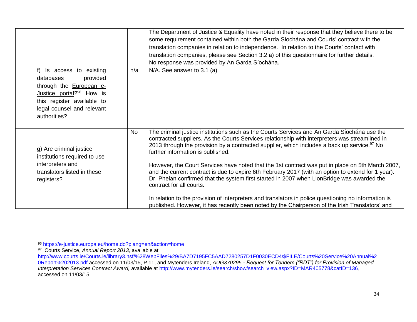|                                                                                                                                                                                                               |           | The Department of Justice & Equality have noted in their response that they believe there to be<br>some requirement contained within both the Garda Síochána and Courts' contract with the<br>translation companies in relation to independence. In relation to the Courts' contact with<br>translation companies, please see Section 3.2 a) of this questionnaire for further details.<br>No response was provided by An Garda Síochána.                                                                                                                                                                                                                                                                                                                                                                                                                                                    |
|---------------------------------------------------------------------------------------------------------------------------------------------------------------------------------------------------------------|-----------|----------------------------------------------------------------------------------------------------------------------------------------------------------------------------------------------------------------------------------------------------------------------------------------------------------------------------------------------------------------------------------------------------------------------------------------------------------------------------------------------------------------------------------------------------------------------------------------------------------------------------------------------------------------------------------------------------------------------------------------------------------------------------------------------------------------------------------------------------------------------------------------------|
| $f$ )<br>Is access to existing<br>provided<br>databases<br>through the <b>European e-</b><br>Justice portal? <sup>96</sup> How is<br>this register available to<br>legal counsel and relevant<br>authorities? | n/a       | $N/A$ . See answer to 3.1 (a)                                                                                                                                                                                                                                                                                                                                                                                                                                                                                                                                                                                                                                                                                                                                                                                                                                                                |
| g) Are criminal justice<br>institutions required to use<br>interpreters and<br>translators listed in these<br>registers?                                                                                      | <b>No</b> | The criminal justice institutions such as the Courts Services and An Garda Síochána use the<br>contracted suppliers. As the Courts Services relationship with interpreters was streamlined in<br>2013 through the provision by a contracted supplier, which includes a back up service. <sup>97</sup> No<br>further information is published.<br>However, the Court Services have noted that the 1st contract was put in place on 5th March 2007,<br>and the current contract is due to expire 6th February 2017 (with an option to extend for 1 year).<br>Dr. Phelan confirmed that the system first started in 2007 when LionBridge was awarded the<br>contract for all courts.<br>In relation to the provision of interpreters and translators in police questioning no information is<br>published. However, it has recently been noted by the Chairperson of the Irish Translators' and |

 $\overline{a}$ 

<sup>96</sup> <https://e-justice.europa.eu/home.do?plang=en&action=home>

<sup>97</sup> Courts Service, *Annual Report 2013,* available at

[http://www.courts.ie/Courts.ie/library3.nsf/%28WebFiles%29/BA7D7195FC5AAD7280257D1F0030ECD4/\\$FILE/Courts%20Service%20Annual%2](http://www.courts.ie/Courts.ie/library3.nsf/%28WebFiles%29/BA7D7195FC5AAD7280257D1F0030ECD4/$FILE/Courts%20Service%20Annual%20Report%202013.pdf) [0Report%202013.pdf](http://www.courts.ie/Courts.ie/library3.nsf/%28WebFiles%29/BA7D7195FC5AAD7280257D1F0030ECD4/$FILE/Courts%20Service%20Annual%20Report%202013.pdf) accessed on 11/03/15, P.11, and Mytenders Ireland, *AUG370295 - Request for Tenders ("RDT") for Provision of Managed Interpretation Services Contract Award,* available at [http://www.mytenders.ie/search/show/search\\_view.aspx?ID=MAR405778&catID=136,](http://www.mytenders.ie/search/show/search_view.aspx?ID=MAR405778&catID=136) accessed on 11/03/15.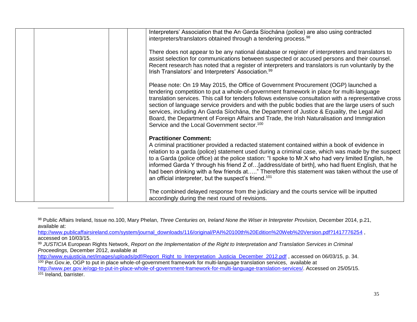| Interpreters' Association that the An Garda Síochána (police) are also using contracted<br>interpreters/translators obtained through a tendering process. <sup>98</sup>                                                                                                                                                                                                                                                                                                                                                                                                                                                                                |
|--------------------------------------------------------------------------------------------------------------------------------------------------------------------------------------------------------------------------------------------------------------------------------------------------------------------------------------------------------------------------------------------------------------------------------------------------------------------------------------------------------------------------------------------------------------------------------------------------------------------------------------------------------|
| There does not appear to be any national database or register of interpreters and translators to<br>assist selection for communications between suspected or accused persons and their counsel.<br>Recent research has noted that a register of interpreters and translators is run voluntarily by the<br>Irish Translators' and Interpreters' Association. <sup>99</sup>                                                                                                                                                                                                                                                                              |
| Please note: On 19 May 2015, the Office of Government Procurement (OGP) launched a<br>tendering competition to put a whole-of-government framework in place for multi-language<br>translation services. This call for tenders follows extensive consultation with a representative cross<br>section of language service providers and with the public bodies that are the large users of such<br>services, including An Garda Síochána, the Department of Justice & Equality, the Legal Aid<br>Board, the Department of Foreign Affairs and Trade, the Irish Naturalisation and Immigration<br>Service and the Local Government sector. <sup>100</sup> |
| <b>Practitioner Comment:</b><br>A criminal practitioner provided a redacted statement contained within a book of evidence in<br>relation to a garda (police) statement used during a criminal case, which was made by the suspect<br>to a Garda (police office) at the police station: "I spoke to Mr.X who had very limited English, he<br>informed Garda Y through his friend Z of[address/date of birth], who had fluent English, that he<br>had been drinking with a few friends at" Therefore this statement was taken without the use of<br>an official interpreter, but the suspect's friend. <sup>101</sup>                                    |
| The combined delayed response from the judiciary and the courts service will be inputted<br>accordingly during the next round of revisions.                                                                                                                                                                                                                                                                                                                                                                                                                                                                                                            |

<sup>98</sup> Public Affairs Ireland, Issue no.100, Mary Phelan, *Three Centuries on, Ireland None the Wiser in Interpreter Provision*, December 2014, p.21, available at:

[http://www.publicaffairsireland.com/system/journal\\_downloads/116/original/PAI%20100th%20Edition%20Web%20Version.pdf?1417776254](http://www.publicaffairsireland.com/system/journal_downloads/116/original/PAI%20100th%20Edition%20Web%20Version.pdf?1417776254) , accessed on 10/03/15.

<sup>99</sup> *JUSTICIA* European Rights Network, *Report on the Implementation of the Right to Interpretation and Translation Services in Criminal Proceedings,* December 2012, available at

[http://www.eujusticia.net/images/uploads/pdf/Report\\_Right\\_to\\_Interpretation\\_Justicia\\_December\\_2012.pdf](http://www.eujusticia.net/images/uploads/pdf/Report_Right_to_Interpretation_Justicia_December_2012.pdf) , accessed on 06/03/15, p. 34. <sup>100</sup> Per.Gov.ie, OGP to put in place whole-of-government framework for multi-language translation services, available at

[http://www.per.gov.ie/ogp-to-put-in-place-whole-of-government-framework-for-multi-language-translation-services/.](http://www.per.gov.ie/ogp-to-put-in-place-whole-of-government-framework-for-multi-language-translation-services/) Accessed on 25/05/15. <sup>101</sup> Ireland, barrister.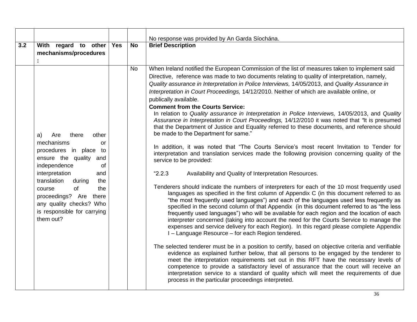|     |                                                                                                                                                                                                                                                                                                                  |     |           | No response was provided by An Garda Síochána.                                                                                                                                                                                                                                                                                                                                                                                                                                                                                                                                                                                                                                                                                                                                                                                                                                                                                                                                                                                                                                                                                                                                                                                                                                                                                                                                                                                                                                                                                                                                                                                                                                                                                                                                                                                                                                                                                                                                                                                                                                                                                                                                                                                                                                                                                                                                     |
|-----|------------------------------------------------------------------------------------------------------------------------------------------------------------------------------------------------------------------------------------------------------------------------------------------------------------------|-----|-----------|------------------------------------------------------------------------------------------------------------------------------------------------------------------------------------------------------------------------------------------------------------------------------------------------------------------------------------------------------------------------------------------------------------------------------------------------------------------------------------------------------------------------------------------------------------------------------------------------------------------------------------------------------------------------------------------------------------------------------------------------------------------------------------------------------------------------------------------------------------------------------------------------------------------------------------------------------------------------------------------------------------------------------------------------------------------------------------------------------------------------------------------------------------------------------------------------------------------------------------------------------------------------------------------------------------------------------------------------------------------------------------------------------------------------------------------------------------------------------------------------------------------------------------------------------------------------------------------------------------------------------------------------------------------------------------------------------------------------------------------------------------------------------------------------------------------------------------------------------------------------------------------------------------------------------------------------------------------------------------------------------------------------------------------------------------------------------------------------------------------------------------------------------------------------------------------------------------------------------------------------------------------------------------------------------------------------------------------------------------------------------------|
| 3.2 | With regard to other<br>mechanisms/procedures                                                                                                                                                                                                                                                                    | Yes | <b>No</b> | <b>Brief Description</b>                                                                                                                                                                                                                                                                                                                                                                                                                                                                                                                                                                                                                                                                                                                                                                                                                                                                                                                                                                                                                                                                                                                                                                                                                                                                                                                                                                                                                                                                                                                                                                                                                                                                                                                                                                                                                                                                                                                                                                                                                                                                                                                                                                                                                                                                                                                                                           |
|     | Are<br>there<br>other<br>a)<br>mechanisms<br>or<br>procedures in place<br>to<br>ensure the quality<br>and<br>independence<br>of<br>interpretation<br>and<br>translation<br>during<br>the<br>of<br>the<br>course<br>proceedings? Are there<br>any quality checks? Who<br>is responsible for carrying<br>them out? |     | <b>No</b> | When Ireland notified the European Commission of the list of measures taken to implement said<br>Directive, reference was made to two documents relating to quality of interpretation, namely,<br>Quality assurance in Interpretation in Police Interviews, 14/05/2013, and Quality Assurance in<br>Interpretation in Court Proceedings, 14/12/2010. Neither of which are available online, or<br>publically available.<br><b>Comment from the Courts Service:</b><br>In relation to Quality assurance in Interpretation in Police Interviews, 14/05/2013, and Quality<br>Assurance in Interpretation in Court Proceedings, 14/12/2010 it was noted that "It is presumed<br>that the Department of Justice and Equality referred to these documents, and reference should<br>be made to the Department for same."<br>In addition, it was noted that "The Courts Service's most recent Invitation to Tender for<br>interpretation and translation services made the following provision concerning quality of the<br>service to be provided:<br>"2.2.3"<br>Availability and Quality of Interpretation Resources.<br>Tenderers should indicate the numbers of interpreters for each of the 10 most frequently used<br>languages as specified in the first column of Appendix C (in this document referred to as<br>"the most frequently used languages") and each of the languages used less frequently as<br>specified in the second column of that Appendix (in this document referred to as "the less<br>frequently used languages") who will be available for each region and the location of each<br>interpreter concerned (taking into account the need for the Courts Service to manage the<br>expenses and service delivery for each Region). In this regard please complete Appendix<br>I-Language Resource - for each Region tendered.<br>The selected tenderer must be in a position to certify, based on objective criteria and verifiable<br>evidence as explained further below, that all persons to be engaged by the tenderer to<br>meet the interpretation requirements set out in this RFT have the necessary levels of<br>competence to provide a satisfactory level of assurance that the court will receive an<br>interpretation service to a standard of quality which will meet the requirements of due<br>process in the particular proceedings interpreted. |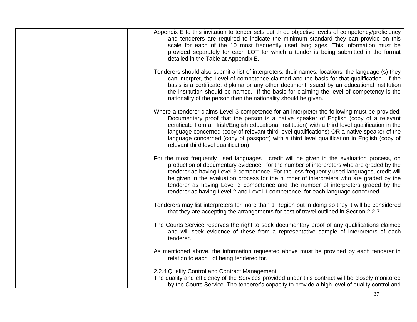|  | Appendix E to this invitation to tender sets out three objective levels of competency/proficiency<br>and tenderers are required to indicate the minimum standard they can provide on this<br>scale for each of the 10 most frequently used languages. This information must be<br>provided separately for each LOT for which a tender is being submitted in the format<br>detailed in the Table at Appendix E.                                                                                                                                          |
|--|---------------------------------------------------------------------------------------------------------------------------------------------------------------------------------------------------------------------------------------------------------------------------------------------------------------------------------------------------------------------------------------------------------------------------------------------------------------------------------------------------------------------------------------------------------|
|  | Tenderers should also submit a list of interpreters, their names, locations, the language (s) they<br>can interpret, the Level of competence claimed and the basis for that qualification. If the<br>basis is a certificate, diploma or any other document issued by an educational institution<br>the institution should be named. If the basis for claiming the level of competency is the<br>nationality of the person then the nationality should be given.                                                                                         |
|  | Where a tenderer claims Level 3 competence for an interpreter the following must be provided:<br>Documentary proof that the person is a native speaker of English (copy of a relevant<br>certificate from an Irish/English educational institution) with a third level qualification in the<br>language concerned (copy of relevant third level qualifications) OR a native speaker of the<br>language concerned (copy of passport) with a third level qualification in English (copy of<br>relevant third level qualification)                         |
|  | For the most frequently used languages, credit will be given in the evaluation process, on<br>production of documentary evidence, for the number of interpreters who are graded by the<br>tenderer as having Level 3 competence. For the less frequently used languages, credit will<br>be given in the evaluation process for the number of interpreters who are graded by the<br>tenderer as having Level 3 competence and the number of interpreters graded by the<br>tenderer as having Level 2 and Level 1 competence for each language concerned. |
|  | Tenderers may list interpreters for more than 1 Region but in doing so they it will be considered<br>that they are accepting the arrangements for cost of travel outlined in Section 2.2.7.                                                                                                                                                                                                                                                                                                                                                             |
|  | The Courts Service reserves the right to seek documentary proof of any qualifications claimed<br>and will seek evidence of these from a representative sample of interpreters of each<br>tenderer.                                                                                                                                                                                                                                                                                                                                                      |
|  | As mentioned above, the information requested above must be provided by each tenderer in<br>relation to each Lot being tendered for.                                                                                                                                                                                                                                                                                                                                                                                                                    |
|  | 2.2.4 Quality Control and Contract Management<br>The quality and efficiency of the Services provided under this contract will be closely monitored<br>by the Courts Service. The tenderer's capacity to provide a high level of quality control and                                                                                                                                                                                                                                                                                                     |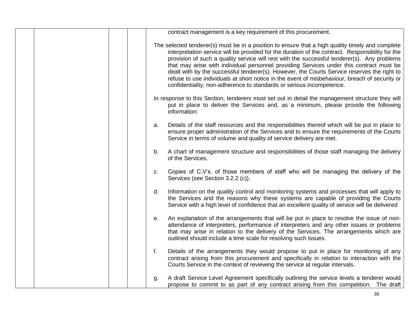|  | contract management is a key requirement of this procurement.                                                                                                                                                                                                                                                                                                                                                                                                                                                                                                                                                                                                          |
|--|------------------------------------------------------------------------------------------------------------------------------------------------------------------------------------------------------------------------------------------------------------------------------------------------------------------------------------------------------------------------------------------------------------------------------------------------------------------------------------------------------------------------------------------------------------------------------------------------------------------------------------------------------------------------|
|  | The selected tenderer(s) must be in a position to ensure that a high quality timely and complete<br>interpretation service will be provided for the duration of the contract. Responsibility for the<br>provision of such a quality service will rest with the successful tenderer(s). Any problems<br>that may arise with individual personnel providing Services under this contract must be<br>dealt with by the successful tenderer(s). However, the Courts Service reserves the right to<br>refuse to use individuals at short notice in the event of misbehaviour, breach of security or<br>confidentiality, non-adherence to standards or serious incompetence. |
|  | In response to this Section, tenderers must set out in detail the management structure they will<br>put in place to deliver the Services and, as a minimum, please provide the following<br>information:                                                                                                                                                                                                                                                                                                                                                                                                                                                               |
|  | Details of the staff resources and the responsibilities thereof which will be put in place to<br>a.<br>ensure proper administration of the Services and to ensure the requirements of the Courts<br>Service in terms of volume and quality of service delivery are met.                                                                                                                                                                                                                                                                                                                                                                                                |
|  | A chart of management structure and responsibilities of those staff managing the delivery<br>b.<br>of the Services.                                                                                                                                                                                                                                                                                                                                                                                                                                                                                                                                                    |
|  | Copies of C.V's. of those members of staff who will be managing the delivery of the<br>c.<br>Services (see Section 3.2.2 (c)).                                                                                                                                                                                                                                                                                                                                                                                                                                                                                                                                         |
|  | Information on the quality control and monitoring systems and processes that will apply to<br>d.<br>the Services and the reasons why these systems are capable of providing the Courts<br>Service with a high level of confidence that an excellent quality of service will be delivered                                                                                                                                                                                                                                                                                                                                                                               |
|  | An explanation of the arrangements that will be put in place to resolve the issue of non-<br>е.<br>attendance of interpreters, performance of interpreters and any other issues or problems<br>that may arise in relation to the delivery of the Services. The arrangements which are<br>outlined should include a time scale for resolving such issues.                                                                                                                                                                                                                                                                                                               |
|  | f.<br>Details of the arrangements they would propose to put in place for monitoring of any<br>contract arising from this procurement and specifically in relation to interaction with the<br>Courts Service in the context of reviewing the service at regular intervals.                                                                                                                                                                                                                                                                                                                                                                                              |
|  | A draft Service Level Agreement specifically outlining the service levels a tenderer would<br>g.<br>propose to commit to as part of any contract arising from this competition. The draft                                                                                                                                                                                                                                                                                                                                                                                                                                                                              |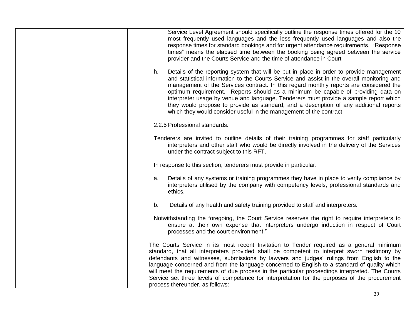|  | Service Level Agreement should specifically outline the response times offered for the 10<br>most frequently used languages and the less frequently used languages and also the<br>response times for standard bookings and for urgent attendance requirements. "Response<br>times" means the elapsed time between the booking being agreed between the service<br>provider and the Courts Service and the time of attendance in Court                                                                                                                                                                                               |
|--|--------------------------------------------------------------------------------------------------------------------------------------------------------------------------------------------------------------------------------------------------------------------------------------------------------------------------------------------------------------------------------------------------------------------------------------------------------------------------------------------------------------------------------------------------------------------------------------------------------------------------------------|
|  | Details of the reporting system that will be put in place in order to provide management<br>h.<br>and statistical information to the Courts Service and assist in the overall monitoring and<br>management of the Services contract. In this regard monthly reports are considered the<br>optimum requirement. Reports should as a minimum be capable of providing data on<br>interpreter usage by venue and language. Tenderers must provide a sample report which<br>they would propose to provide as standard, and a description of any additional reports<br>which they would consider useful in the management of the contract. |
|  | 2.2.5 Professional standards.                                                                                                                                                                                                                                                                                                                                                                                                                                                                                                                                                                                                        |
|  | Tenderers are invited to outline details of their training programmes for staff particularly<br>interpreters and other staff who would be directly involved in the delivery of the Services<br>under the contract subject to this RFT.                                                                                                                                                                                                                                                                                                                                                                                               |
|  | In response to this section, tenderers must provide in particular:                                                                                                                                                                                                                                                                                                                                                                                                                                                                                                                                                                   |
|  | Details of any systems or training programmes they have in place to verify compliance by<br>a.<br>interpreters utilised by the company with competency levels, professional standards and<br>ethics.                                                                                                                                                                                                                                                                                                                                                                                                                                 |
|  | Details of any health and safety training provided to staff and interpreters.<br>b.                                                                                                                                                                                                                                                                                                                                                                                                                                                                                                                                                  |
|  | Notwithstanding the foregoing, the Court Service reserves the right to require interpreters to<br>ensure at their own expense that interpreters undergo induction in respect of Court<br>processes and the court environment."                                                                                                                                                                                                                                                                                                                                                                                                       |
|  | The Courts Service in its most recent Invitation to Tender required as a general minimum<br>standard, that all interpreters provided shall be competent to interpret sworn testimony by<br>defendants and witnesses, submissions by lawyers and judges' rulings from English to the<br>language concerned and from the language concerned to English to a standard of quality which<br>will meet the requirements of due process in the particular proceedings interpreted. The Courts<br>Service set three levels of competence for interpretation for the purposes of the procurement<br>process thereunder, as follows:           |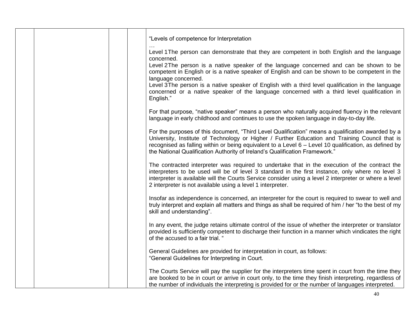|  | "Levels of competence for Interpretation                                                                                                                                                                                                                                                                                                                                                    |
|--|---------------------------------------------------------------------------------------------------------------------------------------------------------------------------------------------------------------------------------------------------------------------------------------------------------------------------------------------------------------------------------------------|
|  | Level 1 The person can demonstrate that they are competent in both English and the language                                                                                                                                                                                                                                                                                                 |
|  | concerned.<br>Level 2The person is a native speaker of the language concerned and can be shown to be<br>competent in English or is a native speaker of English and can be shown to be competent in the<br>language concerned.                                                                                                                                                               |
|  | Level 3The person is a native speaker of English with a third level qualification in the language<br>concerned or a native speaker of the language concerned with a third level qualification in<br>English."                                                                                                                                                                               |
|  | For that purpose, "native speaker" means a person who naturally acquired fluency in the relevant<br>language in early childhood and continues to use the spoken language in day-to-day life.                                                                                                                                                                                                |
|  | For the purposes of this document, "Third Level Qualification" means a qualification awarded by a<br>University, Institute of Technology or Higher / Further Education and Training Council that is<br>recognised as falling within or being equivalent to a Level 6 – Level 10 qualification, as defined by<br>the National Qualification Authority of Ireland's Qualification Framework." |
|  | The contracted interpreter was required to undertake that in the execution of the contract the<br>interpreters to be used will be of level 3 standard in the first instance, only where no level 3<br>interpreter is available will the Courts Service consider using a level 2 interpreter or where a level<br>2 interpreter is not available using a level 1 interpreter.                 |
|  | Insofar as independence is concerned, an interpreter for the court is required to swear to well and<br>truly interpret and explain all matters and things as shall be required of him / her "to the best of my<br>skill and understanding".                                                                                                                                                 |
|  | In any event, the judge retains ultimate control of the issue of whether the interpreter or translator<br>provided is sufficiently competent to discharge their function in a manner which vindicates the right<br>of the accused to a fair trial. "                                                                                                                                        |
|  | General Guidelines are provided for interpretation in court, as follows:<br>"General Guidelines for Interpreting in Court.                                                                                                                                                                                                                                                                  |
|  | The Courts Service will pay the supplier for the interpreters time spent in court from the time they<br>are booked to be in court or arrive in court only, to the time they finish interpreting, regardless of<br>the number of individuals the interpreting is provided for or the number of languages interpreted.                                                                        |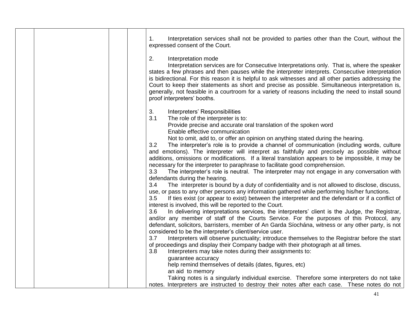|  | Interpretation services shall not be provided to parties other than the Court, without the<br>1 <sub>1</sub><br>expressed consent of the Court.                                                                                                                                                                                                                                                                                                                                                                                                                                                                                                                                                                                                                                                                                                                                                                                                                                                                                                                                                                                                                                                                                                                                                                                                                                                                                                                                                                                                                        |
|--|------------------------------------------------------------------------------------------------------------------------------------------------------------------------------------------------------------------------------------------------------------------------------------------------------------------------------------------------------------------------------------------------------------------------------------------------------------------------------------------------------------------------------------------------------------------------------------------------------------------------------------------------------------------------------------------------------------------------------------------------------------------------------------------------------------------------------------------------------------------------------------------------------------------------------------------------------------------------------------------------------------------------------------------------------------------------------------------------------------------------------------------------------------------------------------------------------------------------------------------------------------------------------------------------------------------------------------------------------------------------------------------------------------------------------------------------------------------------------------------------------------------------------------------------------------------------|
|  | 2.<br>Interpretation mode<br>Interpretation services are for Consecutive Interpretations only. That is, where the speaker<br>states a few phrases and then pauses while the interpreter interprets. Consecutive interpretation<br>is bidirectional. For this reason it is helpful to ask witnesses and all other parties addressing the<br>Court to keep their statements as short and precise as possible. Simultaneous interpretation is,<br>generally, not feasible in a courtroom for a variety of reasons including the need to install sound<br>proof interpreters' booths.                                                                                                                                                                                                                                                                                                                                                                                                                                                                                                                                                                                                                                                                                                                                                                                                                                                                                                                                                                                      |
|  | 3.<br>Interpreters' Responsibilities<br>3.1<br>The role of the interpreter is to:<br>Provide precise and accurate oral translation of the spoken word<br>Enable effective communication<br>Not to omit, add to, or offer an opinion on anything stated during the hearing.<br>3.2<br>The interpreter's role is to provide a channel of communication (including words, culture<br>and emotions). The interpreter will interpret as faithfully and precisely as possible without<br>additions, omissions or modifications. If a literal translation appears to be impossible, it may be<br>necessary for the interpreter to paraphrase to facilitate good comprehension.<br>The interpreter's role is neutral. The interpreter may not engage in any conversation with<br>3.3<br>defendants during the hearing.<br>The interpreter is bound by a duty of confidentiality and is not allowed to disclose, discuss,<br>3.4<br>use, or pass to any other persons any information gathered while performing his/her functions.<br>If ties exist (or appear to exist) between the interpreter and the defendant or if a conflict of<br>3.5<br>interest is involved, this will be reported to the Court.<br>3.6<br>In delivering interpretations services, the interpreters' client is the Judge, the Registrar,<br>and/or any member of staff of the Courts Service. For the purposes of this Protocol, any<br>defendant, solicitors, barristers, member of An Garda Síochána, witness or any other party, is not<br>considered to be the interpreter's client/service user. |
|  | Interpreters will observe punctuality; introduce themselves to the Registrar before the start<br>3.7<br>of proceedings and display their Company badge with their photograph at all times.<br>Interpreters may take notes during their assignments to:<br>3.8<br>guarantee accuracy<br>help remind themselves of details (dates, figures, etc)<br>an aid to memory<br>Taking notes is a singularly individual exercise. Therefore some interpreters do not take                                                                                                                                                                                                                                                                                                                                                                                                                                                                                                                                                                                                                                                                                                                                                                                                                                                                                                                                                                                                                                                                                                        |
|  | notes. Interpreters are instructed to destroy their notes after each case. These notes do not                                                                                                                                                                                                                                                                                                                                                                                                                                                                                                                                                                                                                                                                                                                                                                                                                                                                                                                                                                                                                                                                                                                                                                                                                                                                                                                                                                                                                                                                          |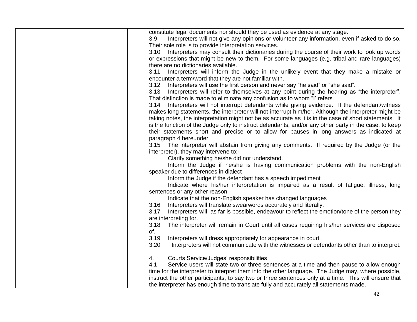| constitute legal documents nor should they be used as evidence at any stage.                                                                                                                               |
|------------------------------------------------------------------------------------------------------------------------------------------------------------------------------------------------------------|
| Interpreters will not give any opinions or volunteer any information, even if asked to do so.<br>3.9                                                                                                       |
| Their sole role is to provide interpretation services.                                                                                                                                                     |
| 3.10 Interpreters may consult their dictionaries during the course of their work to look up words                                                                                                          |
| or expressions that might be new to them. For some languages (e.g. tribal and rare languages)                                                                                                              |
| there are no dictionaries available.                                                                                                                                                                       |
| Interpreters will inform the Judge in the unlikely event that they make a mistake or<br>3.11                                                                                                               |
| encounter a term/word that they are not familiar with.                                                                                                                                                     |
| Interpreters will use the first person and never say "he said" or "she said".<br>3.12                                                                                                                      |
| Interpreters will refer to themselves at any point during the hearing as "the interpreter".<br>3.13                                                                                                        |
| That distinction is made to eliminate any confusion as to whom "I' refers.                                                                                                                                 |
| Interpreters will not interrupt defendants while giving evidence. If the defendant/witness<br>3.14                                                                                                         |
| makes long statements, the interpreter will not interrupt him/her. Although the interpreter might be                                                                                                       |
| taking notes, the interpretation might not be as accurate as it is in the case of short statements. It                                                                                                     |
| is the function of the Judge only to instruct defendants, and/or any other party in the case, to keep                                                                                                      |
| their statements short and precise or to allow for pauses in long answers as indicated at                                                                                                                  |
| paragraph 4 hereunder.                                                                                                                                                                                     |
| 3.15 The interpreter will abstain from giving any comments. If required by the Judge (or the                                                                                                               |
| interpreter), they may intervene to:-                                                                                                                                                                      |
| Clarify something he/she did not understand.                                                                                                                                                               |
| Inform the Judge if he/she is having communication problems with the non-English                                                                                                                           |
| speaker due to differences in dialect                                                                                                                                                                      |
| Inform the Judge if the defendant has a speech impediment                                                                                                                                                  |
| Indicate where his/her interpretation is impaired as a result of fatigue, illness, long                                                                                                                    |
| sentences or any other reason                                                                                                                                                                              |
| Indicate that the non-English speaker has changed languages                                                                                                                                                |
| Interpreters will translate swearwords accurately and literally.<br>3.16                                                                                                                                   |
| Interpreters will, as far is possible, endeavour to reflect the emotion/tone of the person they<br>3.17                                                                                                    |
| are interpreting for.                                                                                                                                                                                      |
| The interpreter will remain in Court until all cases requiring his/her services are disposed<br>3.18                                                                                                       |
| of.                                                                                                                                                                                                        |
| 3.19<br>Interpreters will dress appropriately for appearance in court.                                                                                                                                     |
| 3.20<br>Interpreters will not communicate with the witnesses or defendants other than to interpret.                                                                                                        |
|                                                                                                                                                                                                            |
| Courts Service/Judges' responsibilities<br>4.<br>4.1                                                                                                                                                       |
| Service users will state two or three sentences at a time and then pause to allow enough                                                                                                                   |
| time for the interpreter to interpret them into the other language. The Judge may, where possible,<br>instruct the other participants, to say two or three sentences only at a time. This will ensure that |
|                                                                                                                                                                                                            |
| the interpreter has enough time to translate fully and accurately all statements made.                                                                                                                     |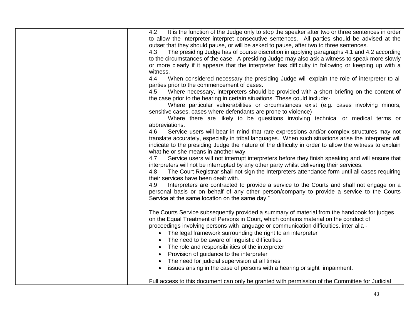| It is the function of the Judge only to stop the speaker after two or three sentences in order<br>4.2<br>to allow the interpreter interpret consecutive sentences. All parties should be advised at the<br>outset that they should pause, or will be asked to pause, after two to three sentences.<br>The presiding Judge has of course discretion in applying paragraphs 4.1 and 4.2 according<br>4.3<br>to the circumstances of the case. A presiding Judge may also ask a witness to speak more slowly<br>or more clearly if it appears that the interpreter has difficulty in following or keeping up with a<br>witness.<br>When considered necessary the presiding Judge will explain the role of interpreter to all<br>4.4<br>parties prior to the commencement of cases.<br>Where necessary, interpreters should be provided with a short briefing on the content of<br>4.5<br>the case prior to the hearing in certain situations. These could include:-<br>Where particular vulnerabilities or circumstances exist (e.g. cases involving minors,<br>sensitive cases, cases where defendants are prone to violence)<br>Where there are likely to be questions involving technical or medical terms or<br>abbreviations.<br>Service users will bear in mind that rare expressions and/or complex structures may not<br>4.6<br>translate accurately, especially in tribal languages. When such situations arise the interpreter will<br>indicate to the presiding Judge the nature of the difficulty in order to allow the witness to explain<br>what he or she means in another way.<br>Service users will not interrupt interpreters before they finish speaking and will ensure that<br>4.7<br>interpreters will not be interrupted by any other party whilst delivering their services.<br>The Court Registrar shall not sign the Interpreters attendance form until all cases requiring<br>4.8<br>their services have been dealt with.<br>Interpreters are contracted to provide a service to the Courts and shall not engage on a<br>4.9<br>personal basis or on behalf of any other person/company to provide a service to the Courts<br>Service at the same location on the same day." |
|------------------------------------------------------------------------------------------------------------------------------------------------------------------------------------------------------------------------------------------------------------------------------------------------------------------------------------------------------------------------------------------------------------------------------------------------------------------------------------------------------------------------------------------------------------------------------------------------------------------------------------------------------------------------------------------------------------------------------------------------------------------------------------------------------------------------------------------------------------------------------------------------------------------------------------------------------------------------------------------------------------------------------------------------------------------------------------------------------------------------------------------------------------------------------------------------------------------------------------------------------------------------------------------------------------------------------------------------------------------------------------------------------------------------------------------------------------------------------------------------------------------------------------------------------------------------------------------------------------------------------------------------------------------------------------------------------------------------------------------------------------------------------------------------------------------------------------------------------------------------------------------------------------------------------------------------------------------------------------------------------------------------------------------------------------------------------------------------------------------------------------------------------------------------------------------------------|
| The Courts Service subsequently provided a summary of material from the handbook for judges<br>on the Equal Treatment of Persons in Court, which contains material on the conduct of<br>proceedings involving persons with language or communication difficulties. inter alia -<br>• The legal framework surrounding the right to an interpreter<br>The need to be aware of linguistic difficulties<br>The role and responsibilities of the interpreter<br>Provision of guidance to the interpreter<br>The need for judicial supervision at all times<br>issues arising in the case of persons with a hearing or sight impairment.<br>$\bullet$<br>Full access to this document can only be granted with permission of the Committee for Judicial                                                                                                                                                                                                                                                                                                                                                                                                                                                                                                                                                                                                                                                                                                                                                                                                                                                                                                                                                                                                                                                                                                                                                                                                                                                                                                                                                                                                                                                    |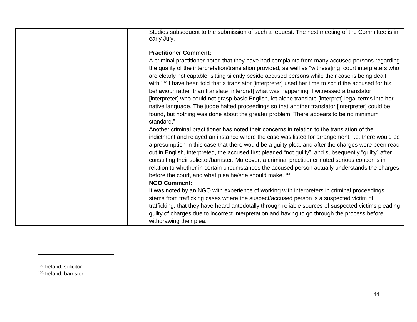|  | Studies subsequent to the submission of such a request. The next meeting of the Committee is in<br>early July.                                                                                                                                                                                                                                                                                                                                                                                                                                                                                                                                                                                                                                                                                                                      |
|--|-------------------------------------------------------------------------------------------------------------------------------------------------------------------------------------------------------------------------------------------------------------------------------------------------------------------------------------------------------------------------------------------------------------------------------------------------------------------------------------------------------------------------------------------------------------------------------------------------------------------------------------------------------------------------------------------------------------------------------------------------------------------------------------------------------------------------------------|
|  | <b>Practitioner Comment:</b>                                                                                                                                                                                                                                                                                                                                                                                                                                                                                                                                                                                                                                                                                                                                                                                                        |
|  | A criminal practitioner noted that they have had complaints from many accused persons regarding<br>the quality of the interpretation/translation provided, as well as "witness[ing] court interpreters who<br>are clearly not capable, sitting silently beside accused persons while their case is being dealt<br>with. <sup>102</sup> I have been told that a translator [interpreter] used her time to scold the accused for his<br>behaviour rather than translate [interpret] what was happening. I witnessed a translator<br>[interpreter] who could not grasp basic English, let alone translate [interpret] legal terms into her<br>native language. The judge halted proceedings so that another translator [interpreter] could be<br>found, but nothing was done about the greater problem. There appears to be no minimum |
|  | standard."                                                                                                                                                                                                                                                                                                                                                                                                                                                                                                                                                                                                                                                                                                                                                                                                                          |
|  | Another criminal practitioner has noted their concerns in relation to the translation of the<br>indictment and relayed an instance where the case was listed for arrangement, i.e. there would be<br>a presumption in this case that there would be a guilty plea, and after the charges were been read<br>out in English, interpreted, the accused first pleaded "not guilty", and subsequently "guilty" after<br>consulting their solicitor/barrister. Moreover, a criminal practitioner noted serious concerns in<br>relation to whether in certain circumstances the accused person actually understands the charges<br>before the court, and what plea he/she should make. <sup>103</sup><br><b>NGO Comment:</b>                                                                                                               |
|  | It was noted by an NGO with experience of working with interpreters in criminal proceedings                                                                                                                                                                                                                                                                                                                                                                                                                                                                                                                                                                                                                                                                                                                                         |
|  | stems from trafficking cases where the suspect/accused person is a suspected victim of                                                                                                                                                                                                                                                                                                                                                                                                                                                                                                                                                                                                                                                                                                                                              |
|  | trafficking, that they have heard antedotally through reliable sources of suspected victims pleading<br>guilty of charges due to incorrect interpretation and having to go through the process before<br>withdrawing their plea.                                                                                                                                                                                                                                                                                                                                                                                                                                                                                                                                                                                                    |

<sup>102</sup> Ireland, solicitor.

 $\overline{\phantom{a}}$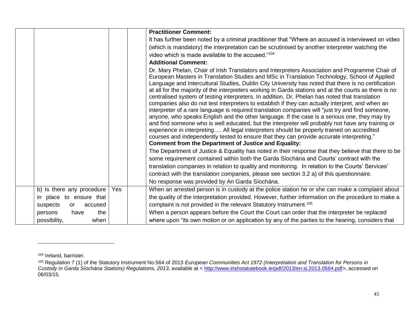|                           |     | <b>Practitioner Comment:</b>                                                                                                                                                                                                                                                                                                                                                                                                                                                                                                                                                                                                                                                                                                                                                                                                                                                                                                                                                                                                                                                                                                                                                               |
|---------------------------|-----|--------------------------------------------------------------------------------------------------------------------------------------------------------------------------------------------------------------------------------------------------------------------------------------------------------------------------------------------------------------------------------------------------------------------------------------------------------------------------------------------------------------------------------------------------------------------------------------------------------------------------------------------------------------------------------------------------------------------------------------------------------------------------------------------------------------------------------------------------------------------------------------------------------------------------------------------------------------------------------------------------------------------------------------------------------------------------------------------------------------------------------------------------------------------------------------------|
|                           |     | It has further been noted by a criminal practitioner that "Where an accused is interviewed on video<br>(which is mandatory) the interpretation can be scrutinised by another interpreter watching the<br>video which is made available to the accused." <sup>104</sup>                                                                                                                                                                                                                                                                                                                                                                                                                                                                                                                                                                                                                                                                                                                                                                                                                                                                                                                     |
|                           |     | <b>Additional Comment:</b>                                                                                                                                                                                                                                                                                                                                                                                                                                                                                                                                                                                                                                                                                                                                                                                                                                                                                                                                                                                                                                                                                                                                                                 |
|                           |     | Dr. Mary Phelan, Chair of Irish Translators and Interpreters Association and Programme Chair of<br>European Masters in Translation Studies and MSc in Translation Technology, School of Applied<br>Language and Intercultural Studies, Dublin City University has noted that there is no certification<br>at all for the majority of the interpreters working in Garda stations and at the courts as there is no<br>centralised system of testing interpreters. In addition, Dr. Phelan has noted that translation<br>companies also do not test interpreters to establish if they can actually interpret, and when an<br>interpreter of a rare language is required translation companies will "just try and find someone,<br>anyone, who speaks English and the other language. If the case is a serious one, they may try<br>and find someone who is well educated, but the interpreter will probably not have any training or<br>experience in interpreting All legal interpreters should be properly trained on accredited<br>courses and independently tested to ensure that they can provide accurate interpreting."<br><b>Comment from the Department of Justice and Equality:</b> |
|                           |     | The Department of Justice & Equality has noted in their response that they believe that there to be                                                                                                                                                                                                                                                                                                                                                                                                                                                                                                                                                                                                                                                                                                                                                                                                                                                                                                                                                                                                                                                                                        |
|                           |     | some requirement contained within both the Garda Síochána and Courts' contract with the                                                                                                                                                                                                                                                                                                                                                                                                                                                                                                                                                                                                                                                                                                                                                                                                                                                                                                                                                                                                                                                                                                    |
|                           |     | translation companies in relation to quality and monitoring. In relation to the Courts' Services'                                                                                                                                                                                                                                                                                                                                                                                                                                                                                                                                                                                                                                                                                                                                                                                                                                                                                                                                                                                                                                                                                          |
|                           |     | contract with the translation companies, please see section 3.2 a) of this questionnaire.                                                                                                                                                                                                                                                                                                                                                                                                                                                                                                                                                                                                                                                                                                                                                                                                                                                                                                                                                                                                                                                                                                  |
|                           |     | No response was provided by An Garda Síochána.                                                                                                                                                                                                                                                                                                                                                                                                                                                                                                                                                                                                                                                                                                                                                                                                                                                                                                                                                                                                                                                                                                                                             |
| b) Is there any procedure | Yes | When an arrested person is in custody at the police station he or she can make a complaint about                                                                                                                                                                                                                                                                                                                                                                                                                                                                                                                                                                                                                                                                                                                                                                                                                                                                                                                                                                                                                                                                                           |
| in place to ensure that   |     | the quality of the interpretation provided. However, further information on the procedure to make a                                                                                                                                                                                                                                                                                                                                                                                                                                                                                                                                                                                                                                                                                                                                                                                                                                                                                                                                                                                                                                                                                        |
| suspects<br>accused<br>or |     | complaint is not provided in the relevant Statutory Instrument. <sup>105</sup>                                                                                                                                                                                                                                                                                                                                                                                                                                                                                                                                                                                                                                                                                                                                                                                                                                                                                                                                                                                                                                                                                                             |
| the<br>persons<br>have    |     | When a person appears before the Court the Court can order that the interpreter be replaced                                                                                                                                                                                                                                                                                                                                                                                                                                                                                                                                                                                                                                                                                                                                                                                                                                                                                                                                                                                                                                                                                                |
| possibility,<br>when      |     | where upon "its own motion or on application by any of the parties to the hearing, considers that                                                                                                                                                                                                                                                                                                                                                                                                                                                                                                                                                                                                                                                                                                                                                                                                                                                                                                                                                                                                                                                                                          |

<sup>104</sup> Ireland, barrister.

<sup>105</sup> Regulation 7 (1) of the Statutory Instrument No.564 of 2013 *European Communities Act 1972 (Interpretation and Translation for Persons in Custody in Garda Síochána Stations) Regulations, 2013*, available at < [http://www.irishstatutebook.ie/pdf/2013/en.si.2013.0564.pdf>](http://www.irishstatutebook.ie/pdf/2013/en.si.2013.0564.pdf), accessed on 06/03/15.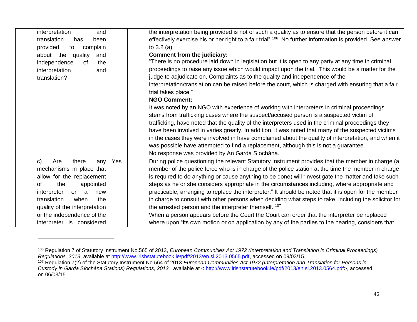| interpretation<br>and               |     | the interpretation being provided is not of such a quality as to ensure that the person before it can                 |
|-------------------------------------|-----|-----------------------------------------------------------------------------------------------------------------------|
| translation<br>has<br>been          |     | effectively exercise his or her right to a fair trial". <sup>106</sup> No further information is provided. See answer |
| provided,<br>complain<br>to         |     | to $3.2$ (a).                                                                                                         |
| about the quality<br>and            |     | Comment from the judiciary:                                                                                           |
| independence<br>οf<br>the           |     | "There is no procedure laid down in legislation but it is open to any party at any time in criminal                   |
| interpretation<br>and               |     | proceedings to raise any issue which would impact upon the trial. This would be a matter for the                      |
| translation?                        |     | judge to adjudicate on. Complaints as to the quality and independence of the                                          |
|                                     |     | interpretation/translation can be raised before the court, which is charged with ensuring that a fair                 |
|                                     |     | trial takes place."                                                                                                   |
|                                     |     | <b>NGO Comment:</b>                                                                                                   |
|                                     |     | It was noted by an NGO with experience of working with interpreters in criminal proceedings                           |
|                                     |     | stems from trafficking cases where the suspect/accused person is a suspected victim of                                |
|                                     |     | trafficking, have noted that the quality of the interpreters used in the criminal proceedings they                    |
|                                     |     | have been involved in varies greatly. In addition, it was noted that many of the suspected victims                    |
|                                     |     | in the cases they were involved in have complained about the quality of interpretation, and when it                   |
|                                     |     | was possible have attempted to find a replacement, although this is not a guarantee.                                  |
|                                     |     | No response was provided by An Garda Síochána.                                                                        |
| Are<br>$\mathsf{C}$<br>there<br>any | Yes | During police questioning the relevant Statutory Instrument provides that the member in charge (a                     |
| mechanisms in place that            |     | member of the police force who is in charge of the police station at the time the member in charge                    |
| allow for the replacement           |     | is required to do anything or cause anything to be done) will "investigate the matter and take such                   |
| appointed<br><b>of</b><br>the       |     | steps as he or she considers appropriate in the circumstances including, where appropriate and                        |
| interpreter<br>or or<br>a<br>new    |     | practicable, arranging to replace the interpreter." It should be noted that it is open for the member                 |
| translation<br>when<br>the          |     | in charge to consult with other persons when deciding what steps to take, including the solicitor for                 |
| quality of the interpretation       |     | the arrested person and the interpreter themself. 107                                                                 |
| or the independence of the          |     | When a person appears before the Court the Court can order that the interpreter be replaced                           |
| interpreter is considered           |     | where upon "its own motion or on application by any of the parties to the hearing, considers that                     |

<sup>106</sup> Regulation 7 of Statutory Instrument No.565 of 2013, *European Communities Act 1972 (Interpretation and Translation in Criminal Proceedings) Regulations, 2013*, available at [http://www.irishstatutebook.ie/pdf/2013/en.si.2013.0565.pdf,](http://www.irishstatutebook.ie/pdf/2013/en.si.2013.0565.pdf) accessed on 09/03/15.

<sup>&</sup>lt;sup>107</sup> Regulation 7(2) of the Statutory Instrument No.564 of 2013 *European Communities Act 1972 (Interpretation and Translation for Persons in Custody in Garda Síochána Stations) Regulations, 2013* , available at < [http://www.irishstatutebook.ie/pdf/2013/en.si.2013.0564.pdf>](http://www.irishstatutebook.ie/pdf/2013/en.si.2013.0564.pdf), accessed on 06/03/15.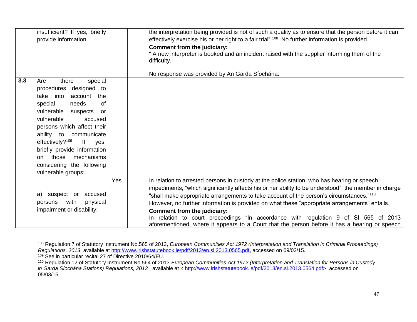|     | insufficient? If yes, briefly<br>provide information.                                                                                                                                                                                                                                                                                                                                   |     | the interpretation being provided is not of such a quality as to ensure that the person before it can<br>effectively exercise his or her right to a fair trial". <sup>108</sup> No further information is provided.<br>Comment from the judiciary:<br>" A new interpreter is booked and an incident raised with the supplier informing them of the<br>difficulty."<br>No response was provided by An Garda Síochána.                                                                                                                                                                                                               |
|-----|-----------------------------------------------------------------------------------------------------------------------------------------------------------------------------------------------------------------------------------------------------------------------------------------------------------------------------------------------------------------------------------------|-----|------------------------------------------------------------------------------------------------------------------------------------------------------------------------------------------------------------------------------------------------------------------------------------------------------------------------------------------------------------------------------------------------------------------------------------------------------------------------------------------------------------------------------------------------------------------------------------------------------------------------------------|
| 3.3 | special<br>there<br>Are<br>designed to<br>procedures<br>take into<br>account<br>the<br>special<br>needs<br>of<br>vulnerable suspects<br>or<br>vulnerable<br>accused<br>persons which affect their<br>ability to communicate<br>effectively? <sup>109</sup><br>lf<br>yes,<br>briefly provide information<br>those<br>mechanisms<br>on<br>considering the following<br>vulnerable groups: |     |                                                                                                                                                                                                                                                                                                                                                                                                                                                                                                                                                                                                                                    |
|     | a) suspect or accused<br>with<br>physical<br>persons<br>impairment or disability;                                                                                                                                                                                                                                                                                                       | Yes | In relation to arrested persons in custody at the police station, who has hearing or speech<br>impediments, "which significantly affects his or her ability to be understood", the member in charge<br>"shall make appropriate arrangements to take account of the person's circumstances." <sup>110</sup><br>However, no further information is provided on what these "appropriate arrangements" entails.<br>Comment from the judiciary:<br>In relation to court proceedings "In accordance with regulation 9 of SI 565 of 2013<br>aforementioned, where it appears to a Court that the person before it has a hearing or speech |

<sup>108</sup> Regulation 7 of Statutory Instrument No.565 of 2013, *European Communities Act 1972 (Interpretation and Translation in Criminal Proceedings) Regulations, 2013*, available at [http://www.irishstatutebook.ie/pdf/2013/en.si.2013.0565.pdf,](http://www.irishstatutebook.ie/pdf/2013/en.si.2013.0565.pdf) accessed on 09/03/15.

 $\overline{a}$ 

<sup>109</sup> See in particular recital 27 of Directive 2010/64/EU.

<sup>110</sup> Regulation 12 of Statutory Instrument No.564 of 2013 *European Communities Act 1972 (Interpretation and Translation for Persons in Custody in Garda Síochána Stations) Regulations, 2013* , available at < [http://www.irishstatutebook.ie/pdf/2013/en.si.2013.0564.pdf>](http://www.irishstatutebook.ie/pdf/2013/en.si.2013.0564.pdf), accessed on 05/03/15.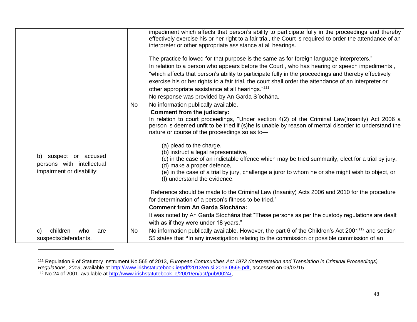|                                                                                 |           | impediment which affects that person's ability to participate fully in the proceedings and thereby<br>effectively exercise his or her right to a fair trial, the Court is required to order the attendance of an<br>interpreter or other appropriate assistance at all hearings.                                                                                                                                                                                                                                  |
|---------------------------------------------------------------------------------|-----------|-------------------------------------------------------------------------------------------------------------------------------------------------------------------------------------------------------------------------------------------------------------------------------------------------------------------------------------------------------------------------------------------------------------------------------------------------------------------------------------------------------------------|
|                                                                                 |           | The practice followed for that purpose is the same as for foreign language interpreters."<br>In relation to a person who appears before the Court, who has hearing or speech impediments,<br>"which affects that person's ability to participate fully in the proceedings and thereby effectively<br>exercise his or her rights to a fair trial, the court shall order the attendance of an interpreter or<br>other appropriate assistance at all hearings."111<br>No response was provided by An Garda Síochána. |
|                                                                                 | <b>No</b> | No information publically available.                                                                                                                                                                                                                                                                                                                                                                                                                                                                              |
|                                                                                 |           | <b>Comment from the judiciary:</b><br>In relation to court proceedings, "Under section 4(2) of the Criminal Law(Insanity) Act 2006 a<br>person is deemed unfit to be tried if (s)he is unable by reason of mental disorder to understand the<br>nature or course of the proceedings so as to-                                                                                                                                                                                                                     |
| b) suspect or accused<br>persons with intellectual<br>impairment or disability; |           | (a) plead to the charge,<br>(b) instruct a legal representative,<br>(c) in the case of an indictable offence which may be tried summarily, elect for a trial by jury,<br>(d) make a proper defence,<br>(e) in the case of a trial by jury, challenge a juror to whom he or she might wish to object, or<br>(f) understand the evidence.                                                                                                                                                                           |
|                                                                                 |           | Reference should be made to the Criminal Law (Insanity) Acts 2006 and 2010 for the procedure<br>for determination of a person's fitness to be tried."<br><b>Comment from An Garda Síochána:</b>                                                                                                                                                                                                                                                                                                                   |
|                                                                                 |           | It was noted by An Garda Síochána that "These persons as per the custody regulations are dealt<br>with as if they were under 18 years."                                                                                                                                                                                                                                                                                                                                                                           |
| children<br>who<br>C)<br>are                                                    | <b>No</b> | No information publically available. However, the part 6 of the Children's Act 200 $1112$ and section                                                                                                                                                                                                                                                                                                                                                                                                             |
| suspects/defendants,                                                            |           | 55 states that "In any investigation relating to the commission or possible commission of an                                                                                                                                                                                                                                                                                                                                                                                                                      |
|                                                                                 |           |                                                                                                                                                                                                                                                                                                                                                                                                                                                                                                                   |

<sup>111</sup> Regulation 9 of Statutory Instrument No.565 of 2013, *European Communities Act 1972 (Interpretation and Translation in Criminal Proceedings) Regulations, 2013*, available at [http://www.irishstatutebook.ie/pdf/2013/en.si.2013.0565.pdf,](http://www.irishstatutebook.ie/pdf/2013/en.si.2013.0565.pdf) accessed on 09/03/15. <sup>112</sup> No.24 of 2001, available at [http://www.irishstatutebook.ie/2001/en/act/pub/0024/,](http://www.irishstatutebook.ie/2001/en/act/pub/0024/)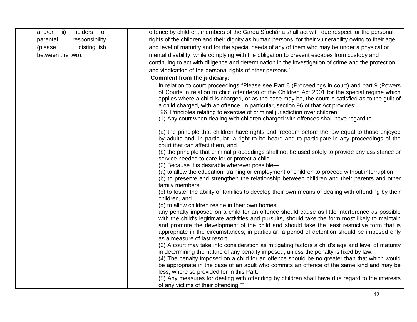| and/or<br>holders of<br>$\overrightarrow{ii}$ | offence by children, members of the Garda Síochána shall act with due respect for the personal                                                                                                                                                                                                                                                                                                                                                                                                                                                                     |
|-----------------------------------------------|--------------------------------------------------------------------------------------------------------------------------------------------------------------------------------------------------------------------------------------------------------------------------------------------------------------------------------------------------------------------------------------------------------------------------------------------------------------------------------------------------------------------------------------------------------------------|
| responsibility<br>parental                    | rights of the children and their dignity as human persons, for their vulnerability owing to their age                                                                                                                                                                                                                                                                                                                                                                                                                                                              |
| distinguish<br>(please                        | and level of maturity and for the special needs of any of them who may be under a physical or                                                                                                                                                                                                                                                                                                                                                                                                                                                                      |
| between the two).                             | mental disability, while complying with the obligation to prevent escapes from custody and                                                                                                                                                                                                                                                                                                                                                                                                                                                                         |
|                                               | continuing to act with diligence and determination in the investigation of crime and the protection                                                                                                                                                                                                                                                                                                                                                                                                                                                                |
|                                               | and vindication of the personal rights of other persons."                                                                                                                                                                                                                                                                                                                                                                                                                                                                                                          |
|                                               | Comment from the judiciary:                                                                                                                                                                                                                                                                                                                                                                                                                                                                                                                                        |
|                                               | In relation to court proceedings "Please see Part 8 (Proceedings in court) and part 9 (Powers<br>of Courts in relation to child offenders) of the Children Act 2001 for the special regime which<br>applies where a child is charged, or as the case may be, the court is satisfied as to the guilt of<br>a child charged, with an offence. In particular, section 96 of that Act provides:<br>"96. Principles relating to exercise of criminal jurisdiction over children<br>(1) Any court when dealing with children charged with offences shall have regard to- |
|                                               | (a) the principle that children have rights and freedom before the law equal to those enjoyed<br>by adults and, in particular, a right to be heard and to participate in any proceedings of the<br>court that can affect them, and<br>(b) the principle that criminal proceedings shall not be used solely to provide any assistance or                                                                                                                                                                                                                            |
|                                               | service needed to care for or protect a child.                                                                                                                                                                                                                                                                                                                                                                                                                                                                                                                     |
|                                               | (2) Because it is desirable wherever possible-                                                                                                                                                                                                                                                                                                                                                                                                                                                                                                                     |
|                                               | (a) to allow the education, training or employment of children to proceed without interruption,<br>(b) to preserve and strengthen the relationship between children and their parents and other<br>family members,                                                                                                                                                                                                                                                                                                                                                 |
|                                               | (c) to foster the ability of families to develop their own means of dealing with offending by their<br>children, and                                                                                                                                                                                                                                                                                                                                                                                                                                               |
|                                               | (d) to allow children reside in their own homes,                                                                                                                                                                                                                                                                                                                                                                                                                                                                                                                   |
|                                               | any penalty imposed on a child for an offence should cause as little interference as possible<br>with the child's legitimate activities and pursuits, should take the form most likely to maintain<br>and promote the development of the child and should take the least restrictive form that is<br>appropriate in the circumstances; in particular, a period of detention should be imposed only<br>as a measure of last resort.                                                                                                                                 |
|                                               | (3) A court may take into consideration as mitigating factors a child's age and level of maturity                                                                                                                                                                                                                                                                                                                                                                                                                                                                  |
|                                               | in determining the nature of any penalty imposed, unless the penalty is fixed by law.                                                                                                                                                                                                                                                                                                                                                                                                                                                                              |
|                                               | (4) The penalty imposed on a child for an offence should be no greater than that which would<br>be appropriate in the case of an adult who commits an offence of the same kind and may be                                                                                                                                                                                                                                                                                                                                                                          |
|                                               | less, where so provided for in this Part.                                                                                                                                                                                                                                                                                                                                                                                                                                                                                                                          |
|                                               | (5) Any measures for dealing with offending by children shall have due regard to the interests<br>of any victims of their offending.""                                                                                                                                                                                                                                                                                                                                                                                                                             |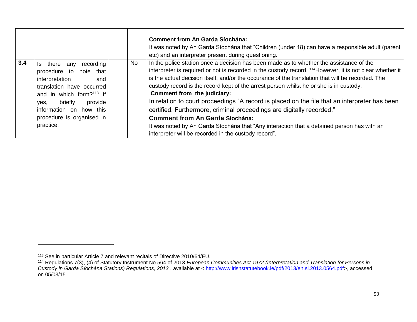|     |                                                                                                                                                                                                                                                          |           | <b>Comment from An Garda Síochána:</b><br>It was noted by An Garda Síochána that "Children (under 18) can have a responsible adult (parent<br>etc) and an interpreter present during questioning."                                                                                                                                                                                                                                                                                                                                                                                                                                                                                                                                                                                                                      |
|-----|----------------------------------------------------------------------------------------------------------------------------------------------------------------------------------------------------------------------------------------------------------|-----------|-------------------------------------------------------------------------------------------------------------------------------------------------------------------------------------------------------------------------------------------------------------------------------------------------------------------------------------------------------------------------------------------------------------------------------------------------------------------------------------------------------------------------------------------------------------------------------------------------------------------------------------------------------------------------------------------------------------------------------------------------------------------------------------------------------------------------|
| 3.4 | recording<br>there any<br>Is.<br>procedure to note that<br>interpretation<br>and<br>translation have occurred<br>and in which form? <sup>113</sup> If<br>provide<br>briefly<br>ves.<br>information on how this<br>procedure is organised in<br>practice. | <b>No</b> | In the police station once a decision has been made as to whether the assistance of the<br>interpreter is required or not is recorded in the custody record. <sup>114</sup> However, it is not clear whether it<br>is the actual decision itself, and/or the occurance of the translation that will be recorded. The<br>custody record is the record kept of the arrest person whilst he or she is in custody.<br>Comment from the judiciary:<br>In relation to court proceedings "A record is placed on the file that an interpreter has been<br>certified. Furthermore, criminal proceedings are digitally recorded."<br><b>Comment from An Garda Síochána:</b><br>It was noted by An Garda Síochána that "Any interaction that a detained person has with an<br>interpreter will be recorded in the custody record". |

<sup>113</sup> See in particular Article 7 and relevant recitals of Directive 2010/64/EU.

<sup>114</sup> Regulations 7(3), (4) of Statutory Instrument No.564 of 2013 *European Communities Act 1972 (Interpretation and Translation for Persons in Custody in Garda Síochána Stations) Regulations, 2013* , available at < [http://www.irishstatutebook.ie/pdf/2013/en.si.2013.0564.pdf>](http://www.irishstatutebook.ie/pdf/2013/en.si.2013.0564.pdf), accessed on 05/03/15.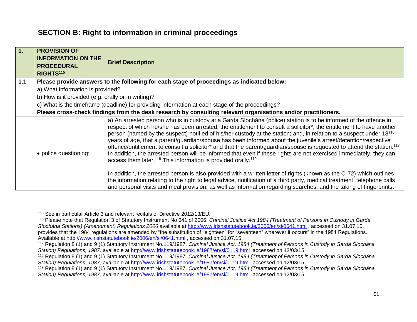## **SECTION B: Right to information in criminal proceedings**

| 1.  | <b>PROVISION OF</b><br><b>INFORMATION ON THE</b><br><b>PROCEDURAL</b><br>RIGHTS <sup>115</sup> | <b>Brief Description</b>                                                                                                                                                                                                                                                                                                                                                                                                                                                                                                                                                                                                                                                                                                                                                                                                                                                                                                                                                   |
|-----|------------------------------------------------------------------------------------------------|----------------------------------------------------------------------------------------------------------------------------------------------------------------------------------------------------------------------------------------------------------------------------------------------------------------------------------------------------------------------------------------------------------------------------------------------------------------------------------------------------------------------------------------------------------------------------------------------------------------------------------------------------------------------------------------------------------------------------------------------------------------------------------------------------------------------------------------------------------------------------------------------------------------------------------------------------------------------------|
| 1.1 |                                                                                                | Please provide answers to the following for each stage of proceedings as indicated below:                                                                                                                                                                                                                                                                                                                                                                                                                                                                                                                                                                                                                                                                                                                                                                                                                                                                                  |
|     | a) What information is provided?                                                               |                                                                                                                                                                                                                                                                                                                                                                                                                                                                                                                                                                                                                                                                                                                                                                                                                                                                                                                                                                            |
|     | b) How is it provided (e.g. orally or in writing)?                                             |                                                                                                                                                                                                                                                                                                                                                                                                                                                                                                                                                                                                                                                                                                                                                                                                                                                                                                                                                                            |
|     |                                                                                                | c) What is the timeframe (deadline) for providing information at each stage of the proceedings?                                                                                                                                                                                                                                                                                                                                                                                                                                                                                                                                                                                                                                                                                                                                                                                                                                                                            |
|     |                                                                                                | Please cross-check findings from the desk research by consulting relevant organisations and/or practitioners.                                                                                                                                                                                                                                                                                                                                                                                                                                                                                                                                                                                                                                                                                                                                                                                                                                                              |
|     | • police questioning;                                                                          | a) An arrested person who is in custody at a Garda Síochána (police) station is to be informed of the offence in<br>respect of which he/she has been arrested; the entitlement to consult a solicitor*; the entitlement to have another<br>person (named by the suspect) notified of his/her custody at the station; and, in relation to a suspect under 18 <sup>116</sup><br>years of age, that a parent/guardian/spouse has been informed about the juvenile's arrest/detention/respective<br>offence/entitlement to consult a solicitor* and that the parent/guardian/spouse is requested to attend the station. <sup>117</sup><br>In addition, the arrested person will be informed that even if these rights are not exercised immediately, they can<br>access them later. <sup>118</sup> This information is provided orally. <sup>119</sup><br>In addition, the arrested person is also provided with a written letter of rights (known as the C-72) which outlines |
|     |                                                                                                | the information relating to the right to legal advice, notification of a third party, medical treatment, telephone calls<br>and personal visits and meal provision, as well as information regarding searches, and the taking of fingerprints.                                                                                                                                                                                                                                                                                                                                                                                                                                                                                                                                                                                                                                                                                                                             |

<sup>115</sup> See in particular Article 3 and relevant recitals of Directive 2012/13/EU.

<sup>116</sup> Please note that Regulation 3 of Statutory Instrument No 641 of 2006, *Criminal Justice Act 1984 (Treatment of Persons in Custody in Garda Síochána Stations) (Amendment) Regulations 2006* available at<http://www.irishstatutebook.ie/2006/en/si/0641.html> , accessed on 31.07.15, provides that the 1984 regulations are amended by "the substitution of "eighteen" for "seventeen" wherever it occurs" in the 1984 Regulations. Available at<http://www.irishstatutebook.ie/2006/en/si/0641.html> , accessed on 31.07.15.

<sup>117</sup> Regulation 8 (1) and 9 (1) Statutory Instrument No.119/1987, *Criminal Justice Act, 1984 (Treatment of Persons in Custody in Garda Síochána Station) Regulations, 1987,* available at<http://www.irishstatutebook.ie/1987/en/si/0119.html>accessed on 12/03/15.

<sup>118</sup> Regulation 8 (1) and 9 (1) Statutory Instrument No.119/1987, *Criminal Justice Act, 1984 (Treatment of Persons in Custody in Garda Síochána Station) Regulations, 1987,* available at<http://www.irishstatutebook.ie/1987/en/si/0119.html>accessed on 12/03/15.

<sup>119</sup> Regulation 8 (1) and 9 (1) Statutory Instrument No.119/1987, *Criminal Justice Act, 1984 (Treatment of Persons in Custody in Garda Síochána Station) Regulations, 1987,* available at<http://www.irishstatutebook.ie/1987/en/si/0119.html>accessed on 12/03/15.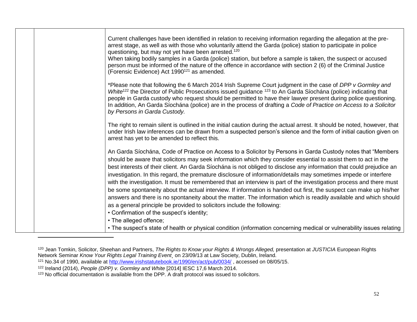|  | Current challenges have been identified in relation to receiving information regarding the allegation at the pre-<br>arrest stage, as well as with those who voluntarily attend the Garda (police) station to participate in police<br>questioning, but may not yet have been arrested. <sup>120</sup><br>When taking bodily samples in a Garda (police) station, but before a sample is taken, the suspect or accused                                                                                                                                                                                                                                                                                                    |
|--|---------------------------------------------------------------------------------------------------------------------------------------------------------------------------------------------------------------------------------------------------------------------------------------------------------------------------------------------------------------------------------------------------------------------------------------------------------------------------------------------------------------------------------------------------------------------------------------------------------------------------------------------------------------------------------------------------------------------------|
|  | person must be informed of the nature of the offence in accordance with section 2 (6) of the Criminal Justice<br>(Forensic Evidence) Act 1990 <sup>121</sup> as amended.                                                                                                                                                                                                                                                                                                                                                                                                                                                                                                                                                  |
|  | *Please note that following the 6 March 2014 Irish Supreme Court judgment in the case of DPP v Gormley and<br>White <sup>122</sup> the Director of Public Prosecutions issued guidance <sup>123</sup> to An Garda Síochána (police) indicating that<br>people in Garda custody who request should be permitted to have their lawyer present during police questioning.<br>In addition, An Garda Síochána (police) are in the process of drafting a Code of Practice on Access to a Solicitor<br>by Persons in Garda Custody.                                                                                                                                                                                              |
|  | The right to remain silent is outlined in the initial caution during the actual arrest. It should be noted, however, that<br>under Irish law inferences can be drawn from a suspected person's silence and the form of initial caution given on<br>arrest has yet to be amended to reflect this.                                                                                                                                                                                                                                                                                                                                                                                                                          |
|  | An Garda Síochána, Code of Practice on Access to a Solicitor by Persons in Garda Custody notes that "Members<br>should be aware that solicitors may seek information which they consider essential to assist them to act in the<br>best interests of their client. An Garda Síochána is not obliged to disclose any information that could prejudice an<br>investigation. In this regard, the premature disclosure of information/details may sometimes impede or interfere<br>with the investigation. It must be remembered that an interview is part of the investigation process and there must<br>be some spontaneity about the actual interview. If information is handed out first, the suspect can make up his/her |
|  | answers and there is no spontaneity about the matter. The information which is readily available and which should<br>as a general principle be provided to solicitors include the following:                                                                                                                                                                                                                                                                                                                                                                                                                                                                                                                              |
|  | • Confirmation of the suspect's identity;                                                                                                                                                                                                                                                                                                                                                                                                                                                                                                                                                                                                                                                                                 |
|  | • The alleged offence;                                                                                                                                                                                                                                                                                                                                                                                                                                                                                                                                                                                                                                                                                                    |
|  | • The suspect's state of health or physical condition (information concerning medical or vulnerability issues relating                                                                                                                                                                                                                                                                                                                                                                                                                                                                                                                                                                                                    |

<sup>&</sup>lt;sup>120</sup> Jean Tomkin, Solicitor, Sheehan and Partners, *The Rights to Know your Rights & Wrongs Alleged,* presentation at *JUSTICIA* European Rights Network Seminar *Know Your Rights Legal Training Event¸* on 23/09/13 at Law Society, Dublin, Ireland.

<sup>&</sup>lt;sup>121</sup> No.34 of 1990, available at<http://www.irishstatutebook.ie/1990/en/act/pub/0034/>, accessed on 08/05/15.

<sup>122</sup> Ireland (2014), *People (DPP) v. Gormley and White* [2014] IESC 17,6 March 2014.

<sup>123</sup> No official documentation is available from the DPP. A draft protocol was issued to solicitors.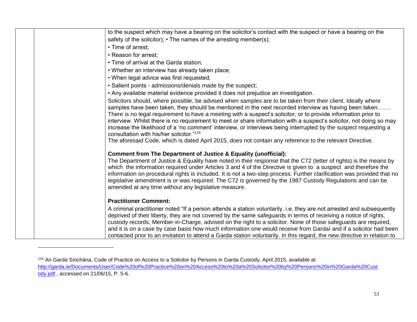| to the suspect which may have a bearing on the solicitor's contact with the suspect or have a bearing on the                                                                                                                              |
|-------------------------------------------------------------------------------------------------------------------------------------------------------------------------------------------------------------------------------------------|
| safety of the solicitor); • The names of the arresting member(s);                                                                                                                                                                         |
| • Time of arrest:                                                                                                                                                                                                                         |
| • Reason for arrest;                                                                                                                                                                                                                      |
| • Time of arrival at the Garda station;                                                                                                                                                                                                   |
| . Whether an interview has already taken place;                                                                                                                                                                                           |
| . When legal advice was first requested;                                                                                                                                                                                                  |
| · Salient points - admissions/denials made by the suspect;                                                                                                                                                                                |
| . Any available material evidence provided it does not prejudice an investigation.                                                                                                                                                        |
| Solicitors should, where possible, be advised when samples are to be taken from their client. Ideally where                                                                                                                               |
| samples have been taken, they should be mentioned in the next recorded interview as having been taken                                                                                                                                     |
| There is no legal requirement to have a meeting with a suspect's solicitor, or to provide information prior to                                                                                                                            |
| interview. Whilst there is no requirement to meet or share information with a suspect's solicitor, not doing so may                                                                                                                       |
| increase the likelihood of a 'no comment' interview, or interviews being interrupted by the suspect requesting a                                                                                                                          |
| consultation with his/her solicitor."124                                                                                                                                                                                                  |
| The aforesaid Code, which is dated April 2015, does not contain any reference to the relevant Directive.                                                                                                                                  |
| <b>Comment from The Department of Justice &amp; Equality (unofficial):</b>                                                                                                                                                                |
| The Department of Justice & Equality have noted in their response that the C72 (letter of rights) is the means by                                                                                                                         |
| which the information required under Articles 3 and 4 of the Directive is given to a suspect and therefore the                                                                                                                            |
| information on procedural rights is included. It is not a two-step process. Further clarification was provided that no                                                                                                                    |
| legislative amendment is or was required. The C72 is governed by the 1987 Custody Regulations and can be                                                                                                                                  |
| amended at any time without any legislative measure.                                                                                                                                                                                      |
| <b>Practitioner Comment:</b>                                                                                                                                                                                                              |
|                                                                                                                                                                                                                                           |
| A criminal practitioner noted "If a person attends a station voluntarily, i.e. they are not arrested and subsequently<br>deprived of their liberty, they are not covered by the same safeguards in terms of receiving a notice of rights, |
| custody records, Member-in-Charge, advised on the right to a solicitor. None of those safeguards are required,                                                                                                                            |
| and it is on a case by case basis how much information one would receive from Gardaí and if a solicitor had been                                                                                                                          |
| contacted prior to an invitation to attend a Garda station voluntarily. In this regard, the new directive in relation to                                                                                                                  |

l

<sup>124</sup> An Garda Síochána, Code of Practice on Access to a Solicitor by Persons in Garda Custody, April 2015, available at [http://garda.ie/Documents/User/Code%20of%20Practice%20on%20Access%20to%20a%20Solicitor%20by%20Persons%20in%20Garda%20Cust](http://garda.ie/Documents/User/Code%20of%20Practice%20on%20Access%20to%20a%20Solicitor%20by%20Persons%20in%20Garda%20Custody.pdf) [ody.pdf](http://garda.ie/Documents/User/Code%20of%20Practice%20on%20Access%20to%20a%20Solicitor%20by%20Persons%20in%20Garda%20Custody.pdf), accessed on 21/06/15, P. 5-6.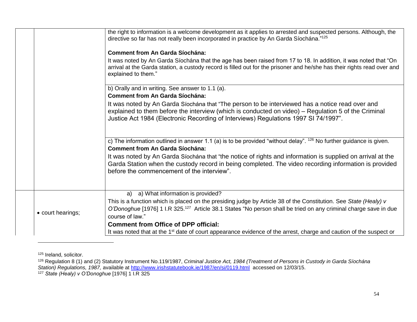|                   | the right to information is a welcome development as it applies to arrested and suspected persons. Although, the<br>directive so far has not really been incorporated in practice by An Garda Síochána." <sup>125</sup>                                            |
|-------------------|--------------------------------------------------------------------------------------------------------------------------------------------------------------------------------------------------------------------------------------------------------------------|
|                   | <b>Comment from An Garda Síochána:</b>                                                                                                                                                                                                                             |
|                   | It was noted by An Garda Síochána that the age has been raised from 17 to 18. In addition, it was noted that "On<br>arrival at the Garda station, a custody record is filled out for the prisoner and he/she has their rights read over and<br>explained to them." |
|                   | b) Orally and in writing. See answer to 1.1 (a).<br><b>Comment from An Garda Síochána:</b>                                                                                                                                                                         |
|                   | It was noted by An Garda Síochána that "The person to be interviewed has a notice read over and<br>explained to them before the interview (which is conducted on video) – Regulation 5 of the Criminal                                                             |
|                   | Justice Act 1984 (Electronic Recording of Interviews) Regulations 1997 SI 74/1997".                                                                                                                                                                                |
|                   | c) The information outlined in answer 1.1 (a) is to be provided "without delay". $126$ No further guidance is given.<br><b>Comment from An Garda Síochána:</b>                                                                                                     |
|                   | It was noted by An Garda Síochána that "the notice of rights and information is supplied on arrival at the<br>Garda Station when the custody record in being completed. The video recording information is provided<br>before the commencement of the interview".  |
|                   | a) a) What information is provided?                                                                                                                                                                                                                                |
|                   | This is a function which is placed on the presiding judge by Article 38 of the Constitution. See State (Healy) v                                                                                                                                                   |
| • court hearings; | O'Donoghue [1976] 1 I.R 325. <sup>127</sup> Article 38.1 States "No person shall be tried on any criminal charge save in due<br>course of law."                                                                                                                    |
|                   | <b>Comment from Office of DPP official:</b>                                                                                                                                                                                                                        |
|                   | It was noted that at the 1 <sup>st</sup> date of court appearance evidence of the arrest, charge and caution of the suspect or                                                                                                                                     |

<sup>125</sup> Ireland, solicitor.

l

<sup>126</sup> Regulation 8 (1) and (2) Statutory Instrument No.119/1987, *Criminal Justice Act, 1984 (Treatment of Persons in Custody in Garda Síochána Station) Regulations, 1987,* available at<http://www.irishstatutebook.ie/1987/en/si/0119.html>accessed on 12/03/15.

<sup>127</sup> *State (Healy) v O'Donoghue* [1976] 1 I.R 325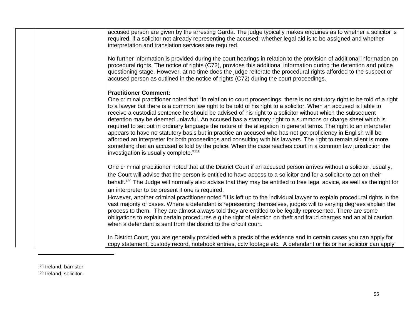| accused person are given by the arresting Garda. The judge typically makes enquiries as to whether a solicitor is<br>required, if a solicitor not already representing the accused; whether legal aid is to be assigned and whether<br>interpretation and translation services are required.                                                                                                                                                                                                                                                                                                                                                                                                                                                                                                                                                                                                                                                                                                                                  |
|-------------------------------------------------------------------------------------------------------------------------------------------------------------------------------------------------------------------------------------------------------------------------------------------------------------------------------------------------------------------------------------------------------------------------------------------------------------------------------------------------------------------------------------------------------------------------------------------------------------------------------------------------------------------------------------------------------------------------------------------------------------------------------------------------------------------------------------------------------------------------------------------------------------------------------------------------------------------------------------------------------------------------------|
| No further information is provided during the court hearings in relation to the provision of additional information on<br>procedural rights. The notice of rights (C72), provides this additional information during the detention and police<br>questioning stage. However, at no time does the judge reiterate the procedural rights afforded to the suspect or<br>accused person as outlined in the notice of rights (C72) during the court proceedings.                                                                                                                                                                                                                                                                                                                                                                                                                                                                                                                                                                   |
| <b>Practitioner Comment:</b><br>One criminal practitioner noted that "In relation to court proceedings, there is no statutory right to be told of a right<br>to a lawyer but there is a common law right to be told of his right to a solicitor. When an accused is liable to<br>receive a custodial sentence he should be advised of his right to a solicitor without which the subsequent<br>detention may be deemed unlawful. An accused has a statutory right to a summons or charge sheet which is<br>required to set out in ordinary language the nature of the allegation in general terms. The right to an interpreter<br>appears to have no statutory basis but in practice an accused who has not got proficiency in English will be<br>afforded an interpreter for both proceedings and consulting with his lawyers. The right to remain silent is more<br>something that an accused is told by the police. When the case reaches court in a common law jurisdiction the<br>investigation is usually complete."128 |
| One criminal practitioner noted that at the District Court if an accused person arrives without a solicitor, usually,<br>the Court will advise that the person is entitled to have access to a solicitor and for a solicitor to act on their<br>behalf. <sup>129</sup> The Judge will normally also advise that they may be entitled to free legal advice, as well as the right for<br>an interpreter to be present if one is required.<br>However, another criminal practitioner noted "It is left up to the individual lawyer to explain procedural rights in the                                                                                                                                                                                                                                                                                                                                                                                                                                                           |
| vast majority of cases. Where a defendant is representing themselves, judges will to varying degrees explain the<br>process to them. They are almost always told they are entitled to be legally represented. There are some<br>obligations to explain certain procedures e.g the right of election on theft and fraud charges and an alibi caution<br>when a defendant is sent from the district to the circuit court.                                                                                                                                                                                                                                                                                                                                                                                                                                                                                                                                                                                                       |
| In District Court, you are generally provided with a precis of the evidence and in certain cases you can apply for<br>copy statement, custody record, notebook entries, cctv footage etc. A defendant or his or her solicitor can apply                                                                                                                                                                                                                                                                                                                                                                                                                                                                                                                                                                                                                                                                                                                                                                                       |

<sup>128</sup> Ireland, barrister.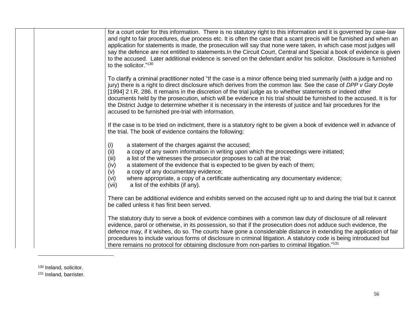| for a court order for this information. There is no statutory right to this information and it is governed by case-law<br>and right to fair procedures, due process etc. It is often the case that a scant precis will be furnished and when an<br>application for statements is made, the prosecution will say that none were taken, in which case most judges will<br>say the defence are not entitled to statements. In the Circuit Court, Central and Special a book of evidence is given<br>to the accused. Later additional evidence is served on the defendant and/or his solicitor. Disclosure is furnished<br>to the solicitor."130            |
|---------------------------------------------------------------------------------------------------------------------------------------------------------------------------------------------------------------------------------------------------------------------------------------------------------------------------------------------------------------------------------------------------------------------------------------------------------------------------------------------------------------------------------------------------------------------------------------------------------------------------------------------------------|
| To clarify a criminal practitioner noted "If the case is a minor offence being tried summarily (with a judge and no<br>jury) there is a right to direct disclosure which derives from the common law. See the case of DPP v Gary Doyle<br>[1994] 2 I.R. 286. It remains in the discretion of the trial judge as to whether statements or indeed other<br>documents held by the prosecution, which will be evidence in his trial should be furnished to the accused. It is for<br>the District Judge to determine whether it is necessary in the interests of justice and fair procedures for the<br>accused to be furnished pre-trial with information. |
| If the case is to be tried on indictment, there is a statutory right to be given a book of evidence well in advance of<br>the trial. The book of evidence contains the following:                                                                                                                                                                                                                                                                                                                                                                                                                                                                       |
| a statement of the charges against the accused;<br>(i)<br>a copy of any sworn information in writing upon which the proceedings were initiated;<br>(ii)<br>(iii)<br>a list of the witnesses the prosecutor proposes to call at the trial;<br>a statement of the evidence that is expected to be given by each of them;<br>(iv)<br>a copy of any documentary evidence;<br>(v)<br>where appropriate, a copy of a certificate authenticating any documentary evidence;<br>(vi)<br>a list of the exhibits (if any).<br>(vii)                                                                                                                                |
| There can be additional evidence and exhibits served on the accused right up to and during the trial but it cannot<br>be called unless it has first been served.                                                                                                                                                                                                                                                                                                                                                                                                                                                                                        |
| The statutory duty to serve a book of evidence combines with a common law duty of disclosure of all relevant<br>evidence, parol or otherwise, in its possession, so that if the prosecution does not adduce such evidence, the<br>defence may, if it wishes, do so. The courts have gone a considerable distance in extending the application of fair<br>procedures to include various forms of disclosure in criminal litigation. A statutory code is being introduced but<br>there remains no protocol for obtaining disclosure from non-parties to criminal litigation." <sup>131</sup>                                                              |

130 Ireland, solicitor.

l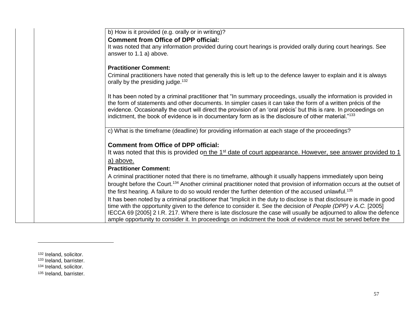| b) How is it provided (e.g. orally or in writing)?                                                                                 |
|------------------------------------------------------------------------------------------------------------------------------------|
| <b>Comment from Office of DPP official:</b>                                                                                        |
| It was noted that any information provided during court hearings is provided orally during court hearings. See                     |
| answer to 1.1 a) above.                                                                                                            |
|                                                                                                                                    |
| <b>Practitioner Comment:</b>                                                                                                       |
| Criminal practitioners have noted that generally this is left up to the defence lawyer to explain and it is always                 |
| orally by the presiding judge. <sup>132</sup>                                                                                      |
|                                                                                                                                    |
| It has been noted by a criminal practitioner that "In summary proceedings, usually the information is provided in                  |
| the form of statements and other documents. In simpler cases it can take the form of a written précis of the                       |
| evidence. Occasionally the court will direct the provision of an 'oral précis' but this is rare. In proceedings on                 |
| indictment, the book of evidence is in documentary form as is the disclosure of other material."133                                |
|                                                                                                                                    |
| c) What is the timeframe (deadline) for providing information at each stage of the proceedings?                                    |
|                                                                                                                                    |
| <b>Comment from Office of DPP official:</b>                                                                                        |
| It was noted that this is provided on the 1 <sup>st</sup> date of court appearance. However, see answer provided to 1              |
| a) above.                                                                                                                          |
| <b>Practitioner Comment:</b>                                                                                                       |
| A criminal practitioner noted that there is no timeframe, although it usually happens immediately upon being                       |
| brought before the Court. <sup>134</sup> Another criminal practitioner noted that provision of information occurs at the outset of |
| the first hearing. A failure to do so would render the further detention of the accused unlawful. <sup>135</sup>                   |
| It has been noted by a criminal practitioner that "Implicit in the duty to disclose is that disclosure is made in good             |
| time with the opportunity given to the defence to consider it. See the decision of People (DPP) v A.C. [2005]                      |
| IECCA 69 [2005] 2 I.R. 217. Where there is late disclosure the case will usually be adjourned to allow the defence                 |
| ample opportunity to consider it. In proceedings on indictment the book of evidence must be served before the                      |
|                                                                                                                                    |

l

<sup>132</sup> Ireland, solicitor.

<sup>&</sup>lt;sup>133</sup> Ireland, barrister.

<sup>134</sup> Ireland, solicitor.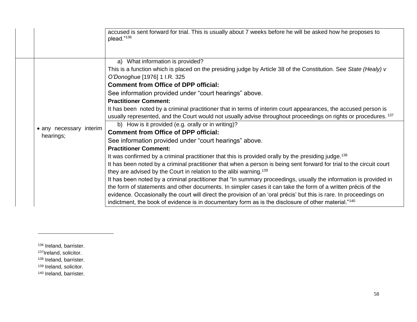|                                      | accused is sent forward for trial. This is usually about 7 weeks before he will be asked how he proposes to<br>plead."136                                                                                                                                                                                                                                                                                                                                                                                                                                                                                                                                                                                                                                                                                                                                                                                                                                                                                                                                                                                                                                                                                                                                                                                                                                                                                                                                                                                                                                                    |
|--------------------------------------|------------------------------------------------------------------------------------------------------------------------------------------------------------------------------------------------------------------------------------------------------------------------------------------------------------------------------------------------------------------------------------------------------------------------------------------------------------------------------------------------------------------------------------------------------------------------------------------------------------------------------------------------------------------------------------------------------------------------------------------------------------------------------------------------------------------------------------------------------------------------------------------------------------------------------------------------------------------------------------------------------------------------------------------------------------------------------------------------------------------------------------------------------------------------------------------------------------------------------------------------------------------------------------------------------------------------------------------------------------------------------------------------------------------------------------------------------------------------------------------------------------------------------------------------------------------------------|
| • any necessary interim<br>hearings; | a) What information is provided?<br>This is a function which is placed on the presiding judge by Article 38 of the Constitution. See State (Healy) v<br>O'Donoghue [1976] 1 I.R. 325<br><b>Comment from Office of DPP official:</b><br>See information provided under "court hearings" above.<br><b>Practitioner Comment:</b><br>It has been noted by a criminal practitioner that in terms of interim court appearances, the accused person is<br>usually represented, and the Court would not usually advise throughout proceedings on rights or procedures. 137<br>b) How is it provided (e.g. orally or in writing)?<br><b>Comment from Office of DPP official:</b><br>See information provided under "court hearings" above.<br><b>Practitioner Comment:</b><br>It was confirmed by a criminal practitioner that this is provided orally by the presiding judge. <sup>138</sup><br>It has been noted by a criminal practitioner that when a person is being sent forward for trial to the circuit court<br>they are advised by the Court in relation to the alibi warning. <sup>139</sup><br>It has been noted by a criminal practitioner that "In summary proceedings, usually the information is provided in<br>the form of statements and other documents. In simpler cases it can take the form of a written précis of the<br>evidence. Occasionally the court will direct the provision of an 'oral précis' but this is rare. In proceedings on<br>indictment, the book of evidence is in documentary form as is the disclosure of other material." <sup>140</sup> |

<sup>136</sup> Ireland, barrister.

 $\overline{\phantom{a}}$ 

<sup>137</sup>Ireland, solicitor.

138 Ireland, barrister.

139 Ireland, solicitor.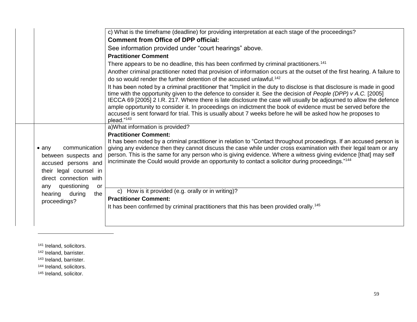|                                                                                                                                                | c) What is the timeframe (deadline) for providing interpretation at each stage of the proceedings?                                                                                                                                                                                                                                                                                                                                                                                                                                                                                                          |
|------------------------------------------------------------------------------------------------------------------------------------------------|-------------------------------------------------------------------------------------------------------------------------------------------------------------------------------------------------------------------------------------------------------------------------------------------------------------------------------------------------------------------------------------------------------------------------------------------------------------------------------------------------------------------------------------------------------------------------------------------------------------|
|                                                                                                                                                | <b>Comment from Office of DPP official:</b>                                                                                                                                                                                                                                                                                                                                                                                                                                                                                                                                                                 |
|                                                                                                                                                | See information provided under "court hearings" above.                                                                                                                                                                                                                                                                                                                                                                                                                                                                                                                                                      |
|                                                                                                                                                | <b>Practitioner Comment</b>                                                                                                                                                                                                                                                                                                                                                                                                                                                                                                                                                                                 |
|                                                                                                                                                | There appears to be no deadline, this has been confirmed by criminal practitioners. <sup>141</sup>                                                                                                                                                                                                                                                                                                                                                                                                                                                                                                          |
|                                                                                                                                                | Another criminal practitioner noted that provision of information occurs at the outset of the first hearing. A failure to                                                                                                                                                                                                                                                                                                                                                                                                                                                                                   |
|                                                                                                                                                | do so would render the further detention of the accused unlawful. <sup>142</sup>                                                                                                                                                                                                                                                                                                                                                                                                                                                                                                                            |
|                                                                                                                                                | It has been noted by a criminal practitioner that "Implicit in the duty to disclose is that disclosure is made in good<br>time with the opportunity given to the defence to consider it. See the decision of People (DPP) v A.C. [2005]<br>IECCA 69 [2005] 2 I.R. 217. Where there is late disclosure the case will usually be adjourned to allow the defence<br>ample opportunity to consider it. In proceedings on indictment the book of evidence must be served before the<br>accused is sent forward for trial. This is usually about 7 weeks before he will be asked how he proposes to<br>plead."143 |
|                                                                                                                                                | a) What information is provided?                                                                                                                                                                                                                                                                                                                                                                                                                                                                                                                                                                            |
|                                                                                                                                                | <b>Practitioner Comment:</b>                                                                                                                                                                                                                                                                                                                                                                                                                                                                                                                                                                                |
| communication<br>$\bullet$ any<br>between suspects and<br>accused persons and<br>their legal counsel in<br>direct connection with<br>any<br>or | It has been noted by a criminal practitioner in relation to "Contact throughout proceedings. If an accused person is<br>giving any evidence then they cannot discuss the case while under cross examination with their legal team or any<br>person. This is the same for any person who is giving evidence. Where a witness giving evidence [that] may self<br>incriminate the Could would provide an opportunity to contact a solicitor during proceedings." <sup>144</sup>                                                                                                                                |
| the                                                                                                                                            | c) How is it provided (e.g. orally or in writing)?                                                                                                                                                                                                                                                                                                                                                                                                                                                                                                                                                          |
|                                                                                                                                                | <b>Practitioner Comment:</b>                                                                                                                                                                                                                                                                                                                                                                                                                                                                                                                                                                                |
|                                                                                                                                                | It has been confirmed by criminal practitioners that this has been provided orally. <sup>145</sup>                                                                                                                                                                                                                                                                                                                                                                                                                                                                                                          |
|                                                                                                                                                |                                                                                                                                                                                                                                                                                                                                                                                                                                                                                                                                                                                                             |
|                                                                                                                                                |                                                                                                                                                                                                                                                                                                                                                                                                                                                                                                                                                                                                             |
|                                                                                                                                                | questioning<br>during<br>hearing<br>proceedings?                                                                                                                                                                                                                                                                                                                                                                                                                                                                                                                                                            |

141 Ireland, solicitors.

 $\overline{\phantom{a}}$ 

<sup>142</sup> Ireland, barrister. <sup>143</sup> Ireland, barrister.

144 Ireland, solicitors.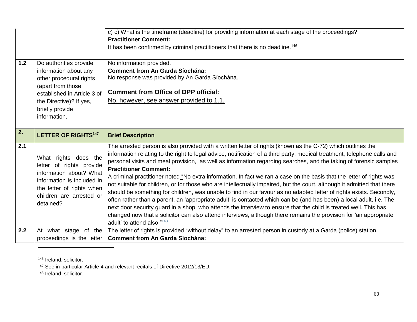|     |                                                                                                                                                                                              | c) c) What is the timeframe (deadline) for providing information at each stage of the proceedings?<br><b>Practitioner Comment:</b><br>It has been confirmed by criminal practitioners that there is no deadline. <sup>146</sup>                                                                                                                                                                                                                                                                                                                                                                                                                                                                                                                                                                                                                                                                                                                                                                                                                                                                                                                                                   |
|-----|----------------------------------------------------------------------------------------------------------------------------------------------------------------------------------------------|-----------------------------------------------------------------------------------------------------------------------------------------------------------------------------------------------------------------------------------------------------------------------------------------------------------------------------------------------------------------------------------------------------------------------------------------------------------------------------------------------------------------------------------------------------------------------------------------------------------------------------------------------------------------------------------------------------------------------------------------------------------------------------------------------------------------------------------------------------------------------------------------------------------------------------------------------------------------------------------------------------------------------------------------------------------------------------------------------------------------------------------------------------------------------------------|
| 1.2 | Do authorities provide<br>information about any<br>other procedural rights<br>(apart from those<br>established in Article 3 of<br>the Directive)? If yes,<br>briefly provide<br>information. | No information provided.<br><b>Comment from An Garda Síochána:</b><br>No response was provided by An Garda Síochána.<br><b>Comment from Office of DPP official:</b><br>No, however, see answer provided to 1.1.                                                                                                                                                                                                                                                                                                                                                                                                                                                                                                                                                                                                                                                                                                                                                                                                                                                                                                                                                                   |
| 2.  | <b>LETTER OF RIGHTS147</b>                                                                                                                                                                   | <b>Brief Description</b>                                                                                                                                                                                                                                                                                                                                                                                                                                                                                                                                                                                                                                                                                                                                                                                                                                                                                                                                                                                                                                                                                                                                                          |
|     |                                                                                                                                                                                              |                                                                                                                                                                                                                                                                                                                                                                                                                                                                                                                                                                                                                                                                                                                                                                                                                                                                                                                                                                                                                                                                                                                                                                                   |
| 2.1 | What rights does the<br>letter of rights provide<br>information about? What<br>information is included in<br>the letter of rights when<br>children are arrested or<br>detained?              | The arrested person is also provided with a written letter of rights (known as the C-72) which outlines the<br>information relating to the right to legal advice, notification of a third party, medical treatment, telephone calls and<br>personal visits and meal provision, as well as information regarding searches, and the taking of forensic samples<br><b>Practitioner Comment:</b><br>A criminal practitioner noted "No extra information. In fact we ran a case on the basis that the letter of rights was<br>not suitable for children, or for those who are intellectually impaired, but the court, although it admitted that there<br>should be something for children, was unable to find in our favour as no adapted letter of rights exists. Secondly,<br>often rather than a parent, an 'appropriate adult' is contacted which can be (and has been) a local adult, i.e. The<br>next door security guard in a shop, who attends the interview to ensure that the child is treated well. This has<br>changed now that a solicitor can also attend interviews, although there remains the provision for 'an appropriate<br>adult' to attend also." <sup>148</sup> |

146 Ireland, solicitor.

l

<sup>147</sup> See in particular Article 4 and relevant recitals of Directive 2012/13/EU.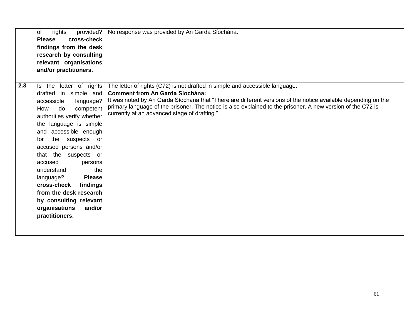| of<br>rights<br>provided?<br>cross-check<br><b>Please</b><br>findings from the desk<br>research by consulting<br>relevant organisations<br>and/or practitioners.                                                                                                                                                                                                                                                                                                                                     | No response was provided by An Garda Síochána.                                                                                                                                                                                                                                                                                                                                                         |
|------------------------------------------------------------------------------------------------------------------------------------------------------------------------------------------------------------------------------------------------------------------------------------------------------------------------------------------------------------------------------------------------------------------------------------------------------------------------------------------------------|--------------------------------------------------------------------------------------------------------------------------------------------------------------------------------------------------------------------------------------------------------------------------------------------------------------------------------------------------------------------------------------------------------|
| 2.3<br>letter of rights<br>Is the<br>drafted in simple and<br>accessible<br>language?<br>competent<br>How<br>do<br>authorities verify whether<br>language is simple<br>the<br>and accessible enough<br>the<br>suspects<br>for<br><b>or</b><br>accused persons and/or<br>that the suspects<br>or<br>accused<br>persons<br>the<br>understand<br>language?<br><b>Please</b><br>cross-check<br>findings<br>from the desk research<br>by consulting relevant<br>and/or<br>organisations<br>practitioners. | The letter of rights (C72) is not drafted in simple and accessible language.<br><b>Comment from An Garda Síochána:</b><br>It was noted by An Garda Síochána that "There are different versions of the notice available depending on the<br>primary language of the prisoner. The notice is also explained to the prisoner. A new version of the C72 is<br>currently at an advanced stage of drafting." |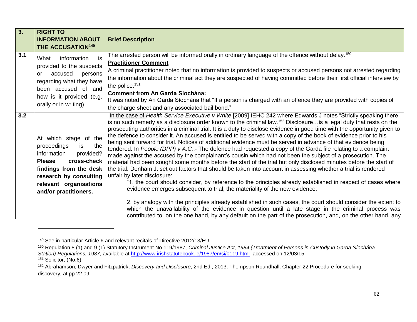| 3.  | <b>RIGHT TO</b><br><b>INFORMATION ABOUT</b><br><b>THE ACCUSATION149</b>                                                                                                                                               | <b>Brief Description</b>                                                                                                                                                                                                                                                                                                                                                                                                                                                                                                                                                                                                                                                                                                                                                                                                                                                                                                                                                                                                                                                                                                                                                                                                                                                                                                                                                                                                                                                                                                                                                                                                                                   |
|-----|-----------------------------------------------------------------------------------------------------------------------------------------------------------------------------------------------------------------------|------------------------------------------------------------------------------------------------------------------------------------------------------------------------------------------------------------------------------------------------------------------------------------------------------------------------------------------------------------------------------------------------------------------------------------------------------------------------------------------------------------------------------------------------------------------------------------------------------------------------------------------------------------------------------------------------------------------------------------------------------------------------------------------------------------------------------------------------------------------------------------------------------------------------------------------------------------------------------------------------------------------------------------------------------------------------------------------------------------------------------------------------------------------------------------------------------------------------------------------------------------------------------------------------------------------------------------------------------------------------------------------------------------------------------------------------------------------------------------------------------------------------------------------------------------------------------------------------------------------------------------------------------------|
| 3.1 | information<br>is<br>What<br>provided to the suspects<br>accused<br>persons<br>or<br>regarding what they have<br>been accused of and<br>how is it provided (e.g.<br>orally or in writing)                             | The arrested person will be informed orally in ordinary language of the offence without delay. <sup>150</sup><br><b>Practitioner Comment</b><br>A criminal practitioner noted that no information is provided to suspects or accused persons not arrested regarding<br>the information about the criminal act they are suspected of having committed before their first official interview by<br>the police. $151$<br><b>Comment from An Garda Síochána:</b><br>It was noted by An Garda Síochána that "If a person is charged with an offence they are provided with copies of<br>the charge sheet and any associated bail bond."                                                                                                                                                                                                                                                                                                                                                                                                                                                                                                                                                                                                                                                                                                                                                                                                                                                                                                                                                                                                                         |
| 3.2 | At which stage of the<br>proceedings<br>the<br>is.<br>information<br>provided?<br>cross-check<br><b>Please</b><br>findings from the desk<br>research by consulting<br>relevant organisations<br>and/or practitioners. | In the case of Health Service Executive v White [2009] IEHC 242 where Edwards J notes "Strictly speaking there<br>is no such remedy as a disclosure order known to the criminal law. <sup>152</sup> Disclosure is a legal duty that rests on the<br>prosecuting authorities in a criminal trial. It is a duty to disclose evidence in good time with the opportunity given to<br>the defence to consider it. An accused is entitled to be served with a copy of the book of evidence prior to his<br>being sent forward for trial. Notices of additional evidence must be served in advance of that evidence being<br>tendered. In People (DPP) v A.C.,- The defence had requested a copy of the Garda file relating to a complaint<br>made against the accused by the complainant's cousin which had not been the subject of a prosecution. The<br>material had been sought some months before the start of the trial but only disclosed minutes before the start of<br>the trial. Denham J. set out factors that should be taken into account in assessing whether a trial is rendered<br>unfair by later disclosure:<br>"1. the court should consider, by reference to the principles already established in respect of cases where<br>evidence emerges subsequent to trial, the materiality of the new evidence;<br>2. by analogy with the principles already established in such cases, the court should consider the extent to<br>which the unavailability of the evidence in question until a late stage in the criminal process was<br>contributed to, on the one hand, by any default on the part of the prosecution, and, on the other hand, any |

<sup>149</sup> See in particular Article 6 and relevant recitals of Directive 2012/13/EU.

<sup>150</sup> Regulation 8 (1) and 9 (1) Statutory Instrument No.119/1987, *Criminal Justice Act, 1984 (Treatment of Persons in Custody in Garda Síochána Station) Regulations, 1987,* available at<http://www.irishstatutebook.ie/1987/en/si/0119.html>accessed on 12/03/15. <sup>151</sup> Solicitor, (No.6)

<sup>152</sup> [Abrahamson, Dwyer and Fitzpatrick;](https://wlie.kingsinns.ie/maf/wlie/api/tocectory?tocguid=I12179432731A4B26B6980202C0F2F089&ndd=2&sttype=stdtemplate&context=5) *Discovery and Disclosure*, 2nd Ed., 2013, Thompson Roundhall, Chapter 22 Procedure for seeking discovery, at pp 22.09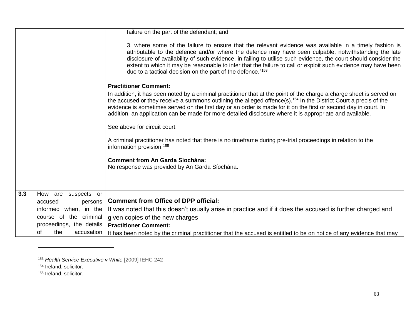|     |                          | failure on the part of the defendant; and                                                                                                                                                                                                                                                                                                                                                                                                                                                                         |
|-----|--------------------------|-------------------------------------------------------------------------------------------------------------------------------------------------------------------------------------------------------------------------------------------------------------------------------------------------------------------------------------------------------------------------------------------------------------------------------------------------------------------------------------------------------------------|
|     |                          | 3. where some of the failure to ensure that the relevant evidence was available in a timely fashion is<br>attributable to the defence and/or where the defence may have been culpable, notwithstanding the late<br>disclosure of availability of such evidence, in failing to utilise such evidence, the court should consider the<br>extent to which it may be reasonable to infer that the failure to call or exploit such evidence may have been<br>due to a tactical decision on the part of the defence."153 |
|     |                          | <b>Practitioner Comment:</b>                                                                                                                                                                                                                                                                                                                                                                                                                                                                                      |
|     |                          | In addition, it has been noted by a criminal practitioner that at the point of the charge a charge sheet is served on<br>the accused or they receive a summons outlining the alleged offence(s). <sup>154</sup> In the District Court a precis of the<br>evidence is sometimes served on the first day or an order is made for it on the first or second day in court. In<br>addition, an application can be made for more detailed disclosure where it is appropriate and available.                             |
|     |                          | See above for circuit court.                                                                                                                                                                                                                                                                                                                                                                                                                                                                                      |
|     |                          | A criminal practitioner has noted that there is no timeframe during pre-trial proceedings in relation to the<br>information provision. <sup>155</sup>                                                                                                                                                                                                                                                                                                                                                             |
|     |                          | <b>Comment from An Garda Síochána:</b>                                                                                                                                                                                                                                                                                                                                                                                                                                                                            |
|     |                          | No response was provided by An Garda Síochána.                                                                                                                                                                                                                                                                                                                                                                                                                                                                    |
|     |                          |                                                                                                                                                                                                                                                                                                                                                                                                                                                                                                                   |
|     |                          |                                                                                                                                                                                                                                                                                                                                                                                                                                                                                                                   |
| 3.3 | How are suspects or      | <b>Comment from Office of DPP official:</b>                                                                                                                                                                                                                                                                                                                                                                                                                                                                       |
|     | accused<br>persons       |                                                                                                                                                                                                                                                                                                                                                                                                                                                                                                                   |
|     | informed when, in the    | It was noted that this doesn't usually arise in practice and if it does the accused is further charged and                                                                                                                                                                                                                                                                                                                                                                                                        |
|     | course of the criminal   | given copies of the new charges                                                                                                                                                                                                                                                                                                                                                                                                                                                                                   |
|     | proceedings, the details | <b>Practitioner Comment:</b>                                                                                                                                                                                                                                                                                                                                                                                                                                                                                      |
|     | the<br>accusation<br>Ωf  | It has been noted by the criminal practitioner that the accused is entitled to be on notice of any evidence that may                                                                                                                                                                                                                                                                                                                                                                                              |

l

<sup>153</sup> *Health Service Executive v White* [2009] IEHC 242

<sup>154</sup> Ireland, solicitor.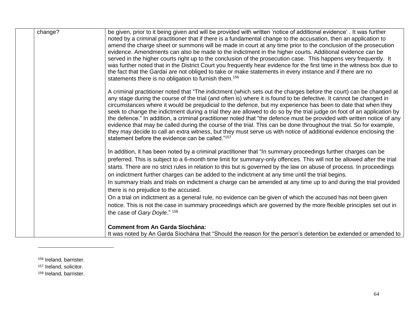| change? | be given, prior to it being given and will be provided with written 'notice of additional evidence'. It was further<br>noted by a criminal practitioner that if there is a fundamental change to the accusation, then an application to<br>amend the charge sheet or summons will be made in court at any time prior to the conclusion of the prosecution<br>evidence. Amendments can also be made to the indictment in the higher courts. Additional evidence can be<br>served in the higher courts right up to the conclusion of the prosecution case. This happens very frequently. It<br>was further noted that in the District Court you frequently hear evidence for the first time in the witness box due to<br>the fact that the Gardaí are not obliged to take or make statements in every instance and if there are no<br>statements there is no obligation to furnish them. <sup>156</sup>        |
|---------|--------------------------------------------------------------------------------------------------------------------------------------------------------------------------------------------------------------------------------------------------------------------------------------------------------------------------------------------------------------------------------------------------------------------------------------------------------------------------------------------------------------------------------------------------------------------------------------------------------------------------------------------------------------------------------------------------------------------------------------------------------------------------------------------------------------------------------------------------------------------------------------------------------------|
|         | A criminal practitioner noted that "The indictment (which sets out the charges before the court) can be changed at<br>any stage during the course of the trial (and often is) where it is found to be defective. It cannot be changed in<br>circumstances where it would be prejudicial to the defence, but my experience has been to date that when they<br>seek to change the indictment during a trial they are allowed to do so by the trial judge on foot of an application by<br>the defence." In addition, a criminal practitioner noted that "the defence must be provided with written notice of any<br>evidence that may be called during the course of the trial. This can be done throughout the trial. So for example,<br>they may decide to call an extra witness, but they must serve us with notice of additional evidence enclosing the<br>statement before the evidence can be called."157 |
|         | In addition, it has been noted by a criminal practitioner that "In summary proceedings further charges can be<br>preferred. This is subject to a 6-month time limit for summary-only offences. This will not be allowed after the trial<br>starts. There are no strict rules in relation to this but is governed by the law on abuse of process. In proceedings<br>on indictment further charges can be added to the indictment at any time until the trial begins.<br>In summary trials and trials on indictment a charge can be amended at any time up to and during the trial provided<br>there is no prejudice to the accused.<br>On a trial on indictment as a general rule, no evidence can be given of which the accused has not been given<br>notice. This is not the case in summary proceedings which are governed by the more flexible principles set out in                                      |
|         | the case of Gary Doyle." 158<br><b>Comment from An Garda Síochána:</b><br>It was noted by An Garda Síochána that "Should the reason for the person's detention be extended or amended to                                                                                                                                                                                                                                                                                                                                                                                                                                                                                                                                                                                                                                                                                                                     |

<sup>156</sup> Ireland, barrister.

157 Ireland, solicitor.

l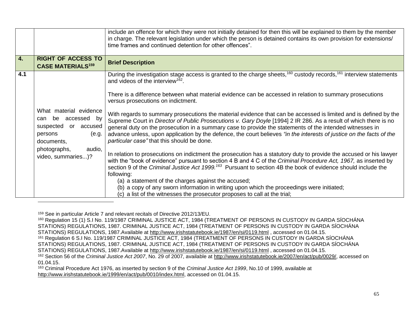|                  |                                                                                                                                                              | include an offence for which they were not initially detained for then this will be explained to them by the member<br>in charge. The relevant legislation under which the person is detained contains its own provision for extensions/<br>time frames and continued detention for other offences".                                                                                                                                                                                                                                                                                                                                                                                                                                                                                                                                                                                                                                                                                                                                                                                                                                                                                                                                          |
|------------------|--------------------------------------------------------------------------------------------------------------------------------------------------------------|-----------------------------------------------------------------------------------------------------------------------------------------------------------------------------------------------------------------------------------------------------------------------------------------------------------------------------------------------------------------------------------------------------------------------------------------------------------------------------------------------------------------------------------------------------------------------------------------------------------------------------------------------------------------------------------------------------------------------------------------------------------------------------------------------------------------------------------------------------------------------------------------------------------------------------------------------------------------------------------------------------------------------------------------------------------------------------------------------------------------------------------------------------------------------------------------------------------------------------------------------|
| $\overline{4}$ . | <b>RIGHT OF ACCESS TO</b><br><b>CASE MATERIALS<sup>159</sup></b>                                                                                             | <b>Brief Description</b>                                                                                                                                                                                                                                                                                                                                                                                                                                                                                                                                                                                                                                                                                                                                                                                                                                                                                                                                                                                                                                                                                                                                                                                                                      |
| 4.1              | What material evidence<br>be accessed by<br>can<br>suspected<br>or accused<br>persons<br>(e.g.<br>documents,<br>photographs,<br>audio,<br>video, summaries)? | During the investigation stage access is granted to the charge sheets, <sup>160</sup> custody records, <sup>161</sup> interview statements<br>and videos of the interview <sup>162</sup> .<br>There is a difference between what material evidence can be accessed in relation to summary prosecutions<br>versus prosecutions on indictment.<br>With regards to summary prosecutions the material evidence that can be accessed is limited and is defined by the<br>Supreme Court in Director of Public Prosecutions v. Gary Doyle [1994] 2 IR 286. As a result of which there is no<br>general duty on the prosecution in a summary case to provide the statements of the intended witnesses in<br>advance unless, upon application by the defence, the court believes "in the interests of justice on the facts of the<br>particular case" that this should be done.<br>In relation to prosecutions on indictment the prosecution has a statutory duty to provide the accused or his lawyer<br>with the "book of evidence" pursuant to section 4 B and 4 C of the Criminal Procedure Act, 1967, as inserted by<br>section 9 of the Criminal Justice Act 1999. <sup>163</sup> Pursuant to section 4B the book of evidence should include the |
|                  |                                                                                                                                                              | following:<br>(a) a statement of the charges against the accused;<br>(b) a copy of any sworn information in writing upon which the proceedings were initiated;<br>(c) a list of the witnesses the prosecutor proposes to call at the trial;                                                                                                                                                                                                                                                                                                                                                                                                                                                                                                                                                                                                                                                                                                                                                                                                                                                                                                                                                                                                   |

<sup>159</sup> See in particular Article 7 and relevant recitals of Directive 2012/13/EU.

01.04.15.

<sup>160</sup> Regulation 15 (1) S.I No. 119/1987 CRIMINAL JUSTICE ACT, 1984 (TREATMENT OF PERSONS IN CUSTODY IN GARDA SÍOCHÁNA STATIONS) REGULATIONS, 1987. CRIMINAL JUSTICE ACT, 1984 (TREATMENT OF PERSONS IN CUSTODY IN GARDA SÍOCHÁNA STATIONS) REGULATIONS, 1987.Available at<http://www.irishstatutebook.ie/1987/en/si/0119.html> , accessed on 01.04.15. <sup>161</sup> Regulation 6 S.I No. 119/1987 CRIMINAL JUSTICE ACT, 1984 (TREATMENT OF PERSONS IN CUSTODY IN GARDA SÍOCHÁNA STATIONS) REGULATIONS, 1987. CRIMINAL JUSTICE ACT, 1984 (TREATMENT OF PERSONS IN CUSTODY IN GARDA SÍOCHÁNA STATIONS) REGULATIONS, 1987.Available at<http://www.irishstatutebook.ie/1987/en/si/0119.html> , accessed on 01.04.15. <sup>162</sup> Section 56 of the *Criminal Justice Act 2007*, No. 29 of 2007, available at [http://www.irishstatutebook.ie/2007/en/act/pub/0029/,](http://www.irishstatutebook.ie/2007/en/act/pub/0029/) accessed on

<sup>163</sup> Criminal Procedure Act 1976, as inserted by section 9 of the *Criminal Justice Act 1999*, No.10 of 1999, available at [http://www.irishstatutebook.ie/1999/en/act/pub/0010/index.html,](http://www.irishstatutebook.ie/1999/en/act/pub/0010/index.html) accessed on 01.04.15.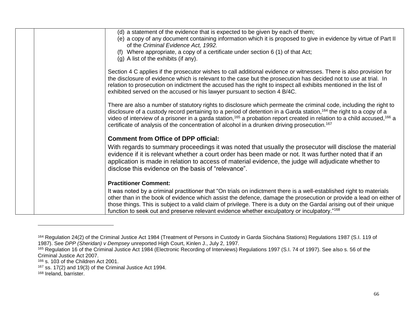| (d) a statement of the evidence that is expected to be given by each of them;                                                                                                                                                                               |
|-------------------------------------------------------------------------------------------------------------------------------------------------------------------------------------------------------------------------------------------------------------|
| (e) a copy of any document containing information which it is proposed to give in evidence by virtue of Part II<br>of the Criminal Evidence Act, 1992.                                                                                                      |
| (f) Where appropriate, a copy of a certificate under section $6(1)$ of that Act;                                                                                                                                                                            |
| (g) A list of the exhibits (if any).                                                                                                                                                                                                                        |
| Section 4 C applies if the prosecutor wishes to call additional evidence or witnesses. There is also provision for                                                                                                                                          |
| the disclosure of evidence which is relevant to the case but the prosecution has decided not to use at trial. In                                                                                                                                            |
| relation to prosecution on indictment the accused has the right to inspect all exhibits mentioned in the list of                                                                                                                                            |
| exhibited served on the accused or his lawyer pursuant to section 4 B/4C.                                                                                                                                                                                   |
| There are also a number of statutory rights to disclosure which permeate the criminal code, including the right to                                                                                                                                          |
| disclosure of a custody record pertaining to a period of detention in a Garda station, 164 the right to a copy of a                                                                                                                                         |
| video of interview of a prisoner in a garda station, <sup>165</sup> a probation report created in relation to a child accused, <sup>166</sup> a<br>certificate of analysis of the concentration of alcohol in a drunken driving prosecution. <sup>167</sup> |
|                                                                                                                                                                                                                                                             |
| <b>Comment from Office of DPP official:</b>                                                                                                                                                                                                                 |
| With regards to summary proceedings it was noted that usually the prosecutor will disclose the material                                                                                                                                                     |
| evidence if it is relevant whether a court order has been made or not. It was further noted that if an                                                                                                                                                      |
| application is made in relation to access of material evidence, the judge will adjudicate whether to<br>disclose this evidence on the basis of "relevance".                                                                                                 |
|                                                                                                                                                                                                                                                             |
| <b>Practitioner Comment:</b>                                                                                                                                                                                                                                |
| It was noted by a criminal practitioner that "On trials on indictment there is a well-established right to materials                                                                                                                                        |
| other than in the book of evidence which assist the defence, damage the prosecution or provide a lead on either of                                                                                                                                          |
| those things. This is subject to a valid claim of privilege. There is a duty on the Gardaí arising out of their unique<br>function to seek out and preserve relevant evidence whether exculpatory or inculpatory."168                                       |
|                                                                                                                                                                                                                                                             |

<sup>168</sup> Ireland, barrister.

 $\overline{a}$ 

<sup>164</sup> Regulation 24(2) of the Criminal Justice Act 1984 (Treatment of Persons in Custody in Garda Síochána Stations) Regulations 1987 (S.I. 119 of 1987). See *DPP (Sheridan) v Dempsey* unreported High Court, Kinlen J., July 2, 1997.

<sup>&</sup>lt;sup>165</sup> Regulation 16 of the Criminal Justice Act 1984 (Electronic Recording of Interviews) Regulations 1997 (S.I. 74 of 1997). See also s. 56 of the Criminal Justice Act 2007.

<sup>166</sup> s. 103 of the Children Act 2001.

 $167$  ss. 17(2) and 19(3) of the Criminal Justice Act 1994.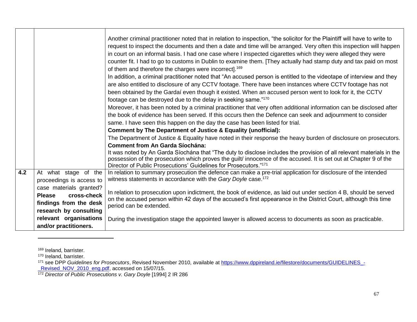|     |                                                                                                             | Another criminal practitioner noted that in relation to inspection, "the solicitor for the Plaintiff will have to write to<br>request to inspect the documents and then a date and time will be arranged. Very often this inspection will happen<br>in court on an informal basis. I had one case where I inspected cigarettes which they were alleged they were<br>counter fit. I had to go to customs in Dublin to examine them. [They actually had stamp duty and tax paid on most<br>of them and therefore the charges were incorrect]. <sup>169</sup> |
|-----|-------------------------------------------------------------------------------------------------------------|------------------------------------------------------------------------------------------------------------------------------------------------------------------------------------------------------------------------------------------------------------------------------------------------------------------------------------------------------------------------------------------------------------------------------------------------------------------------------------------------------------------------------------------------------------|
|     |                                                                                                             | In addition, a criminal practitioner noted that "An accused person is entitled to the videotape of interview and they<br>are also entitled to disclosure of any CCTV footage. There have been instances where CCTV footage has not<br>been obtained by the Gardaí even though it existed. When an accused person went to look for it, the CCTV<br>footage can be destroyed due to the delay in seeking same."170                                                                                                                                           |
|     |                                                                                                             | Moreover, it has been noted by a criminal practitioner that very often additional information can be disclosed after<br>the book of evidence has been served. If this occurs then the Defence can seek and adjournment to consider<br>same. I have seen this happen on the day the case has been listed for trial.                                                                                                                                                                                                                                         |
|     |                                                                                                             | Comment by The Department of Justice & Equality (unofficial):<br>The Department of Justice & Equality have noted in their response the heavy burden of disclosure on prosecutors.<br><b>Comment from An Garda Síochána:</b>                                                                                                                                                                                                                                                                                                                                |
|     |                                                                                                             | It was noted by An Garda Síochána that "The duty to disclose includes the provision of all relevant materials in the<br>possession of the prosecution which proves the guilt/ innocence of the accused. It is set out at Chapter 9 of the<br>Director of Public Prosecutions' Guidelines for Prosecutors."171                                                                                                                                                                                                                                              |
| 4.2 | At what stage of the<br>proceedings is access to                                                            | In relation to summary prosecution the defence can make a pre-trial application for disclosure of the intended<br>witness statements in accordance with the Gary Doyle case. <sup>172</sup>                                                                                                                                                                                                                                                                                                                                                                |
|     | case materials granted?<br>cross-check<br><b>Please</b><br>findings from the desk<br>research by consulting | In relation to prosecution upon indictment, the book of evidence, as laid out under section 4 B, should be served<br>on the accused person within 42 days of the accused's first appearance in the District Court, although this time<br>period can be extended.                                                                                                                                                                                                                                                                                           |
|     | relevant organisations<br>and/or practitioners.                                                             | During the investigation stage the appointed lawyer is allowed access to documents as soon as practicable.                                                                                                                                                                                                                                                                                                                                                                                                                                                 |

<sup>169</sup> Ireland, barrister.

<sup>&</sup>lt;sup>170</sup> Ireland, barrister.

<sup>171</sup> see DPP Guidelines for Prosecutors, Revised November 2010, available at [https://www.dppireland.ie/filestore/documents/GUIDELINES\\_-](https://www.dppireland.ie/filestore/documents/GUIDELINES_-_Revised_NOV_2010_eng.pdf) Revised\_NOV\_2010\_eng.pdf, accessed on 15/07/15.

<sup>&</sup>lt;sup>172</sup> Director of Public Prosecutions v. Gary Doyle [1994] 2 IR 286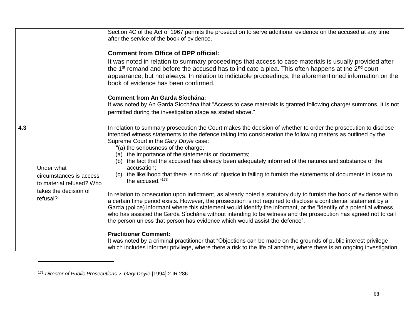|     |                                                                                                        | Section 4C of the Act of 1967 permits the prosecution to serve additional evidence on the accused at any time<br>after the service of the book of evidence.<br><b>Comment from Office of DPP official:</b><br>It was noted in relation to summary proceedings that access to case materials is usually provided after                                                                                                                                                                                                                                                                                                                                                                                                                                                                                                                                                                                                                                                                                                                                                                                                                                                                                                                                                                                                                                                                                                                                                                              |
|-----|--------------------------------------------------------------------------------------------------------|----------------------------------------------------------------------------------------------------------------------------------------------------------------------------------------------------------------------------------------------------------------------------------------------------------------------------------------------------------------------------------------------------------------------------------------------------------------------------------------------------------------------------------------------------------------------------------------------------------------------------------------------------------------------------------------------------------------------------------------------------------------------------------------------------------------------------------------------------------------------------------------------------------------------------------------------------------------------------------------------------------------------------------------------------------------------------------------------------------------------------------------------------------------------------------------------------------------------------------------------------------------------------------------------------------------------------------------------------------------------------------------------------------------------------------------------------------------------------------------------------|
|     |                                                                                                        | the 1 <sup>st</sup> remand and before the accused has to indicate a plea. This often happens at the 2 <sup>nd</sup> court<br>appearance, but not always. In relation to indictable proceedings, the aforementioned information on the<br>book of evidence has been confirmed.                                                                                                                                                                                                                                                                                                                                                                                                                                                                                                                                                                                                                                                                                                                                                                                                                                                                                                                                                                                                                                                                                                                                                                                                                      |
|     |                                                                                                        | <b>Comment from An Garda Síochána:</b><br>It was noted by An Garda Síochána that "Access to case materials is granted following charge/ summons. It is not<br>permitted during the investigation stage as stated above."                                                                                                                                                                                                                                                                                                                                                                                                                                                                                                                                                                                                                                                                                                                                                                                                                                                                                                                                                                                                                                                                                                                                                                                                                                                                           |
| 4.3 | Under what<br>circumstances is access<br>to material refused? Who<br>takes the decision of<br>refusal? | In relation to summary prosecution the Court makes the decision of whether to order the prosecution to disclose<br>intended witness statements to the defence taking into consideration the following matters as outlined by the<br>Supreme Court in the Gary Doyle case:<br>"(a) the seriousness of the charge;<br>(a) the importance of the statements or documents;<br>the fact that the accused has already been adequately informed of the natures and substance of the<br>(b)<br>accusation;<br>the likelihood that there is no risk of injustice in failing to furnish the statements of documents in issue to<br>(C)<br>the accused."173<br>In relation to prosecution upon indictment, as already noted a statutory duty to furnish the book of evidence within<br>a certain time period exists. However, the prosecution is not required to disclose a confidential statement by a<br>Garda (police) informant where this statement would identify the informant, or the "identity of a potential witness<br>who has assisted the Garda Síochána without intending to be witness and the prosecution has agreed not to call<br>the person unless that person has evidence which would assist the defence".<br><b>Practitioner Comment:</b><br>It was noted by a criminal practitioner that "Objections can be made on the grounds of public interest privilege<br>which includes informer privilege, where there a risk to the life of another, where there is an ongoing investigation, |

 $\overline{a}$ 

<sup>173</sup> *Director of Public Prosecutions v. Gary Doyle* [1994] 2 IR 286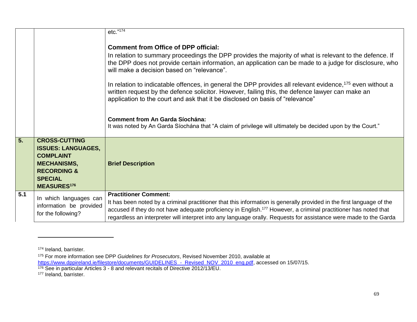|     |                                                                                                                                                               | $etc.$ "174                                                                                                                                                                                                                                                                                                                                                                                                                                                                                                                                                                                                                                                                                                                                                                           |
|-----|---------------------------------------------------------------------------------------------------------------------------------------------------------------|---------------------------------------------------------------------------------------------------------------------------------------------------------------------------------------------------------------------------------------------------------------------------------------------------------------------------------------------------------------------------------------------------------------------------------------------------------------------------------------------------------------------------------------------------------------------------------------------------------------------------------------------------------------------------------------------------------------------------------------------------------------------------------------|
|     |                                                                                                                                                               | <b>Comment from Office of DPP official:</b><br>In relation to summary proceedings the DPP provides the majority of what is relevant to the defence. If<br>the DPP does not provide certain information, an application can be made to a judge for disclosure, who<br>will make a decision based on "relevance".<br>In relation to indicatable offences, in general the DPP provides all relevant evidence, <sup>175</sup> even without a<br>written request by the defence solicitor. However, failing this, the defence lawyer can make an<br>application to the court and ask that it be disclosed on basis of "relevance"<br><b>Comment from An Garda Síochána:</b><br>It was noted by An Garda Síochána that "A claim of privilege will ultimately be decided upon by the Court." |
| 5.  | <b>CROSS-CUTTING</b><br><b>ISSUES: LANGUAGES,</b><br><b>COMPLAINT</b><br><b>MECHANISMS,</b><br><b>RECORDING &amp;</b><br><b>SPECIAL</b><br><b>MEASURES176</b> | <b>Brief Description</b>                                                                                                                                                                                                                                                                                                                                                                                                                                                                                                                                                                                                                                                                                                                                                              |
| 5.1 | In which languages can<br>information be provided<br>for the following?                                                                                       | <b>Practitioner Comment:</b><br>It has been noted by a criminal practitioner that this information is generally provided in the first language of the<br>accused if they do not have adequate proficiency in English. <sup>177</sup> However, a criminal practitioner has noted that<br>regardless an interpreter will interpret into any language orally. Requests for assistance were made to the Garda                                                                                                                                                                                                                                                                                                                                                                             |

<sup>174</sup> Ireland, barrister.

<sup>175</sup> For more information see DPP *Guidelines for Prosecutors*, Revised November 2010, available at [https://www.dppireland.ie/filestore/documents/GUIDELINES\\_-\\_Revised\\_NOV\\_2010\\_eng.pdf,](https://www.dppireland.ie/filestore/documents/GUIDELINES_-_Revised_NOV_2010_eng.pdf) accessed on 15/07/15.

<sup>&</sup>lt;sup>176</sup> See in particular Articles 3 - 8 and relevant recitals of Directive 2012/13/EU.

<sup>&</sup>lt;sup>177</sup> Ireland, barrister.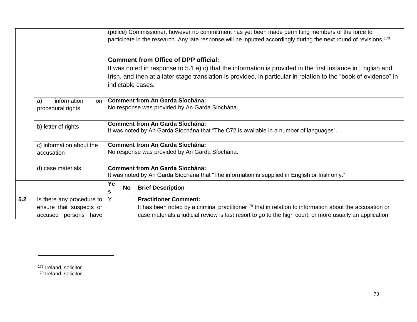|     |                           |                                                                                                                                | (police) Commissioner, however no commitment has yet been made permitting members of the force to                                 |                                                                                                                     |  |  |
|-----|---------------------------|--------------------------------------------------------------------------------------------------------------------------------|-----------------------------------------------------------------------------------------------------------------------------------|---------------------------------------------------------------------------------------------------------------------|--|--|
|     |                           | participate in the research. Any late response will be inputted accordingly during the next round of revisions. <sup>178</sup> |                                                                                                                                   |                                                                                                                     |  |  |
|     |                           |                                                                                                                                |                                                                                                                                   |                                                                                                                     |  |  |
|     |                           |                                                                                                                                |                                                                                                                                   | <b>Comment from Office of DPP official:</b>                                                                         |  |  |
|     |                           |                                                                                                                                |                                                                                                                                   | It was noted in response to 5.1 a) c) that the information is provided in the first instance in English and         |  |  |
|     |                           |                                                                                                                                |                                                                                                                                   | Irish, and then at a later stage translation is provided, in particular in relation to the "book of evidence" in    |  |  |
|     |                           |                                                                                                                                |                                                                                                                                   | indictable cases.                                                                                                   |  |  |
|     |                           |                                                                                                                                |                                                                                                                                   |                                                                                                                     |  |  |
|     | information<br>a)<br>on l |                                                                                                                                |                                                                                                                                   | <b>Comment from An Garda Síochána:</b>                                                                              |  |  |
|     | procedural rights         |                                                                                                                                | No response was provided by An Garda Síochána.                                                                                    |                                                                                                                     |  |  |
|     |                           |                                                                                                                                |                                                                                                                                   |                                                                                                                     |  |  |
|     | b) letter of rights       |                                                                                                                                | <b>Comment from An Garda Síochána:</b><br>It was noted by An Garda Síochána that "The C72 is available in a number of languages". |                                                                                                                     |  |  |
|     |                           |                                                                                                                                |                                                                                                                                   |                                                                                                                     |  |  |
|     | c) information about the  |                                                                                                                                | <b>Comment from An Garda Síochána:</b>                                                                                            |                                                                                                                     |  |  |
|     | accusation                | No response was provided by An Garda Síochána.                                                                                 |                                                                                                                                   |                                                                                                                     |  |  |
|     |                           |                                                                                                                                |                                                                                                                                   |                                                                                                                     |  |  |
|     | d) case materials         |                                                                                                                                |                                                                                                                                   | <b>Comment from An Garda Síochána:</b>                                                                              |  |  |
|     |                           | It was noted by An Garda Síochána that "The information is supplied in English or Irish only."                                 |                                                                                                                                   |                                                                                                                     |  |  |
|     |                           | Ye                                                                                                                             | <b>No</b>                                                                                                                         | <b>Brief Description</b>                                                                                            |  |  |
|     |                           | s                                                                                                                              |                                                                                                                                   |                                                                                                                     |  |  |
| 5.2 | Is there any procedure to | Y                                                                                                                              |                                                                                                                                   | <b>Practitioner Comment:</b>                                                                                        |  |  |
|     | ensure that suspects or   |                                                                                                                                |                                                                                                                                   | It has been noted by a criminal practitioner <sup>179</sup> that in relation to information about the accusation or |  |  |
|     | accused persons have      |                                                                                                                                |                                                                                                                                   | case materials a judicial review is last resort to go to the high court, or more usually an application             |  |  |

178 Ireland, solicitor.

l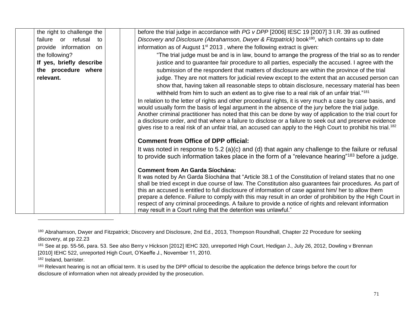| the right to challenge the | before the trial judge in accordance with PG v DPP [2006] IESC 19 [2007] 3 I.R. 39 as outlined                             |
|----------------------------|----------------------------------------------------------------------------------------------------------------------------|
| failure or refusal<br>to   | Discovery and Disclosure (Abrahamson, Dwyer & Fitzpatrick) book <sup>180</sup> , which contains up to date                 |
| provide information on     | information as of August $1st$ 2013, where the following extract is given:                                                 |
| the following?             | "The trial judge must be and is in law, bound to arrange the progress of the trial so as to render                         |
| If yes, briefly describe   | justice and to guarantee fair procedure to all parties, especially the accused. I agree with the                           |
| the procedure where        | submission of the respondent that matters of disclosure are within the province of the trial                               |
| relevant.                  | judge. They are not matters for judicial review except to the extent that an accused person can                            |
|                            | show that, having taken all reasonable steps to obtain disclosure, necessary material has been                             |
|                            | withheld from him to such an extent as to give rise to a real risk of an unfair trial." <sup>181</sup>                     |
|                            | In relation to the letter of rights and other procedural rights, it is very much a case by case basis, and                 |
|                            | would usually form the basis of legal argument in the absence of the jury before the trial judge.                          |
|                            | Another criminal practitioner has noted that this can be done by way of application to the trial court for                 |
|                            | a disclosure order, and that where a failure to disclose or a failure to seek out and preserve evidence                    |
|                            | gives rise to a real risk of an unfair trial, an accused can apply to the High Court to prohibit his trial. <sup>182</sup> |
|                            | <b>Comment from Office of DPP official:</b>                                                                                |
|                            | It was noted in response to 5.2 (a)(c) and (d) that again any challenge to the failure or refusal                          |
|                            | to provide such information takes place in the form of a "relevance hearing" <sup>183</sup> before a judge.                |
|                            | <b>Comment from An Garda Síochána:</b>                                                                                     |
|                            | It was noted by An Garda Síochána that "Article 38.1 of the Constitution of Ireland states that no one                     |
|                            | shall be tried except in due course of law. The Constitution also guarantees fair procedures. As part of                   |
|                            | this an accused is entitled to full disclosure of information of case against him/ her to allow them                       |
|                            | prepare a defence. Failure to comply with this may result in an order of prohibition by the High Court in                  |
|                            | respect of any criminal proceedings. A failure to provide a notice of rights and relevant information                      |
|                            | may result in a Court ruling that the detention was unlawful."                                                             |

<sup>180</sup> Abrahamson, Dwyer and Fitzpatrick; Discovery and Disclosure, 2nd Ed., 2013, Thompson Roundhall, Chapter 22 Procedure for seeking discovery, at pp 22.23

<sup>181</sup> See at pp. 55-56, para. 53. See also Berry v Hickson [2012] IEHC 320, unreported High Court, Hedigan J., July 26, 2012, Dowling v Brennan [2010] IEHC 522, unreported High Court, O'Keeffe J., November 11, 2010.

<sup>182</sup> Ireland, barrister.

<sup>&</sup>lt;sup>183</sup> Relevant hearing is not an official term. It is used by the DPP official to describe the application the defence brings before the court for disclosure of information when not already provided by the prosecution.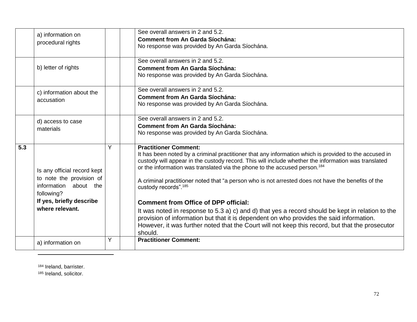|     | a) information on<br>procedural rights                                                                                                        |   | See overall answers in 2 and 5.2.<br><b>Comment from An Garda Síochána:</b><br>No response was provided by An Garda Síochána.                                                                                                                                                                                                                                                                                                                                                                                                                                                                                                                                                                                                                                                                                                               |
|-----|-----------------------------------------------------------------------------------------------------------------------------------------------|---|---------------------------------------------------------------------------------------------------------------------------------------------------------------------------------------------------------------------------------------------------------------------------------------------------------------------------------------------------------------------------------------------------------------------------------------------------------------------------------------------------------------------------------------------------------------------------------------------------------------------------------------------------------------------------------------------------------------------------------------------------------------------------------------------------------------------------------------------|
|     | b) letter of rights                                                                                                                           |   | See overall answers in 2 and 5.2.<br><b>Comment from An Garda Síochána:</b><br>No response was provided by An Garda Síochána.                                                                                                                                                                                                                                                                                                                                                                                                                                                                                                                                                                                                                                                                                                               |
|     | c) information about the<br>accusation                                                                                                        |   | See overall answers in 2 and 5.2.<br><b>Comment from An Garda Síochána:</b><br>No response was provided by An Garda Síochána.                                                                                                                                                                                                                                                                                                                                                                                                                                                                                                                                                                                                                                                                                                               |
|     | d) access to case<br>materials                                                                                                                |   | See overall answers in 2 and 5.2.<br><b>Comment from An Garda Síochána:</b><br>No response was provided by An Garda Síochána.                                                                                                                                                                                                                                                                                                                                                                                                                                                                                                                                                                                                                                                                                                               |
| 5.3 | Is any official record kept<br>to note the provision of<br>information about the<br>following?<br>If yes, briefly describe<br>where relevant. | Y | <b>Practitioner Comment:</b><br>It has been noted by a criminal practitioner that any information which is provided to the accused in<br>custody will appear in the custody record. This will include whether the information was translated<br>or the information was translated via the phone to the accused person. <sup>184</sup><br>A criminal practitioner noted that "a person who is not arrested does not have the benefits of the<br>custody records". <sup>185</sup><br><b>Comment from Office of DPP official:</b><br>It was noted in response to 5.3 a) c) and d) that yes a record should be kept in relation to the<br>provision of information but that it is dependent on who provides the said information.<br>However, it was further noted that the Court will not keep this record, but that the prosecutor<br>should. |
|     | a) information on                                                                                                                             | Y | <b>Practitioner Comment:</b>                                                                                                                                                                                                                                                                                                                                                                                                                                                                                                                                                                                                                                                                                                                                                                                                                |

<sup>184</sup> Ireland, barrister.

 $\overline{\phantom{a}}$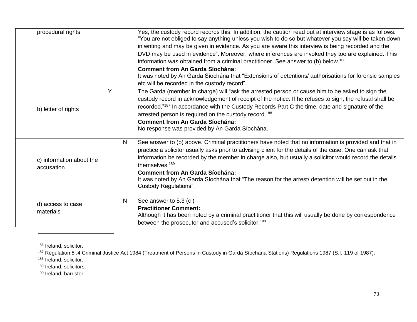| procedural rights                      |   | Yes, the custody record records this. In addition, the caution read out at interview stage is as follows:<br>"You are not obliged to say anything unless you wish to do so but whatever you say will be taken down<br>in writing and may be given in evidence. As you are aware this interview is being recorded and the<br>DVD may be used in evidence". Moreover, where inferences are invoked they too are explained. This<br>information was obtained from a criminal practitioner. See answer to (b) below. <sup>186</sup><br><b>Comment from An Garda Síochána:</b><br>It was noted by An Garda Síochána that "Extensions of detentions/ authorisations for forensic samples<br>etc will be recorded in the custody record". |
|----------------------------------------|---|------------------------------------------------------------------------------------------------------------------------------------------------------------------------------------------------------------------------------------------------------------------------------------------------------------------------------------------------------------------------------------------------------------------------------------------------------------------------------------------------------------------------------------------------------------------------------------------------------------------------------------------------------------------------------------------------------------------------------------|
| b) letter of rights                    | Y | The Garda (member in charge) will "ask the arrested person or cause him to be asked to sign the<br>custody record in acknowledgement of receipt of the notice. If he refuses to sign, the refusal shall be<br>recorded."187 In accordance with the Custody Records Part C the time, date and signature of the<br>arrested person is required on the custody record. <sup>188</sup><br><b>Comment from An Garda Síochána:</b><br>No response was provided by An Garda Síochána.                                                                                                                                                                                                                                                     |
| c) information about the<br>accusation | N | See answer to (b) above. Criminal practitioners have noted that no information is provided and that in<br>practice a solicitor usually asks prior to advising client for the details of the case. One can ask that<br>information be recorded by the member in charge also, but usually a solicitor would record the details<br>themselves. <sup>189</sup><br><b>Comment from An Garda Síochána:</b><br>It was noted by An Garda Síochána that "The reason for the arrest/ detention will be set out in the<br>Custody Regulations".                                                                                                                                                                                               |
| d) access to case<br>materials         | N | See answer to 5.3 (c)<br><b>Practitioner Comment:</b><br>Although it has been noted by a criminal practitioner that this will usually be done by correspondence<br>between the prosecutor and accused's solicitor. <sup>190</sup>                                                                                                                                                                                                                                                                                                                                                                                                                                                                                                  |

186 Ireland, solicitor.

 $\overline{\phantom{a}}$ 

187 Regulation 8 .4 Criminal Justice Act 1984 (Treatment of Persons in Custody in Garda Síochána Stations) Regulations 1987 (S.I. 119 of 1987).

188 Ireland, solicitor.

189 Ireland, solicitors.

<sup>190</sup> Ireland, barrister.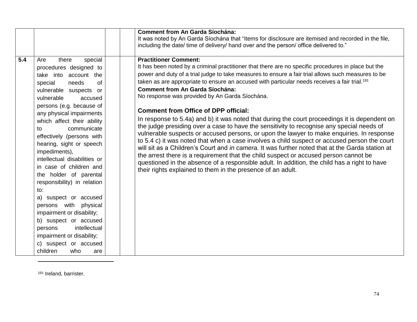|     |                                                                                                                                                                                                                                                                                                                                                                                                                                                                                                                                                                                                                                                                                                         | <b>Comment from An Garda Síochána:</b><br>It was noted by An Garda Síochána that "Items for disclosure are itemised and recorded in the file,<br>including the date/ time of delivery/ hand over and the person/ office delivered to."                                                                                                                                                                                                                                                                                                                                                                                                                                                                                                                                                                                                                                                                                                                                                                                                                                                                                                                                                                                                                         |
|-----|---------------------------------------------------------------------------------------------------------------------------------------------------------------------------------------------------------------------------------------------------------------------------------------------------------------------------------------------------------------------------------------------------------------------------------------------------------------------------------------------------------------------------------------------------------------------------------------------------------------------------------------------------------------------------------------------------------|----------------------------------------------------------------------------------------------------------------------------------------------------------------------------------------------------------------------------------------------------------------------------------------------------------------------------------------------------------------------------------------------------------------------------------------------------------------------------------------------------------------------------------------------------------------------------------------------------------------------------------------------------------------------------------------------------------------------------------------------------------------------------------------------------------------------------------------------------------------------------------------------------------------------------------------------------------------------------------------------------------------------------------------------------------------------------------------------------------------------------------------------------------------------------------------------------------------------------------------------------------------|
| 5.4 | there<br>special<br>Are<br>procedures designed to<br>take into account the<br>special<br>needs<br><b>of</b><br>vulnerable suspects<br>or<br>vulnerable<br>accused<br>persons (e.g. because of<br>any physical impairments<br>which affect their ability<br>communicate<br>to<br>effectively (persons with<br>hearing, sight or speech<br>impediments),<br>intellectual disabilities or<br>in case of children and<br>the holder of parental<br>responsibility) in relation<br>to:<br>a) suspect or accused<br>persons with<br>physical<br>impairment or disability;<br>b) suspect or accused<br>intellectual<br>persons<br>impairment or disability;<br>c) suspect or accused<br>children<br>who<br>are | <b>Practitioner Comment:</b><br>It has been noted by a criminal practitioner that there are no specific procedures in place but the<br>power and duty of a trial judge to take measures to ensure a fair trial allows such measures to be<br>taken as are appropriate to ensure an accused with particular needs receives a fair trial. <sup>191</sup><br><b>Comment from An Garda Síochána:</b><br>No response was provided by An Garda Síochána.<br><b>Comment from Office of DPP official:</b><br>In response to 5.4a) and b) it was noted that during the court proceedings it is dependent on<br>the judge presiding over a case to have the sensitivity to recognise any special needs of<br>vulnerable suspects or accused persons, or upon the lawyer to make enquiries. In response<br>to 5.4 c) it was noted that when a case involves a child suspect or accused person the court<br>will sit as a Children's Court and <i>in camera</i> . It was further noted that at the Garda station at<br>the arrest there is a requirement that the child suspect or accused person cannot be<br>questioned in the absence of a responsible adult. In addition, the child has a right to have<br>their rights explained to them in the presence of an adult. |

191 Ireland, barrister.

 $\overline{a}$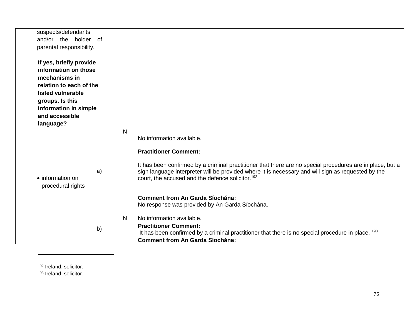| suspects/defendants<br>and/or the holder of<br>parental responsibility.<br>If yes, briefly provide<br>information on those<br>mechanisms in<br>relation to each of the<br>listed vulnerable<br>groups. Is this<br>information in simple<br>and accessible<br>language? |    |         |                                                                                                                                                                                                                                                                                                                                                                                                                                                                                                       |
|------------------------------------------------------------------------------------------------------------------------------------------------------------------------------------------------------------------------------------------------------------------------|----|---------|-------------------------------------------------------------------------------------------------------------------------------------------------------------------------------------------------------------------------------------------------------------------------------------------------------------------------------------------------------------------------------------------------------------------------------------------------------------------------------------------------------|
| • information on<br>procedural rights                                                                                                                                                                                                                                  | a) | N<br>N. | No information available.<br><b>Practitioner Comment:</b><br>It has been confirmed by a criminal practitioner that there are no special procedures are in place, but a<br>sign language interpreter will be provided where it is necessary and will sign as requested by the<br>court, the accused and the defence solicitor. <sup>192</sup><br><b>Comment from An Garda Síochána:</b><br>No response was provided by An Garda Síochána.<br>No information available.<br><b>Practitioner Comment:</b> |
|                                                                                                                                                                                                                                                                        | b) |         | It has been confirmed by a criminal practitioner that there is no special procedure in place. <sup>193</sup><br><b>Comment from An Garda Síochána:</b>                                                                                                                                                                                                                                                                                                                                                |

<sup>192</sup> Ireland, solicitor.

 $\overline{\phantom{a}}$ 

<sup>193</sup> Ireland, solicitor.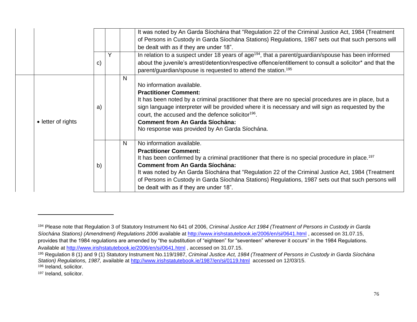|                    | $\mathbf{C}$ | N  | It was noted by An Garda Síochána that "Regulation 22 of the Criminal Justice Act, 1984 (Treatment<br>of Persons in Custody in Garda Síochána Stations) Regulations, 1987 sets out that such persons will<br>be dealt with as if they are under 18".<br>In relation to a suspect under 18 years of age <sup>194</sup> , that a parent/guardian/spouse has been informed<br>about the juvenile's arrest/detention/respective offence/entitlement to consult a solicitor* and that the<br>parent/guardian/spouse is requested to attend the station. <sup>195</sup> |
|--------------------|--------------|----|-------------------------------------------------------------------------------------------------------------------------------------------------------------------------------------------------------------------------------------------------------------------------------------------------------------------------------------------------------------------------------------------------------------------------------------------------------------------------------------------------------------------------------------------------------------------|
| • letter of rights | a)           |    | No information available.<br><b>Practitioner Comment:</b><br>It has been noted by a criminal practitioner that there are no special procedures are in place, but a<br>sign language interpreter will be provided where it is necessary and will sign as requested by the<br>court, the accused and the defence solicitor <sup>196</sup> .<br><b>Comment from An Garda Síochána:</b><br>No response was provided by An Garda Síochána.                                                                                                                             |
|                    | b)           | N. | No information available.<br><b>Practitioner Comment:</b><br>It has been confirmed by a criminal practitioner that there is no special procedure in place. <sup>197</sup><br><b>Comment from An Garda Síochána:</b><br>It was noted by An Garda Síochána that "Regulation 22 of the Criminal Justice Act, 1984 (Treatment<br>of Persons in Custody in Garda Síochána Stations) Regulations, 1987 sets out that such persons will<br>be dealt with as if they are under 18".                                                                                       |

l

<sup>194</sup> Please note that Regulation 3 of Statutory Instrument No 641 of 2006, *Criminal Justice Act 1984 (Treatment of Persons in Custody in Garda Síochána Stations) (Amendment) Regulations 2006* available at<http://www.irishstatutebook.ie/2006/en/si/0641.html> , accessed on 31.07.15, provides that the 1984 regulations are amended by "the substitution of "eighteen" for "seventeen" wherever it occurs" in the 1984 Regulations. Available at<http://www.irishstatutebook.ie/2006/en/si/0641.html> , accessed on 31.07.15.

<sup>195</sup> Regulation 8 (1) and 9 (1) Statutory Instrument No.119/1987, *Criminal Justice Act, 1984 (Treatment of Persons in Custody in Garda Síochána Station) Regulations, 1987,* available at<http://www.irishstatutebook.ie/1987/en/si/0119.html>accessed on 12/03/15. <sup>196</sup> Ireland, solicitor.

<sup>197</sup> Ireland, solicitor.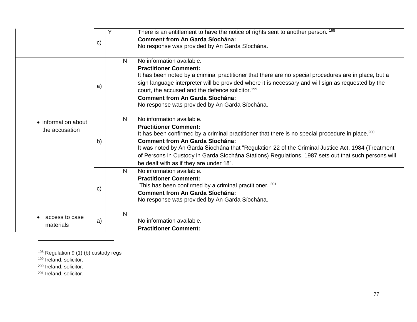|                                       | $\mathsf{c}$ |   | There is an entitlement to have the notice of rights sent to another person. 198<br><b>Comment from An Garda Síochána:</b><br>No response was provided by An Garda Síochána.                                                                                                                                                                                                                                                                                                |
|---------------------------------------|--------------|---|-----------------------------------------------------------------------------------------------------------------------------------------------------------------------------------------------------------------------------------------------------------------------------------------------------------------------------------------------------------------------------------------------------------------------------------------------------------------------------|
| • information about<br>the accusation | a)           | N | No information available.<br><b>Practitioner Comment:</b><br>It has been noted by a criminal practitioner that there are no special procedures are in place, but a<br>sign language interpreter will be provided where it is necessary and will sign as requested by the<br>court, the accused and the defence solicitor. <sup>199</sup><br><b>Comment from An Garda Síochána:</b><br>No response was provided by An Garda Síochána.                                        |
|                                       | b)           | N | No information available.<br><b>Practitioner Comment:</b><br>It has been confirmed by a criminal practitioner that there is no special procedure in place. <sup>200</sup><br><b>Comment from An Garda Síochána:</b><br>It was noted by An Garda Síochána that "Regulation 22 of the Criminal Justice Act, 1984 (Treatment<br>of Persons in Custody in Garda Síochána Stations) Regulations, 1987 sets out that such persons will<br>be dealt with as if they are under 18". |
|                                       | C)           | N | No information available.<br><b>Practitioner Comment:</b><br>This has been confirmed by a criminal practitioner. 201<br><b>Comment from An Garda Síochána:</b><br>No response was provided by An Garda Síochána.                                                                                                                                                                                                                                                            |
| access to case<br>materials           | a)           | N | No information available.<br><b>Practitioner Comment:</b>                                                                                                                                                                                                                                                                                                                                                                                                                   |

<sup>198</sup> Regulation 9 (1) (b) custody regs

199 Ireland, solicitor.

<sup>200</sup> Ireland, solicitor.

 $\overline{a}$ 

<sup>201</sup> Ireland, solicitor.